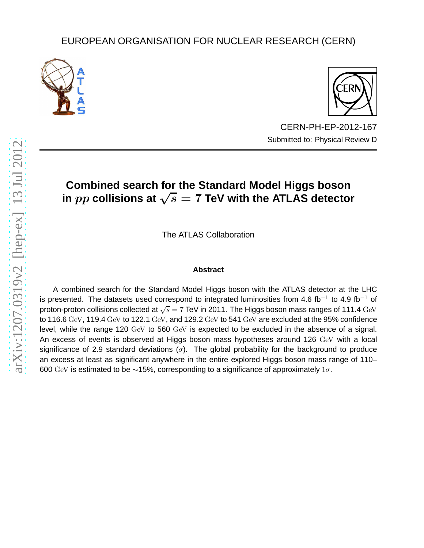# EUROPEAN ORGANISATION FOR NUCLEAR RESEARCH (CERN)





CERN-PH-EP-2012-167 Submitted to: Physical Review D

# **Combined search for the Standard Model Higgs boson** in  $pp$  collisions at  $\sqrt{s} = 7$  TeV with the ATLAS detector

The ATLAS Collaboration

# **Abstract**

A combined search for the Standard Model Higgs boson with the ATLAS detector at the LHC is presented. The datasets used correspond to integrated luminosities from 4.6 fb<sup>-1</sup> to 4.9 fb<sup>-1</sup> of proton-proton collisions collected at  $\sqrt{s}=7$  TeV in 2011. The Higgs boson mass ranges of 111.4  $\rm{GeV}$ to 116.6 GeV, 119.4 GeV to 122.1 GeV, and 129.2 GeV to 541 GeV are excluded at the 95% confidence level, while the range 120 GeV to 560 GeV is expected to be excluded in the absence of a signal. An excess of events is observed at Higgs boson mass hypotheses around 126 GeV with a local significance of 2.9 standard deviations  $(\sigma)$ . The global probability for the background to produce an excess at least as significant anywhere in the entire explored Higgs boson mass range of 110– 600 GeV is estimated to be ∼15%, corresponding to a significance of approximately  $1\sigma$ .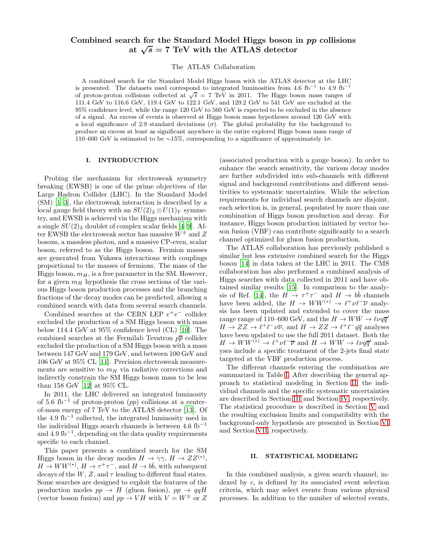# Combined search for the Standard Model Higgs boson in pp collisions at  $\sqrt{s}$  = 7 TeV with the ATLAS detector

The ATLAS Collaboration

A combined search for the Standard Model Higgs boson with the ATLAS detector at the LHC is presented. The datasets used correspond to integrated luminosities from 4.6 fb<sup>-1</sup> to 4.9 fb<sup>-1</sup> of proton-proton collisions collected at  $\sqrt{s} = 7$  TeV in 2011. The Higgs boson mass ranges of 111.4 GeV to 116.6 GeV, 119.4 GeV to 122.1 GeV, and 129.2 GeV to 541 GeV are excluded at the 95% confidence level, while the range 120 GeV to 560 GeV is expected to be excluded in the absence of a signal. An excess of events is observed at Higgs boson mass hypotheses around 126 GeV with a local significance of 2.9 standard deviations  $(\sigma)$ . The global probability for the background to produce an excess at least as significant anywhere in the entire explored Higgs boson mass range of 110–600 GeV is estimated to be ∼15%, corresponding to a significance of approximately 1σ.

# I. INTRODUCTION

Probing the mechanism for electroweak symmetry breaking (EWSB) is one of the prime objectives of the Large Hadron Collider (LHC). In the Standard Model (SM) [\[1](#page-18-0)[–3](#page-18-1)], the electroweak interaction is described by a local gauge field theory with an  $SU(2)_L \otimes U(1)_Y$  symmetry, and EWSB is achieved via the Higgs mechanism with a single  $SU(2)_L$  doublet of complex scalar fields [\[4](#page-18-2)[–9\]](#page-18-3). After EWSB the electroweak sector has massive  $W^{\pm}$  and Z bosons, a massless photon, and a massive CP-even, scalar boson, referred to as the Higgs boson. Fermion masses are generated from Yukawa interactions with couplings proportional to the masses of fermions. The mass of the Higgs boson,  $m_H$ , is a free parameter in the SM. However, for a given  $m_H$  hypothesis the cross sections of the various Higgs boson production processes and the branching fractions of the decay modes can be predicted, allowing a combined search with data from several search channels.

Combined searches at the CERN LEP  $e^+e^-$  collider excluded the production of a SM Higgs boson with mass below 114.4 GeV at 95% confidence level (CL) [\[10\]](#page-18-4). The combined searches at the Fermilab Tevatron  $p\bar{p}$  collider excluded the production of a SM Higgs boson with a mass between 147 GeV and 179 GeV, and between 100 GeV and 106 GeV at 95% CL [\[11](#page-18-5)]. Precision electroweak measurements are sensitive to  $m<sub>H</sub>$  via radiative corrections and indirectly constrain the SM Higgs boson mass to be less than 158 GeV [\[12\]](#page-18-6) at 95% CL.

In 2011, the LHC delivered an integrated luminosity of 5.6 fb<sup>-1</sup> of proton-proton  $(pp)$  collisions at a centerof-mass energy of 7 TeV to the ATLAS detector [\[13\]](#page-18-7). Of the 4.9 fb<sup>−</sup><sup>1</sup> collected, the integrated luminosity used in the individual Higgs search channels is between  $4.6 \text{ fb}^{-1}$ and 4.9 fb<sup>−</sup><sup>1</sup> , depending on the data quality requirements specific to each channel.

This paper presents a combined search for the SM Higgs boson in the decay modes  $H \to \gamma \gamma$ ,  $H \to ZZ^{(*)}$ ,  $H \to WW^{(*)}, H \to \tau^+ \tau^-$ , and  $H \to b\bar{b}$ , with subsequent decays of the  $W, Z$ , and  $\tau$  leading to different final states. Some searches are designed to exploit the features of the production modes  $pp \rightarrow H$  (gluon fusion),  $pp \rightarrow qqH$ (vector boson fusion) and  $pp \to VH$  with  $V = W^{\pm}$  or Z

(associated production with a gauge boson). In order to enhance the search sensitivity, the various decay modes are further subdivided into sub-channels with different signal and background contributions and different sensitivities to systematic uncertainties. While the selection requirements for individual search channels are disjoint, each selection is, in general, populated by more than one combination of Higgs boson production and decay. For instance, Higgs boson production initiated by vector boson fusion (VBF) can contribute significantly to a search channel optimized for gluon fusion production.

The ATLAS collaboration has previously published a similar but less extensive combined search for the Higgs boson [\[14\]](#page-18-8) in data taken at the LHC in 2011. The CMS collaboration has also performed a combined analysis of Higgs searches with data collected in 2011 and have obtained similar results [\[15\]](#page-18-9). In comparison to the analy-sis of Ref. [\[14\]](#page-18-8), the  $H \rightarrow \tau^+\tau^-$  and  $H \rightarrow b\bar{b}$  channels have been added, the  $H \to WW^{(*)} \to \ell^+ \nu \ell^- \overline{\nu}$  analysis has been updated and extended to cover the mass range range of 110–600 GeV, and the  $H \to WW \to \ell \nu q \overline{q}'$  $H \to ZZ \to \ell^+ \ell^- \nu \overline{\nu}$ , and  $H \to ZZ \to \ell^+ \ell^- q \overline{q}$  analyses have been updated to use the full 2011 dataset. Both the  $H \to WW^{(*)} \to \ell^+ \nu \ell^- \overline{\nu}$  and  $H \to WW \to \ell \nu q \overline{q}'$  analyses include a specific treatment of the 2-jets final state targeted at the VBF production process.

The different channels entering the combination are summarized in Table [I.](#page-2-0) After describing the general approach to statistical modeling in Section [II,](#page-1-0) the individual channels and the specific systematic uncertainties are described in Section [III](#page-3-0) and Section [IV,](#page-7-0) respectively. The statistical procedure is described in Section [V](#page-10-0) and the resulting exclusion limits and compatibility with the background-only hypothesis are presented in Section [VI](#page-13-0) and Section [VII,](#page-14-0) respectively.

# <span id="page-1-0"></span>II. STATISTICAL MODELING

In this combined analysis, a given search channel, indexed by c, is defined by its associated event selection criteria, which may select events from various physical processes. In addition to the number of selected events,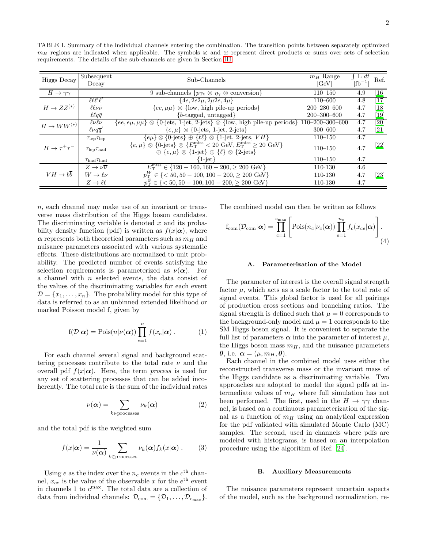<span id="page-2-0"></span>TABLE I. Summary of the individual channels entering the combination. The transition points between separately optimized  $m_H$  regions are indicated when applicable. The symbols ⊗ and ⊕ represent direct products or sums over sets of selection requirements. The details of the sub-channels are given in Section [III.](#page-3-0)

| Higgs Decay                    | Subsequent<br>Decay            | Sub-Channels                                                                                                                                                                                                                     | $m_H$ Range<br>[GeV] | $\mathcal{L}$ L dt<br>$[fb^{-1}]$ | Ref.              |
|--------------------------------|--------------------------------|----------------------------------------------------------------------------------------------------------------------------------------------------------------------------------------------------------------------------------|----------------------|-----------------------------------|-------------------|
| $H\to\gamma\gamma$             |                                | 9 sub-channels $\{p_{\text{Tt}} \otimes \eta_{\gamma} \otimes \text{ conversion}\}\$                                                                                                                                             | $110 - 150$          | 4.9                               | [16]              |
|                                | $\ell \ell \ell' \ell'$        | $\{4e, 2e2\mu, 2\mu2e, 4\mu\}$                                                                                                                                                                                                   | $110 - 600$          | 4.8                               | [17]              |
| $H \to ZZ^{(*)}$               | $\ell\ell\nu\bar{\nu}$         | $\{ee, \mu\mu\} \otimes \{\text{low, high pile-up periods}\}\$                                                                                                                                                                   | $200 - 280 - 600$    | 4.7                               | [18]              |
|                                | $\ell \ell q \bar{q}$          | ${b$ -tagged, untagged}                                                                                                                                                                                                          | $200 - 300 - 600$    | 4.7                               | $\left[19\right]$ |
| $H \to WW^{(*)}$               | $\ell\nu\ell\nu$               | $\{ee,e\mu,\mu\mu\}\otimes\{0\text{-jets},\ 1\text{-jet},\ 2\text{-jets}\}\otimes\{\text{low},\ \text{high pile-up periods}\}\ 110\text{--}200\text{--}300\text{--}600$                                                          |                      | 4.7                               | $\overline{20}$   |
|                                | $\ell\nu q\overline{q}'$       | $\{e, \mu\} \otimes \{0\}$ -jets, 1-jet, 2-jets}                                                                                                                                                                                 | $300 - 600$          | 4.7                               | $[21]$            |
| $H \to \tau^+ \tau^-$          | $\tau_{\rm lep}\tau_{\rm lep}$ | $\{e\mu\}\otimes\{0\text{-jets}\}\oplus\{\ell\ell\}\otimes\{1\text{-jet},2\text{-jets},V\}$                                                                                                                                      | $110 - 150$          | 4.7                               |                   |
|                                | $\tau_{\rm lep}\tau_{\rm had}$ | ${e,\mu} \otimes {0\text{-jets}} \otimes {E_{\text{T}}^{\text{miss}}} < 20 \text{ GeV}, E_{\text{T}}^{\text{miss}} \geq 20 \text{ GeV}$<br>$\oplus \{e,\mu\} \otimes \{1\text{-jet}\}\oplus \{\ell\} \otimes \{2\text{-jets}\}\$ | $110 - 150$          | 4.7                               | $[22]$            |
|                                | $\tau_{\rm had}\tau_{\rm had}$ | $\{1\text{-jet}\}$                                                                                                                                                                                                               | $110 - 150$          | 4.7                               |                   |
| $VH \rightarrow b\overline{b}$ | $Z\to\nu\overline{\nu}$        | $E_{\rm T}^{\rm miss} \in \{120-160, 160-200, \geq 200 \text{ GeV}\}\$                                                                                                                                                           | 110-130              | 4.6                               |                   |
|                                | $W\to\ell\nu$                  | $p_{\rm T}^W \in \{ <50, 50-100, 100-200, \geq 200 \text{ GeV} \}$                                                                                                                                                               | 110-130              | 4.7                               | $\left[23\right]$ |
|                                | $Z\to\ell\ell$                 | $p_{\rm T}^Z \in \{ <50, 50-100, 100-200, \geq 200 \text{ GeV} \}$                                                                                                                                                               | 110-130              | 4.7                               |                   |

n, each channel may make use of an invariant or transverse mass distribution of the Higgs boson candidates. The discriminating variable is denoted  $x$  and its probability density function (pdf) is written as  $f(x|\alpha)$ , where  $\alpha$  represents both theoretical parameters such as  $m_H$  and nuisance parameters associated with various systematic effects. These distributions are normalized to unit probability. The predicted number of events satisfying the selection requirements is parameterized as  $\nu(\alpha)$ . For a channel with n selected events, the data consist of the values of the discriminating variables for each event  $\mathcal{D} = \{x_1, \ldots, x_n\}$ . The probability model for this type of data is referred to as an unbinned extended likelihood or marked Poisson model f, given by

$$
f(\mathcal{D}|\boldsymbol{\alpha}) = \text{Pois}(n|\nu(\boldsymbol{\alpha})) \prod_{e=1}^{n} f(x_e|\boldsymbol{\alpha}) . \qquad (1)
$$

For each channel several signal and background scattering processes contribute to the total rate  $\nu$  and the overall pdf  $f(x|\alpha)$ . Here, the term *process* is used for any set of scattering processes that can be added incoherently. The total rate is the sum of the individual rates

$$
\nu(\alpha) = \sum_{k \in \text{processes}} \nu_k(\alpha) \tag{2}
$$

and the total pdf is the weighted sum

$$
f(x|\alpha) = \frac{1}{\nu(\alpha)} \sum_{k \in \text{processes}} \nu_k(\alpha) f_k(x|\alpha) . \tag{3}
$$

Using e as the index over the  $n_c$  events in the  $c<sup>th</sup>$  channel,  $x_{ce}$  is the value of the observable x for the  $e^{th}$  event in channels 1 to  $c^{\max}$ . The total data are a collection of data from individual channels:  $\mathcal{D}_{com} = {\mathcal{D}_{1}, \ldots, \mathcal{D}_{c_{\text{max}}}}$ . The combined model can then be written as follows

$$
f_{\text{com}}(\mathcal{D}_{\text{com}}|\boldsymbol{\alpha}) = \prod_{c=1}^{c_{\text{max}}} \left[ \text{Pois}(n_c | \nu_c(\boldsymbol{\alpha})) \prod_{e=1}^{n_c} f_c(x_{ce}|\boldsymbol{\alpha}) \right].
$$
\n(4)

#### A. Parameterization of the Model

The parameter of interest is the overall signal strength factor  $\mu$ , which acts as a scale factor to the total rate of signal events. This global factor is used for all pairings of production cross sections and branching ratios. The signal strength is defined such that  $\mu = 0$  corresponds to the background-only model and  $\mu = 1$  corresponds to the SM Higgs boson signal. It is convenient to separate the full list of parameters  $\alpha$  into the parameter of interest  $\mu$ , the Higgs boson mass  $m<sub>H</sub>$ , and the nuisance parameters  $\theta$ , i.e.  $\alpha = (\mu, m_H, \theta)$ .

Each channel in the combined model uses either the reconstructed transverse mass or the invariant mass of the Higgs candidate as a discriminating variable. Two approaches are adopted to model the signal pdfs at intermediate values of  $m_H$  where full simulation has not been performed. The first, used in the  $H \to \gamma\gamma$  channel, is based on a continuous parameterization of the signal as a function of  $m<sub>H</sub>$  using an analytical expression for the pdf validated with simulated Monte Carlo (MC) samples. The second, used in channels where pdfs are modeled with histograms, is based on an interpolation procedure using the algorithm of Ref. [\[24\]](#page-18-18).

### B. Auxiliary Measurements

The nuisance parameters represent uncertain aspects of the model, such as the background normalization, re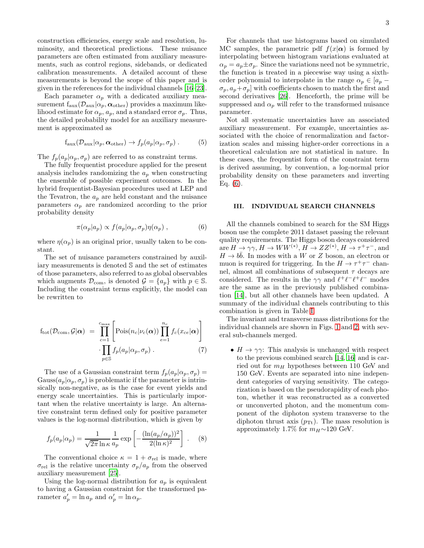construction efficiencies, energy scale and resolution, luminosity, and theoretical predictions. These nuisance parameters are often estimated from auxiliary measurements, such as control regions, sidebands, or dedicated calibration measurements. A detailed account of these measurements is beyond the scope of this paper and is given in the references for the individual channels [\[16](#page-18-10)[–23\]](#page-18-17).

Each parameter  $\alpha_p$  with a dedicated auxiliary measurement  $f_{\text{aux}}(\mathcal{D}_{\text{aux}}|\alpha_p, \alpha_{\text{other}})$  provides a maximum likelihood estimate for  $\alpha_p$ ,  $a_p$ , and a standard error  $\sigma_p$ . Thus, the detailed probability model for an auxiliary measurement is approximated as

$$
f_{\text{aux}}(\mathcal{D}_{\text{aux}}|\alpha_p, \alpha_{\text{other}}) \to f_p(a_p|\alpha_p, \sigma_p) . \tag{5}
$$

The  $f_p(a_p|\alpha_p, \sigma_p)$  are referred to as constraint terms.

The fully frequentist procedure applied for the present analysis includes randomizing the  $a_n$  when constructing the ensemble of possible experiment outcomes. In the hybrid frequentist-Bayesian procedures used at LEP and the Tevatron, the  $a_p$  are held constant and the nuisance parameters  $\alpha_p$  are randomized according to the prior probability density

<span id="page-3-1"></span>
$$
\pi(\alpha_p|a_p) \propto f(a_p|\alpha_p, \sigma_p)\eta(\alpha_p) , \qquad (6)
$$

where  $\eta(\alpha_p)$  is an original prior, usually taken to be constant.

The set of nuisance parameters constrained by auxiliary measurements is denoted S and the set of estimates of those parameters, also referred to as global observables which augments  $\mathcal{D}_{com}$ , is denoted  $\mathcal{G} = \{a_p\}$  with  $p \in \mathbb{S}$ . Including the constraint terms explicitly, the model can be rewritten to

<span id="page-3-2"></span>
$$
f_{\text{tot}}(\mathcal{D}_{\text{com}}, \mathcal{G} | \boldsymbol{\alpha}) = \prod_{c=1}^{c_{\text{max}}} \left[ \text{Pois}(n_c | \nu_c(\boldsymbol{\alpha})) \prod_{e=1}^{n_c} f_c(x_{ce} | \boldsymbol{\alpha}) \right] \cdot \prod_{p \in \mathbb{S}} f_p(a_p | \alpha_p, \sigma_p).
$$
 (7)

The use of a Gaussian constraint term  $f_p(a_p|\alpha_p, \sigma_p) =$ Gauss $(a_p|\alpha_p, \sigma_p)$  is problematic if the parameter is intrinsically non-negative, as is the case for event yields and energy scale uncertainties. This is particularly important when the relative uncertainty is large. An alternative constraint term defined only for positive parameter values is the log-normal distribution, which is given by

$$
f_p(a_p|\alpha_p) = \frac{1}{\sqrt{2\pi} \ln \kappa} \frac{1}{a_p} \exp\left[-\frac{(\ln(a_p/\alpha_p))^2}{2(\ln \kappa)^2}\right].
$$
 (8)

The conventional choice  $\kappa = 1 + \sigma_{rel}$  is made, where  $\sigma_{\text{rel}}$  is the relative uncertainty  $\sigma_p/a_p$  from the observed auxiliary measurement [\[25\]](#page-19-0).

Using the log-normal distribution for  $a_p$  is equivalent to having a Gaussian constraint for the transformed parameter  $a'_p = \ln a_p$  and  $\alpha'_p = \ln \alpha_p$ .

For channels that use histograms based on simulated MC samples, the parametric pdf  $f(x|\alpha)$  is formed by interpolating between histogram variations evaluated at  $\alpha_p = a_p \pm \sigma_p$ . Since the variations need not be symmetric, the function is treated in a piecewise way using a sixthorder polynomial to interpolate in the range  $\alpha_p \in [a_p \sigma_p, a_p+\sigma_p$  with coefficients chosen to match the first and second derivatives [\[26](#page-19-1)]. Henceforth, the prime will be suppressed and  $\alpha_p$  will refer to the transformed nuisance parameter.

Not all systematic uncertainties have an associated auxiliary measurement. For example, uncertainties associated with the choice of renormalization and factorization scales and missing higher-order corrections in a theoretical calculation are not statistical in nature. In these cases, the frequentist form of the constraint term is derived assuming, by convention, a log-normal prior probability density on these parameters and inverting Eq.  $(6)$ .

# <span id="page-3-0"></span>III. INDIVIDUAL SEARCH CHANNELS

All the channels combined to search for the SM Higgs boson use the complete 2011 dataset passing the relevant quality requirements. The Higgs boson decays considered  $\overline{H} \to \gamma \gamma$ ,  $H \to WW^{(*)}$ ,  $\overline{H} \to ZZ^{(*)}$ ,  $H \to \tau^+ \tau^-$ , and  $H \to b\bar{b}$ . In modes with a W or Z boson, an electron or muon is required for triggering. In the  $H \to \tau^+\tau^-$  channel, almost all combinations of subsequent  $\tau$  decays are considered. The results in the  $\gamma\gamma$  and  $\ell^+\ell^-\ell^+\ell^-$  modes are the same as in the previously published combination [\[14\]](#page-18-8), but all other channels have been updated. A summary of the individual channels contributing to this combination is given in Table [I.](#page-2-0)

The invariant and transverse mass distributions for the individual channels are shown in Figs. [1](#page-4-0) and [2,](#page-5-0) with several sub-channels merged.

•  $H \to \gamma \gamma$ : This analysis is unchanged with respect to the previous combined search [\[14,](#page-18-8) [16\]](#page-18-10) and is carried out for  $m_H$  hypotheses between 110 GeV and 150 GeV. Events are separated into nine independent categories of varying sensitivity. The categorization is based on the pseudorapidity of each photon, whether it was reconstructed as a converted or unconverted photon, and the momentum component of the diphoton system transverse to the diphoton thrust axis  $(p_{\text{Tt}})$ . The mass resolution is approximately 1.7% for  $m_H \sim 120$  GeV.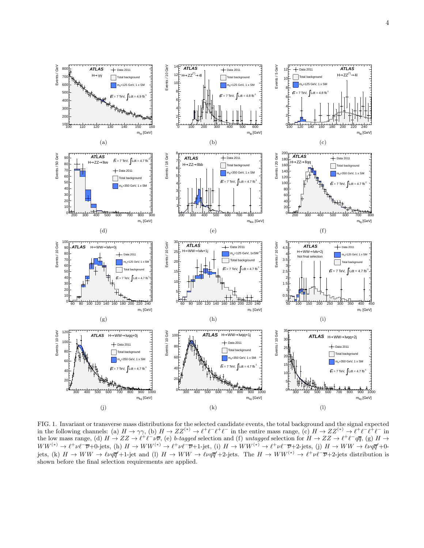

<span id="page-4-0"></span>FIG. 1. Invariant or transverse mass distributions for the selected candidate events, the total background and the signal expected in the following channels: (a)  $H \to \gamma \gamma$ , (b)  $H \to ZZ^{(*)} \to \ell^+ \ell^- \ell^+ \ell^-$  in the entire mass range, (c)  $H \to ZZ^{(*)} \to \ell^+ \ell^- \ell^+ \ell^-$  in the low mass range, (d)  $H \to ZZ \to \ell^+ \ell^- \nu \overline{\nu}$ , (e) b-tagged selection and (f) untagged selection for  $H \to ZZ \to \ell^+ \ell^- q \overline{q}$ , (g)  $H \to$  $WW^{(*)} \rightarrow \ell^+ \nu \ell^- \overline{\nu} + 0$ -jets, (h)  $H \rightarrow WW^{(*)} \rightarrow \ell^+ \nu \ell^- \overline{\nu} + 1$ -jet, (i)  $H \rightarrow WW^{(*)} \rightarrow \ell^+ \nu \ell^- \overline{\nu} + 2$ -jets, (j)  $H \rightarrow WW \rightarrow \ell \nu q \overline{q}' + 0$ jets, (k)  $H \to WW \to \ell \nu q \overline{q}'+1$ -jet and (l)  $H \to WW \to \ell \nu q \overline{q}'+2$ -jets. The  $H \to WW^{(*)} \to \ell^+ \nu \ell^- \overline{\nu}+2$ -jets distribution is shown before the final selection requirements are applied.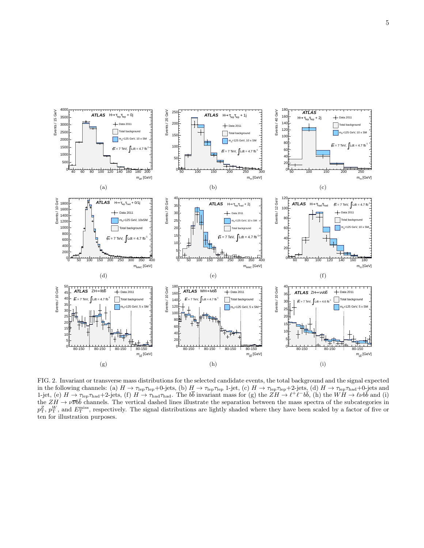

<span id="page-5-0"></span>FIG. 2. Invariant or transverse mass distributions for the selected candidate events, the total background and the signal expected in the following channels: (a)  $H \to \tau_{\rm lep} \tau_{\rm lep} + 0$ -jets, (b)  $H \to \tau_{\rm lep} \tau_{\rm lep}$  1-jet, (c)  $H \to \tau_{\rm lep} \tau_{\rm lep} + 2$ -jets, (d)  $H \to \tau_{\rm lep} \tau_{\rm had} + 0$ -jets and 1-jet, (e)  $H \to \tau_{\rm lep} \tau_{\rm had} + 2$ -jets, (f)  $H \to \tau_{\rm had} \tau_{\rm had}$ . The  $b\overline{b}$  invariant mass for (g) the  $ZH \to \ell^+ \ell^- b\overline{b}$ , (h) the  $WH \to \ell \nu b\overline{b}$  and (i) the  $ZH \to \nu \overline{\nu} b\overline{b}$  channels. The vertical dashed lines illustrate the separation between the mass spectra of the subcategories in  $p_T^Z$ ,  $p_T^W$ , and  $E_T^{\text{miss}}$ , respectively. The signal distributions are lightly shaded where they have been scaled by a factor of five or ten for illustration purposes.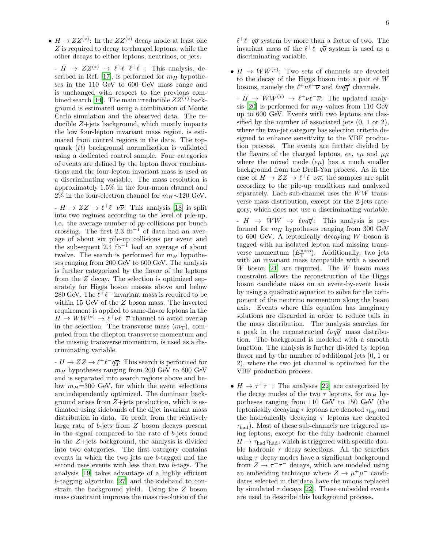•  $H \to ZZ^{(*)}$ : In the  $ZZ^{(*)}$  decay mode at least one Z is required to decay to charged leptons, while the other decays to either leptons, neutrinos, or jets.

 $-H \to ZZ^{(*)} \to \ell^+\ell^-\ell^+\ell^-$ : This analysis, de-scribed in Ref. [\[17\]](#page-18-11), is performed for  $m_H$  hypotheses in the 110 GeV to 600 GeV mass range and is unchanged with respect to the previous com-bined search [\[14\]](#page-18-8). The main irreducible  $ZZ^{(*)}$  background is estimated using a combination of Monte Carlo simulation and the observed data. The reducible  $Z + i$ ets background, which mostly impacts the low four-lepton invariant mass region, is estimated from control regions in the data. The topquark  $(t\bar{t})$  background normalization is validated using a dedicated control sample. Four categories of events are defined by the lepton flavor combinations and the four-lepton invariant mass is used as a discriminating variable. The mass resolution is approximately 1.5% in the four-muon channel and 2% in the four-electron channel for  $m_H \sim 120$  GeV.

 $-H \to ZZ \to \ell^+ \ell^- \nu \overline{\nu}$ : This analysis [\[18\]](#page-18-12) is split into two regimes according to the level of pile-up, i.e. the average number of pp collisions per bunch crossing. The first 2.3 fb<sup>-1</sup> of data had an average of about six pile-up collisions per event and the subsequent 2.4 fb<sup>-1</sup> had an average of about twelve. The search is performed for  $m_H$  hypotheses ranging from 200 GeV to 600 GeV. The analysis is further categorized by the flavor of the leptons from the Z decay. The selection is optimized separately for Higgs boson masses above and below 280 GeV. The  $\ell^+ \ell^-$  invariant mass is required to be within 15 GeV of the Z boson mass. The inverted requirement is applied to same-flavor leptons in the  $H \to WW^{(*)} \to \ell^+ \nu \ell^- \overline{\nu}$  channel to avoid overlap in the selection. The transverse mass  $(m<sub>T</sub>)$ , computed from the dilepton transverse momentum and the missing transverse momentum, is used as a discriminating variable.

 $-H \to ZZ \to \ell^+\ell^- q\overline{q}$ : This search is performed for  $m_H$  hypotheses ranging from 200 GeV to 600 GeV and is separated into search regions above and below  $m_H$ =300 GeV, for which the event selections are independently optimized. The dominant background arises from  $Z +$ jets production, which is estimated using sidebands of the dijet invariant mass distribution in data. To profit from the relatively large rate of b-jets from Z boson decays present in the signal compared to the rate of b-jets found in the  $Z + jets$  background, the analysis is divided into two categories. The first category contains events in which the two jets are b-tagged and the second uses events with less than two b-tags. The analysis [\[19](#page-18-13)] takes advantage of a highly efficient b-tagging algorithm [\[27](#page-19-2)] and the sideband to constrain the background yield. Using the Z boson mass constraint improves the mass resolution of the

 $\ell^+\ell^-q\overline{q}$  system by more than a factor of two. The invariant mass of the  $\ell^+ \ell^- q \overline{q}$  system is used as a discriminating variable.

•  $H \to WW^{(*)}$ : Two sets of channels are devoted to the decay of the Higgs boson into a pair of W bosons, namely the  $\ell^+ \nu \ell^- \overline{\nu}$  and  $\ell \nu q \overline{q}'$  channels.

 $-H \to WW^{(*)} \to \ell^+ \nu \ell^- \overline{\nu}$ : The updated analy-sis [\[20](#page-18-14)] is performed for  $m_H$  values from 110 GeV up to 600 GeV. Events with two leptons are classified by the number of associated jets (0, 1 or 2), where the two-jet category has selection criteria designed to enhance sensitivity to the VBF production process. The events are further divided by the flavors of the charged leptons, ee,  $e\mu$  and  $\mu\mu$ where the mixed mode  $(e\mu)$  has a much smaller background from the Drell-Yan process. As in the case of  $H \to ZZ \to \ell^+ \ell^- \nu \overline{\nu}$ , the samples are split according to the pile-up conditions and analyzed separately. Each sub-channel uses the WW transverse mass distribution, except for the 2-jets category, which does not use a discriminating variable.

 $\mu H \rightarrow WW \rightarrow \ell \nu q \overline{q}'$ : This analysis is performed for  $m_H$  hypotheses ranging from 300 GeV to 600 GeV. A leptonically decaying W boson is tagged with an isolated lepton and missing transverse momentum  $(E_{\text{T}}^{\text{miss}})$ . Additionally, two jets with an invariant mass compatible with a second W boson [\[21](#page-18-15)] are required. The W boson mass constraint allows the reconstruction of the Higgs boson candidate mass on an event-by-event basis by using a quadratic equation to solve for the component of the neutrino momentum along the beam axis. Events where this equation has imaginary solutions are discarded in order to reduce tails in the mass distribution. The analysis searches for a peak in the reconstructed  $\ell \nu q \bar{q}'$  mass distribution. The background is modeled with a smooth function. The analysis is further divided by lepton flavor and by the number of additional jets (0, 1 or 2), where the two jet channel is optimized for the VBF production process.

•  $H \to \tau^+\tau^-$ : The analyses [\[22\]](#page-18-16) are categorized by the decay modes of the two  $\tau$  leptons, for  $m_H$  hypotheses ranging from 110 GeV to 150 GeV (the leptonically decaying  $\tau$  leptons are denoted  $\tau_{\rm lep}$  and the hadronically decaying  $\tau$  leptons are denoted  $\tau_{\text{had}}$ ). Most of these sub-channels are triggered using leptons, except for the fully hadronic channel  $H \to \tau_{\text{had}} \tau_{\text{had}}$ , which is triggered with specific double hadronic  $\tau$  decay selections. All the searches using  $\tau$  decay modes have a significant background from  $Z \to \tau^+\tau^-$  decays, which are modeled using an embedding technique where  $Z \to \mu^+\mu^-$  candidates selected in the data have the muons replaced by simulated  $\tau$  decays [\[22](#page-18-16)]. These embedded events are used to describe this background process.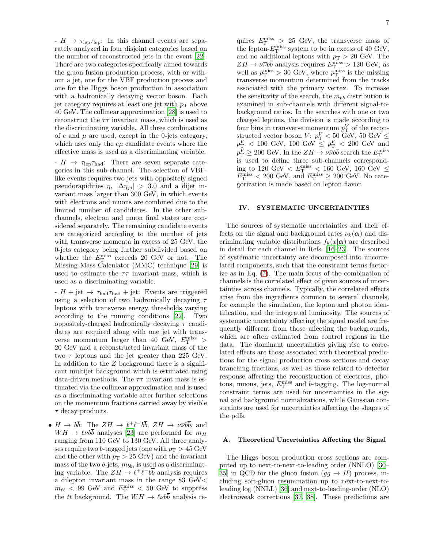$-H \rightarrow \tau_{\rm lep} \tau_{\rm lep}$ : In this channel events are separately analyzed in four disjoint categories based on the number of reconstructed jets in the event [\[22\]](#page-18-16). There are two categories specifically aimed towards the gluon fusion production process, with or without a jet, one for the VBF production process and one for the Higgs boson production in association with a hadronically decaying vector boson. Each iet category requires at least one jet with  $p_T$  above 40 GeV. The collinear approximation [\[28](#page-19-3)] is used to reconstruct the  $\tau\tau$  invariant mass, which is used as the discriminating variable. All three combinations of  $e$  and  $\mu$  are used, except in the 0-jets category, which uses only the  $e\mu$  candidate events where the effective mass is used as a discriminating variable.

 $-H \rightarrow \tau_{\rm lep} \tau_{\rm had}$ : There are seven separate categories in this sub-channel. The selection of VBFlike events requires two jets with oppositely signed pseudorapidities  $\eta$ ,  $|\Delta \eta_{ij}| > 3.0$  and a dijet invariant mass larger than 300 GeV, in which events with electrons and muons are combined due to the limited number of candidates. In the other subchannels, electron and muon final states are considered separately. The remaining candidate events are categorized according to the number of jets with transverse momenta in excess of 25 GeV, the 0-jets category being further subdivided based on whether the  $E_{\rm T}^{\rm miss}$  exceeds 20 GeV or not. The Missing Mass Calculator (MMC) technique [\[29\]](#page-19-4) is used to estimate the  $\tau\tau$  invariant mass, which is used as a discriminating variable.

-  $H$  + jet  $\rightarrow \tau_{\text{had}}\tau_{\text{had}}$  + jet: Events are triggered using a selection of two hadronically decaying  $\tau$ leptons with transverse energy thresholds varying according to the running conditions [\[22\]](#page-18-16). Two oppositely-charged hadronically decaying  $\tau$  candidates are required along with one jet with transverse momentum larger than 40 GeV,  $E_{\rm T}^{\rm miss}$  > 20 GeV and a reconstructed invariant mass of the two  $\tau$  leptons and the jet greater than 225 GeV. In addition to the Z background there is a significant multijet background which is estimated using data-driven methods. The  $\tau\tau$  invariant mass is estimated via the collinear approximation and is used as a discriminating variable after further selections on the momentum fractions carried away by visible  $\tau$  decay products.

•  $H \to b\bar{b}$ : The  $ZH \to \ell^+\ell^-b\bar{b}$ ,  $ZH \to \nu\bar{\nu}b\bar{b}$ , and  $WH \rightarrow \ell \nu b\bar{b}$  analyses [\[23](#page-18-17)] are performed for  $m_H$ ranging from 110 GeV to 130 GeV. All three analyses require two *b*-tagged jets (one with  $p_T > 45$  GeV and the other with  $p_T > 25$  GeV) and the invariant mass of the two  $b$ -jets,  $m_{bb}$ , is used as a discriminating variable. The  $ZH \to \ell^+\ell^-b\overline{b}$  analysis requires a dilepton invariant mass in the range 83 GeV<  $m_{\ell\ell}$  < 99 GeV and  $E_{\rm T}^{\rm miss}$  < 50 GeV to suppress the  $t\bar{t}$  background. The  $WH \rightarrow \ell\nu b\bar{b}$  analysis re-

quires  $E_T^{\text{miss}} > 25$  GeV, the transverse mass of the lepton- $E_{\rm T}^{\rm miss}$  system to be in excess of 40 GeV, and no additional leptons with  $p_T > 20$  GeV. The  $ZH \rightarrow \nu\overline{\nu}b\overline{b}$  analysis requires  $E_{\rm T}^{\rm miss} > 120$  GeV, as well as  $p_T^{\text{miss}} > 30$  GeV, where  $p_T^{\text{miss}}$  is the missing transverse momentum determined from the tracks associated with the primary vertex. To increase the sensitivity of the search, the  $m_{bb}$  distribution is examined in sub-channels with different signal-tobackground ratios. In the searches with one or two charged leptons, the division is made according to four bins in transverse momentum  $p_{\text{T}}^V$  of the reconstructed vector boson  $V: p_{\text{T}}^V < 50 \text{ GeV}, 50 \text{ GeV} \leq$  $p_{\textrm{T}}^V < 100$  GeV,  $100$  GeV  $\leq p_{\textrm{T}}^V < 200$  GeV and  $p_{\text{T}}^V \geq 200 \text{ GeV}$ . In the  $ZH \to \nu \bar{\nu} b\bar{b}$  search the  $E_{\text{T}}^{\text{miss}}$ is used to define three sub-channels corresponding to 120 GeV  $\lt E_T^{\text{miss}} \lt 160$  GeV, 160 GeV  $\le$  $E_{\rm T}^{\rm miss}$  < 200 GeV, and  $E_{\rm T}^{\rm miss}$   $\geq$  200 GeV. No categorization is made based on lepton flavor.

#### <span id="page-7-0"></span>IV. SYSTEMATIC UNCERTAINTIES

The sources of systematic uncertainties and their effects on the signal and background rates  $\nu_k(\alpha)$  and discriminating variable distributions  $f_k(x|\alpha)$  are described in detail for each channel in Refs. [\[16](#page-18-10)[–23](#page-18-17)]. The sources of systematic uncertainty are decomposed into uncorrelated components, such that the constraint terms factorize as in Eq. [\(7\)](#page-3-2). The main focus of the combination of channels is the correlated effect of given sources of uncertainties across channels. Typically, the correlated effects arise from the ingredients common to several channels, for example the simulation, the lepton and photon identification, and the integrated luminosity. The sources of systematic uncertainty affecting the signal model are frequently different from those affecting the backgrounds, which are often estimated from control regions in the data. The dominant uncertainties giving rise to correlated effects are those associated with theoretical predictions for the signal production cross sections and decay branching fractions, as well as those related to detector response affecting the reconstruction of electrons, photons, muons, jets,  $E_{\rm T}^{\rm miss}$  and b-tagging. The log-normal constraint terms are used for uncertainties in the signal and background normalizations, while Gaussian constraints are used for uncertainties affecting the shapes of the pdfs.

#### A. Theoretical Uncertainties Affecting the Signal

The Higgs boson production cross sections are computed up to next-to-next-to-leading order (NNLO) [\[30](#page-19-5)– [35\]](#page-19-6) in QCD for the gluon fusion  $(gq \rightarrow H)$  process, including soft-gluon resummation up to next-to-next-toleading log (NNLL) [\[36\]](#page-19-7) and next-to-leading-order (NLO) electroweak corrections [\[37,](#page-19-8) [38](#page-19-9)]. These predictions are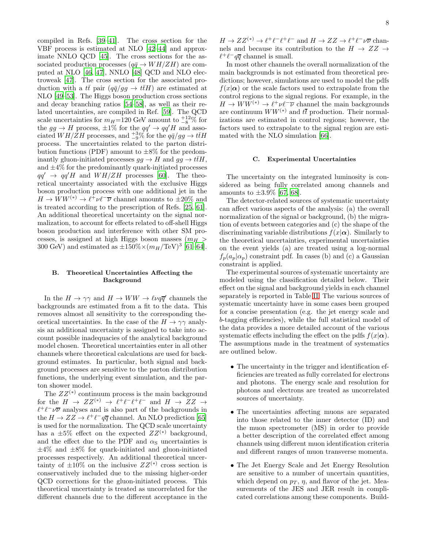compiled in Refs. [\[39](#page-19-10)[–41\]](#page-19-11). The cross section for the VBF process is estimated at NLO [\[42](#page-19-12)[–44\]](#page-19-13) and approximate NNLO QCD [\[45](#page-19-14)]. The cross sections for the associated production processes  $(q\bar{q} \rightarrow WH/ZH)$  are computed at NLO [\[46,](#page-19-15) [47\]](#page-19-16), NNLO [\[48\]](#page-19-17) QCD and NLO electroweak [\[47\]](#page-19-16). The cross section for the associated production with a  $t\bar{t}$  pair  $(q\bar{q}/gg \to t\bar{t}H)$  are estimated at NLO [\[49](#page-19-18)[–53\]](#page-19-19). The Higgs boson production cross sections and decay branching ratios [\[54](#page-19-20)[–58\]](#page-19-21), as well as their related uncertainties, are compiled in Ref. [\[59\]](#page-19-22). The QCD scale uncertainties for  $m_H$ =120 GeV amount to  $^{+12}_{-8}$ % for the  $gg \to H$  process,  $\pm 1\%$  for the  $qq' \to qq'H$  and associated  $WH/ZH$  processes, and  $^{+3}_{-9}$ % for the  $q\bar{q}/gg \to t\bar{t}H$ process. The uncertainties related to the parton distribution functions (PDF) amount to  $\pm 8\%$  for the predominantly gluon-initiated processes  $gg \to H$  and  $gg \to t\bar{t}H$ , and  $\pm 4\%$  for the predominantly quark-initiated processes  $qq' \rightarrow qq'H$  and  $WH/ZH$  processes [\[60](#page-19-23)]. The theoretical uncertainty associated with the exclusive Higgs boson production process with one additional jet in the  $H \to WW^{(*)} \to \ell^{\frac{1}{2}} \nu \ell^{-} \overline{\nu}$  channel amounts to  $\pm 20\%$  and is treated according to the prescription of Refs. [\[25](#page-19-0), [61\]](#page-19-24). An additional theoretical uncertainty on the signal normalization, to account for effects related to off-shell Higgs boson production and interference with other SM processes, is assigned at high Higgs boson masses  $(m_H >$ 300 GeV) and estimated as  $\pm 150\% \times (m_H/\text{TeV})^3$  [\[61](#page-19-24)[–64\]](#page-19-25).

# B. Theoretical Uncertainties Affecting the Background

In the  $H \to \gamma\gamma$  and  $H \to WW \to \ell\nu q\bar{q}'$  channels the backgrounds are estimated from a fit to the data. This removes almost all sensitivity to the corresponding theoretical uncertainties. In the case of the  $H \to \gamma\gamma$  analysis an additional uncertainty is assigned to take into account possible inadequacies of the analytical background model chosen. Theoretical uncertainties enter in all other channels where theoretical calculations are used for background estimates. In particular, both signal and background processes are sensitive to the parton distribution functions, the underlying event simulation, and the parton shower model.

The  $ZZ^{(*)}$  continuum process is the main background for the  $H \to ZZ^{(*)} \to \ell^+ \ell^- \ell^+ \ell^-$  and  $H \to ZZ \to \ell^+ \ell^- \ell^ \ell^+ \ell^- \nu \overline{\nu}$  analyses and is also part of the backgrounds in the  $H \to ZZ \to \ell^+\ell^- q\overline{q}$  channel. An NLO prediction [\[65](#page-19-26)] is used for the normalization. The QCD scale uncertainty has a  $\pm 5\%$  effect on the expected  $ZZ^{(*)}$  background, and the effect due to the PDF and  $\alpha_{\rm S}$  uncertainties is  $\pm 4\%$  and  $\pm 8\%$  for quark-initiated and gluon-initiated processes respectively. An additional theoretical uncertainty of  $\pm 10\%$  on the inclusive  $ZZ^{(*)}$  cross section is conservatively included due to the missing higher-order QCD corrections for the gluon-initiated process. This theoretical uncertainty is treated as uncorrelated for the different channels due to the different acceptance in the

 $H \to ZZ^{(*)} \to \ell^+ \ell^- \ell^+ \ell^-$  and  $H \to ZZ \to \ell^+ \ell^- \nu \overline{\nu}$  channels and because its contribution to the  $H \rightarrow ZZ \rightarrow$  $\ell^+\ell^-q\overline{q}$  channel is small.

In most other channels the overall normalization of the main backgrounds is not estimated from theoretical predictions; however, simulations are used to model the pdfs  $f(x|\alpha)$  or the scale factors used to extrapolate from the control regions to the signal regions. For example, in the  $H \to WW^{(*)} \to \ell^+ \nu \ell^- \overline{\nu}$  channel the main backgrounds are continuum  $WW^{(*)}$  and  $t\bar{t}$  production. Their normalizations are estimated in control regions; however, the factors used to extrapolate to the signal region are estimated with the NLO simulation [\[66](#page-19-27)].

# C. Experimental Uncertainties

The uncertainty on the integrated luminosity is considered as being fully correlated among channels and amounts to  $\pm 3.9\%$  [\[67](#page-19-28), [68](#page-19-29)].

The detector-related sources of systematic uncertainty can affect various aspects of the analysis: (a) the overall normalization of the signal or background, (b) the migration of events between categories and (c) the shape of the discriminating variable distributions  $f(x|\alpha)$ . Similarly to the theoretical uncertainties, experimental uncertainties on the event yields (a) are treated using a log-normal  $f_p(a_p|\alpha_p)$  constraint pdf. In cases (b) and (c) a Gaussian constraint is applied.

The experimental sources of systematic uncertainty are modeled using the classification detailed below. Their effect on the signal and background yields in each channel separately is reported in Table [II.](#page-9-0) The various sources of systematic uncertainty have in some cases been grouped for a concise presentation (e.g. the jet energy scale and b-tagging efficiencies), while the full statistical model of the data provides a more detailed account of the various systematic effects including the effect on the pdfs  $f(x|\alpha)$ . The assumptions made in the treatment of systematics are outlined below.

- The uncertainty in the trigger and identification efficiencies are treated as fully correlated for electrons and photons. The energy scale and resolution for photons and electrons are treated as uncorrelated sources of uncertainty.
- The uncertainties affecting muons are separated into those related to the inner detector (ID) and the muon spectrometer (MS) in order to provide a better description of the correlated effect among channels using different muon identification criteria and different ranges of muon transverse momenta.
- The Jet Energy Scale and Jet Energy Resolution are sensitive to a number of uncertain quantities, which depend on  $p<sub>T</sub>$ ,  $\eta$ , and flavor of the jet. Measurements of the JES and JER result in complicated correlations among these components. Build-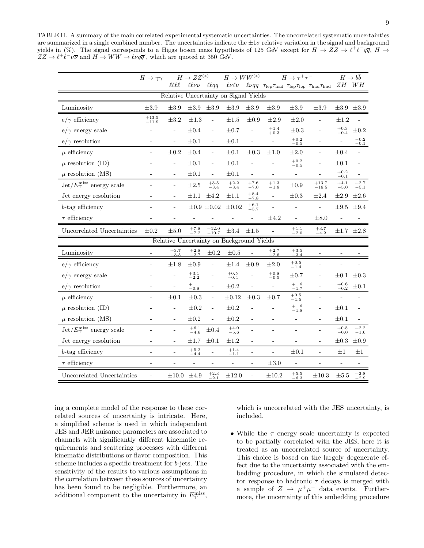<span id="page-9-0"></span>TABLE II. A summary of the main correlated experimental systematic uncertainties. The uncorrelated systematic uncertainties are summarized in a single combined number. The uncertainties indicate the  $\pm 1\sigma$  relative variation in the signal and background yields in (%). The signal corresponds to a Higgs boson mass hypothesis of 125 GeV except for  $H \to ZZ \to \ell^+ \ell^- q \overline{q}$ ,  $H \to \overline{q} \overline{q}$  $ZZ \to \ell^+ \ell^- \nu \overline{\nu}$  and  $H \to WW \to \ell \nu q \overline{q}'$ , which are quoted at 350 GeV.

|                                                            | $H \to \gamma\gamma$        |                              | $H \rightarrow ZZ^{(*)}$ |                                | $H \to WW^{(*)}$                          |                          |                              | $H \rightarrow \tau^+ \tau^-$ |                                            | $H \to b\overline{b}$ |                  |
|------------------------------------------------------------|-----------------------------|------------------------------|--------------------------|--------------------------------|-------------------------------------------|--------------------------|------------------------------|-------------------------------|--------------------------------------------|-----------------------|------------------|
|                                                            |                             | $\ell\ell\ell\ell$           |                          | $\ell\ell\nu\nu$ $\ell\ell qq$ | $\ell\nu\ell\nu$                          |                          |                              |                               | $\ell\nu qq$ Tlep Thad Tlep Tlep Thad Thad |                       | $ZH\quad WH$     |
| Relative Uncertainty on Signal Yields                      |                             |                              |                          |                                |                                           |                          |                              |                               |                                            |                       |                  |
| Luminosity                                                 | $\pm 3.9$                   | $\pm 3.9$                    | $\pm 3.9$                | $\pm 3.9$                      | $\pm 3.9$                                 | $\pm 3.9$                | $\pm 3.9$                    | $\pm 3.9$                     | $\pm 3.9$                                  | $\pm 3.9$             | $\pm 3.9$        |
| $e/\gamma$ efficiency                                      | $\substack{+13.5 \\ -11.9}$ | $\pm 3.2$                    | $\pm 1.3$                | $\Box$                         | $\pm 1.5$                                 | $\pm 0.9$                | $\pm 2.9$                    | $\pm 2.0$                     | $\blacksquare$                             | $\pm 1.2$             |                  |
| $e/\gamma$ energy scale                                    |                             | $\overline{\phantom{0}}$     | $\pm 0.4$                | $\overline{\phantom{a}}$       | $\pm 0.7$                                 |                          | $^{+1.4}_{+0.3}$             | $\pm 0.3$                     | ÷,                                         | $^{+0.3}_{-0.4}$      | $\pm 0.2$        |
| $e/\gamma$ resolution                                      |                             | $\overline{a}$               | $\pm 0.1$                | $\overline{\phantom{a}}$       | $\pm 0.1$                                 |                          | $\overline{\phantom{0}}$     | $+0.2$<br>$-0.5$              |                                            | ÷                     | $-0.2$<br>$-0.1$ |
| $\mu$ efficiency                                           |                             | $\pm 0.2$                    | $\pm 0.4$                | $\overline{\phantom{a}}$       | $\pm 0.1$                                 | $\pm 0.3$                | $\pm 1.0$                    | $\pm 2.0$                     | $\bar{a}$                                  | $\pm 0.4$             | $\overline{a}$   |
| $\mu$ resolution (ID)                                      |                             | $\overline{a}$               | $\pm 0.1$                | $\overline{\phantom{a}}$       | $\pm 0.1$                                 |                          |                              | $\bf+0.2$<br>$-0.5$           |                                            | $\pm 0.1$             |                  |
| $\mu$ resolution (MS)                                      |                             | $\overline{\phantom{0}}$     | $\pm 0.1$                | $\bar{a}$                      | $\pm 0.1$                                 |                          | -                            | $\blacksquare$                |                                            | $^{+0.2}_{-0.1}$      |                  |
| $\mathrm{Jet}/E_{\mathrm{T}}^{\mathrm{miss}}$ energy scale |                             | $\overline{\phantom{a}}$     | $\pm 2.5$                | $^{+3.5}_{-3.4}$               | $+2.2$<br>$-3.4$                          | $+7.6$<br>$-7.0$         | $^{+1.3}_{-1.8}$             | $\pm 0.9$                     | $+13.7$<br>$-16.5$                         | $+4.1$<br>$-5.0$      | $+2.7$<br>$-5.1$ |
| Jet energy resolution                                      |                             | $\qquad \qquad \blacksquare$ | $\pm 1.1$                | $\pm 4.2$                      | $\pm 1.1$                                 | $^{+8.4}_{-7.8}$         | $\qquad \qquad \blacksquare$ | $\pm 0.3$                     | $\pm 2.4$                                  | $\pm 2.9$             | $\pm 2.6$        |
| $b$ -tag efficiency                                        | ÷,                          | $\qquad \qquad \blacksquare$ |                          | $\pm 0.9 \pm 0.02$             | $\pm 0.02$                                | $+6.1$<br>$-5.7$         |                              | $\qquad \qquad \blacksquare$  | $\overline{a}$                             | $\pm 9.5$             | $\pm 9.4$        |
| $\tau$ efficiency                                          |                             | $\overline{\phantom{0}}$     |                          |                                |                                           | $\blacksquare$           | $\pm 4.2$                    | $\blacksquare$                | $\pm 8.0$                                  | $\frac{1}{2}$         |                  |
| Uncorrelated Uncertainties                                 | $\pm 0.2$                   | $\pm 5.0$                    | $^{+7.8}_{-7.2}$         | $^{+12.0}_{-10.7}$             | $\pm 3.4$                                 | $\pm 1.5$                | $\overline{a}$               | $+1.1$<br>$-2.0$              | $^{+3.7}_{-4.2}$                           | $\pm 1.7$             | $\pm 2.8$        |
|                                                            |                             |                              |                          |                                | Relative Uncertainty on Background Yields |                          |                              |                               |                                            |                       |                  |
| Luminosity                                                 |                             | $+3.7$<br>$-3.5$             | $+2.8$<br>$-2.7$         | $\pm 0.2$                      | $\pm 0.5$                                 |                          | $^{+2.7}_{-2.6}$             | $+3.5$<br>$-3.4$              |                                            |                       |                  |
| $e/\gamma$ efficiency                                      |                             | $\pm 1.8$                    | $\pm 0.9$                | ÷,                             | $\pm 1.4$                                 | $\pm 0.9$                | $\pm 2.0$                    | $+0.5$<br>$-1.4$              |                                            |                       |                  |
| $e/\gamma$ energy scale                                    |                             | $\overline{\phantom{0}}$     | $+3.1$<br>$-2.2$         |                                | $+0.5$<br>$-0.4$                          |                          | $+0.8$<br>$-0.5$             | $\pm 0.7$                     |                                            | $\pm 0.1$             | $\pm 0.3$        |
| $e/\gamma$ resolution                                      |                             |                              | $+1.1$<br>$-0.8$         |                                | $\pm 0.2$                                 |                          | $\overline{\phantom{0}}$     | $+1.6$<br>$-1.7$              |                                            | $+0.6$<br>$-0.2$      | $\pm 0.1$        |
| $\mu$ efficiency                                           |                             | $\pm 0.1$                    | $\pm 0.3$                | $\overline{\phantom{a}}$       | $\pm 0.12$                                | $\pm 0.3$                | $\pm 0.7$                    | $+0.5$<br>$-1.5$              |                                            |                       |                  |
| $\mu$ resolution (ID)                                      |                             |                              | $\pm 0.2$                | $\overline{a}$                 | $\pm 0.2$                                 |                          |                              | $+1.6$<br>$-1.8$              |                                            | $\pm 0.1$             |                  |
| $\mu$ resolution (MS)                                      |                             | ÷,                           | $\pm 0.2$                | $\overline{a}$                 | $\pm 0.2$                                 |                          | ÷,                           | $\overline{\phantom{a}}$      |                                            | $\pm 0.1$             |                  |
| $\mathrm{Jet}/E_{\mathrm{T}}^{\mathrm{miss}}$ energy scale |                             | ÷,                           | $^{+6.1}_{-4.6}$         | $\pm 0.4$                      | $+4.0$<br>$-5.6$                          |                          |                              | ÷,                            | $\overline{\phantom{m}}$                   | $+0.5$<br>$-0.0$      | $+2.2$<br>$-1.6$ |
| Jet energy resolution                                      |                             | $\frac{1}{2}$                | $\pm 1.7$                | $\pm 0.1$                      | $\pm 1.2$                                 |                          |                              |                               | $\overline{a}$                             | $\pm 0.3$             | $\pm 0.9$        |
| $b$ -tag efficiency                                        | ÷,                          | $\qquad \qquad \blacksquare$ | $+5.2$<br>$-4.4$         |                                | $+1.4$<br>$-1.1$                          |                          | $\overline{\phantom{0}}$     | $\pm 0.1$                     | ÷,                                         | $\pm 1$               | $\pm 1$          |
| $\tau$ efficiency                                          | ÷                           | $\overline{\phantom{0}}$     | ÷,                       | $\overline{\phantom{a}}$       | $\overline{\phantom{0}}$                  | $\overline{\phantom{a}}$ | $\pm 3.0$                    | $\overline{\phantom{a}}$      | $\blacksquare$                             | $\frac{1}{2}$         |                  |
| Uncorrelated Uncertainties                                 | $\blacksquare$              | $\pm 10.0$                   | $\pm 4.9$                | $+2.3$<br>$^{-2.1}$            | $\pm 12.0$                                |                          | $\pm 10.2$                   | $+5.5$<br>$-6.3$              | $\pm 10.3$                                 | $\pm 5.5$             | $^{+2.8}_{-2.9}$ |

ing a complete model of the response to these correlated sources of uncertainty is intricate. Here, a simplified scheme is used in which independent JES and JER nuisance parameters are associated to channels with significantly different kinematic requirements and scattering processes with different kinematic distributions or flavor composition. This scheme includes a specific treatment for b-jets. The sensitivity of the results to various assumptions in the correlation between these sources of uncertainty has been found to be negligible. Furthermore, an additional component to the uncertainty in  $E_{\rm T}^{\rm miss}$ ,

which is uncorrelated with the JES uncertainty, is included.

• While the  $\tau$  energy scale uncertainty is expected to be partially correlated with the JES, here it is treated as an uncorrelated source of uncertainty. This choice is based on the largely degenerate effect due to the uncertainty associated with the embedding procedure, in which the simulated detector response to hadronic  $\tau$  decays is merged with a sample of  $Z \rightarrow \mu^+\mu^-$  data events. Furthermore, the uncertainty of this embedding procedure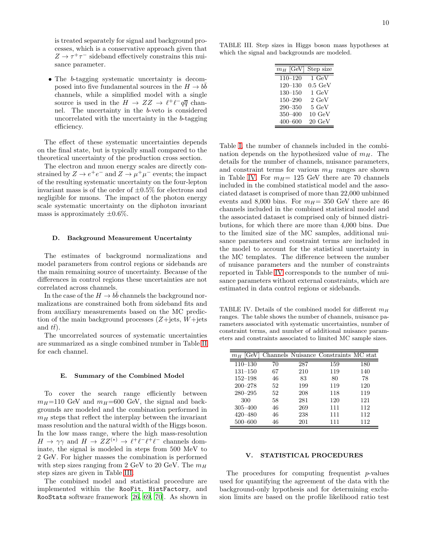is treated separately for signal and background processes, which is a conservative approach given that  $Z\to\tau^+\tau^-$  sideband effectively constrains this nuisance parameter.

• The b-tagging systematic uncertainty is decomposed into five fundamental sources in the  $H \to b\bar{b}$ channels, while a simplified model with a single source is used in the  $H \to ZZ \to \ell^+ \ell^- q \overline{q}$  channel. The uncertainty in the b-veto is considered uncorrelated with the uncertainty in the b-tagging efficiency.

The effect of these systematic uncertainties depends on the final state, but is typically small compared to the theoretical uncertainty of the production cross section.

The electron and muon energy scales are directly constrained by  $Z \to e^+e^-$  and  $Z \to \mu^+\mu^-$  events; the impact of the resulting systematic uncertainty on the four-lepton invariant mass is of the order of  $\pm 0.5\%$  for electrons and negligible for muons. The impact of the photon energy scale systematic uncertainty on the diphoton invariant mass is approximately  $\pm 0.6\%$ .

### D. Background Measurement Uncertainty

The estimates of background normalizations and model parameters from control regions or sidebands are the main remaining source of uncertainty. Because of the differences in control regions these uncertainties are not correlated across channels.

In the case of the  $H \to b\bar{b}$  channels the background normalizations are constrained both from sideband fits and from auxiliary measurements based on the MC prediction of the main background processes  $(Z+{\text{jets}}, W+{\text{jets}})$ and  $t\bar{t}$ .

The uncorrelated sources of systematic uncertainties are summarized as a single combined number in Table [II](#page-9-0) for each channel.

#### E. Summary of the Combined Model

To cover the search range efficiently between  $m_H$ =110 GeV and  $m_H$ =600 GeV, the signal and backgrounds are modeled and the combination performed in  $m_H$  steps that reflect the interplay between the invariant mass resolution and the natural width of the Higgs boson. In the low mass range, where the high mass-resolution  $H \to \gamma \gamma$  and  $H \to ZZ^{(*)} \to \ell^+ \ell^- \ell^+ \ell^-$  channels dominate, the signal is modeled in steps from 500 MeV to 2 GeV. For higher masses the combination is performed with step sizes ranging from 2 GeV to 20 GeV. The  $m_H$ step sizes are given in Table [III.](#page-10-1)

The combined model and statistical procedure are implemented within the RooFit, HistFactory, and RooStats software framework [\[26](#page-19-1), [69,](#page-19-30) [70\]](#page-19-31). As shown in

TABLE III. Step sizes in Higgs boson mass hypotheses at which the signal and backgrounds are modeled.

<span id="page-10-1"></span>

| $m_H\ [{\rm GeV}]$ | Step size                 |
|--------------------|---------------------------|
| $110 - 120$        | $1 \overline{\text{GeV}}$ |
| $120 - 130$        | $0.5\,\mathrm{GeV}$       |
| $130 - 150$        | $1 \text{ GeV}$           |
| $150 - 290$        | $2 \text{ GeV}$           |
| $290 - 350$        | $5 \text{ GeV}$           |
| 350-400            | $10 \text{ GeV}$          |
| $400 - 600$        | $20 \text{ GeV}$          |
|                    |                           |

Table [I,](#page-2-0) the number of channels included in the combination depends on the hypothesized value of  $m<sub>H</sub>$ . The details for the number of channels, nuisance parameters, and constraint terms for various  $m<sub>H</sub>$  ranges are shown in Table [IV.](#page-10-2) For  $m_H$ = 125 GeV there are 70 channels included in the combined statistical model and the associated dataset is comprised of more than 22,000 unbinned events and 8,000 bins. For  $m_H$ = 350 GeV there are 46 channels included in the combined statistical model and the associated dataset is comprised only of binned distributions, for which there are more than 4,000 bins. Due to the limited size of the MC samples, additional nuisance parameters and constraint terms are included in the model to account for the statistical uncertainty in the MC templates. The difference between the number of nuisance parameters and the number of constraints reported in Table [IV](#page-10-2) corresponds to the number of nuisance parameters without external constraints, which are estimated in data control regions or sidebands.

<span id="page-10-2"></span>TABLE IV. Details of the combined model for different  $m_H$ ranges. The table shows the number of channels, nuisance parameters associated with systematic uncertainties, number of constraint terms, and number of additional nuisance parameters and constraints associated to limited MC sample sizes.

| GeV<br>$m_H$ |    |     | Channels Nuisance Constraints MC stat |     |
|--------------|----|-----|---------------------------------------|-----|
| $110 - 130$  | 70 | 287 | 159                                   | 180 |
| $131 - 150$  | 67 | 210 | 119                                   | 140 |
| $152 - 198$  | 46 | 83  | 80                                    | 78  |
| $200 - 278$  | 52 | 199 | 119                                   | 120 |
| $280 - 295$  | 52 | 208 | 118                                   | 119 |
| 300          | 58 | 281 | 120                                   | 121 |
| $305 - 400$  | 46 | 269 | 111                                   | 112 |
| $420 - 480$  | 46 | 238 | 111                                   | 112 |
| 500–600      | 46 | 201 | 111                                   | 112 |

# <span id="page-10-0"></span>V. STATISTICAL PROCEDURES

The procedures for computing frequentist  $p$ -values used for quantifying the agreement of the data with the background-only hypothesis and for determining exclusion limits are based on the profile likelihood ratio test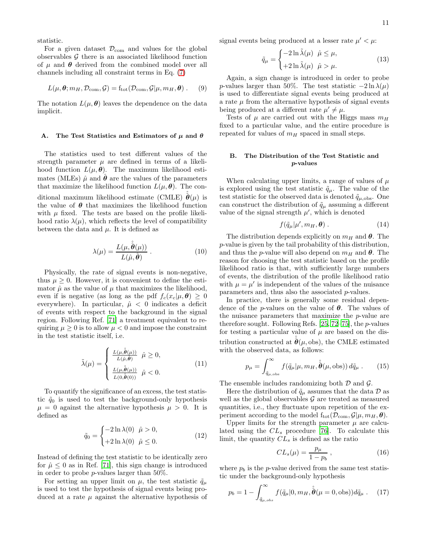statistic.

For a given dataset  $\mathcal{D}_{com}$  and values for the global observables  $G$  there is an associated likelihood function of  $\mu$  and  $\theta$  derived from the combined model over all channels including all constraint terms in Eq. [\(7\)](#page-3-2)

$$
L(\mu, \theta; m_H, \mathcal{D}_{\text{com}}, \mathcal{G}) = f_{\text{tot}}(\mathcal{D}_{\text{com}}, \mathcal{G} | \mu, m_H, \theta) . \quad (9)
$$

The notation  $L(\mu, \theta)$  leaves the dependence on the data implicit.

## A. The Test Statistics and Estimators of  $\mu$  and  $\theta$

The statistics used to test different values of the strength parameter  $\mu$  are defined in terms of a likelihood function  $L(\mu, \theta)$ . The maximum likelihood estimates (MLEs)  $\hat{\mu}$  and  $\hat{\theta}$  are the values of the parameters that maximize the likelihood function  $L(\mu, \theta)$ . The conditional maximum likelihood estimate (CMLE)  $\hat{\boldsymbol{\theta}}(\mu)$  is the value of  $\theta$  that maximizes the likelihood function with  $\mu$  fixed. The tests are based on the profile likelihood ratio  $\lambda(\mu)$ , which reflects the level of compatibility between the data and  $\mu$ . It is defined as

$$
\lambda(\mu) = \frac{L(\mu, \hat{\hat{\boldsymbol{\theta}}}(\mu))}{L(\hat{\mu}, \hat{\boldsymbol{\theta}})}.
$$
\n(10)

Physically, the rate of signal events is non-negative, thus  $\mu \geq 0$ . However, it is convenient to define the estimator  $\hat{\mu}$  as the value of  $\mu$  that maximizes the likelihood, even if is negative (as long as the pdf  $f_c(x_c|\mu, \theta) \geq 0$ everywhere). In particular,  $\hat{\mu}$  < 0 indicates a deficit of events with respect to the background in the signal region. Following Ref. [\[71\]](#page-19-32) a treatment equivalent to requiring  $\mu \geq 0$  is to allow  $\mu < 0$  and impose the constraint in the test statistic itself, i.e.

$$
\tilde{\lambda}(\mu) = \begin{cases}\n\frac{L(\mu, \hat{\theta}(\mu))}{L(\hat{\mu}, \hat{\theta})} & \hat{\mu} \ge 0, \\
\frac{L(\mu, \hat{\theta}(\mu))}{L(0, \hat{\theta}(0))} & \hat{\mu} < 0.\n\end{cases} \tag{11}
$$

To quantify the significance of an excess, the test statistic  $\tilde{q}_0$  is used to test the background-only hypothesis  $\mu = 0$  against the alternative hypothesis  $\mu > 0$ . It is defined as

$$
\tilde{q}_0 = \begin{cases}\n-2\ln\lambda(0) & \hat{\mu} > 0, \\
+2\ln\lambda(0) & \hat{\mu} \le 0.\n\end{cases}
$$
\n(12)

Instead of defining the test statistic to be identically zero for  $\hat{\mu} \leq 0$  as in Ref. [\[71](#page-19-32)], this sign change is introduced in order to probe p-values larger than 50%.

For setting an upper limit on  $\mu$ , the test statistic  $\tilde{q}_{\mu}$ is used to test the hypothesis of signal events being produced at a rate  $\mu$  against the alternative hypothesis of signal events being produced at a lesser rate  $\mu' < \mu$ :

$$
\tilde{q}_{\mu} = \begin{cases}\n-2\ln \tilde{\lambda}(\mu) & \hat{\mu} \le \mu, \\
+2\ln \tilde{\lambda}(\mu) & \hat{\mu} > \mu.\n\end{cases}
$$
\n(13)

Again, a sign change is introduced in order to probe p-values larger than 50%. The test statistic  $-2 \ln \lambda(\mu)$ is used to differentiate signal events being produced at a rate  $\mu$  from the alternative hypothesis of signal events being produced at a different rate  $\mu' \neq \mu$ .

Tests of  $\mu$  are carried out with the Higgs mass  $m_H$ fixed to a particular value, and the entire procedure is repeated for values of  $m_H$  spaced in small steps.

# B. The Distribution of the Test Statistic and p-values

When calculating upper limits, a range of values of  $\mu$ is explored using the test statistic  $\tilde{q}_{\mu}$ . The value of the test statistic for the observed data is denoted  $\tilde{q}_{\mu,obs}$ . One can construct the distribution of  $\tilde{q}_{\mu}$  assuming a different value of the signal strength  $\mu'$ , which is denoted

$$
f(\tilde{q}_{\mu}|\mu', m_H, \theta) . \tag{14}
$$

The distribution depends explicitly on  $m_H$  and  $\theta$ . The p-value is given by the tail probability of this distribution, and thus the p-value will also depend on  $m_H$  and  $\theta$ . The reason for choosing the test statistic based on the profile likelihood ratio is that, with sufficiently large numbers of events, the distribution of the profile likelihood ratio with  $\mu = \mu'$  is independent of the values of the nuisance parameters and, thus also the associated p-values.

In practice, there is generally some residual dependence of the *p*-values on the value of  $\theta$ . The values of the nuisance parameters that maximize the p-value are therefore sought. Following Refs.  $[25, 72-75]$  $[25, 72-75]$  $[25, 72-75]$ , the *p*-values for testing a particular value of  $\mu$  are based on the distribution constructed at  $\hat{\theta}(\mu, \text{obs})$ , the CMLE estimated with the observed data, as follows:

$$
p_{\mu} = \int_{\tilde{q}_{\mu,\text{obs}}}^{\infty} f(\tilde{q}_{\mu}|\mu, m_H, \hat{\hat{\boldsymbol{\theta}}}(\mu, \text{obs})) d\tilde{q}_{\mu} . \qquad (15)
$$

The ensemble includes randomizing both  $\mathcal D$  and  $\mathcal G$ .

Here the distribution of  $\tilde{q}_{\mu}$  assumes that the data  $\mathcal{D}$  as well as the global observables  $\mathcal G$  are treated as measured quantities, i.e., they fluctuate upon repetition of the experiment according to the model  $f_{\text{tot}}(\mathcal{D}_{\text{com}}, \mathcal{G}|\mu, m_H, \theta)$ .

Upper limits for the strength parameter  $\mu$  are calculated using the  $CL_s$  procedure [\[76](#page-19-35)]. To calculate this limit, the quantity  $CL<sub>s</sub>$  is defined as the ratio

$$
CL_s(\mu) = \frac{p_\mu}{1 - p_b} \,,\tag{16}
$$

where  $p_b$  is the p-value derived from the same test statistic under the background-only hypothesis

<span id="page-11-0"></span>
$$
p_b = 1 - \int_{\tilde{q}_{\mu,obs}}^{\infty} f(\tilde{q}_{\mu}|0, m_H, \hat{\hat{\boldsymbol{\theta}}}\,(\mu = 0, \text{obs})) d\tilde{q}_{\mu} \,. \tag{17}
$$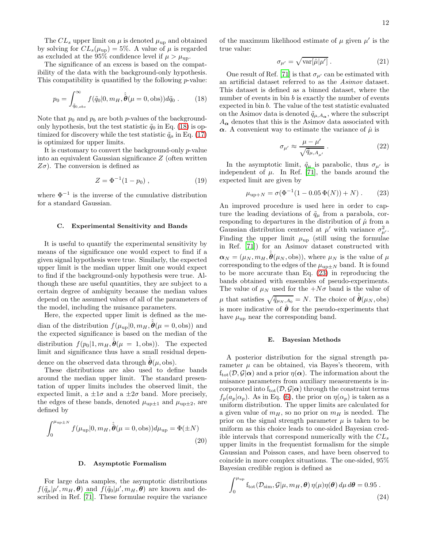The  $CL_s$  upper limit on  $\mu$  is denoted  $\mu_{\text{up}}$  and obtained by solving for  $CL_s(\mu_{\text{up}}) = 5\%$ . A value of  $\mu$  is regarded as excluded at the 95% confidence level if  $\mu > \mu_{\text{up}}$ .

The significance of an excess is based on the compatibility of the data with the background-only hypothesis. This compatibility is quantified by the following  $p$ -value:

<span id="page-12-0"></span>
$$
p_0 = \int_{\tilde{q}_{0,obs}}^{\infty} f(\tilde{q}_0|0, m_H, \hat{\tilde{\boldsymbol{\theta}}}) (\mu = 0, \text{obs})) d\tilde{q}_0 .
$$
 (18)

Note that  $p_0$  and  $p_b$  are both p-values of the backgroundonly hypothesis, but the test statistic  $\tilde{q}_0$  in Eq. [\(18\)](#page-12-0) is optimized for discovery while the test statistic  $\tilde{q}_{\mu}$  in Eq. [\(17\)](#page-11-0) is optimized for upper limits.

It is customary to convert the background-only p-value into an equivalent Gaussian significance Z (often written  $Z\sigma$ ). The conversion is defined as

$$
Z = \Phi^{-1}(1 - p_0) , \qquad (19)
$$

where  $\Phi^{-1}$  is the inverse of the cumulative distribution for a standard Gaussian.

#### C. Experimental Sensitivity and Bands

It is useful to quantify the experimental sensitivity by means of the significance one would expect to find if a given signal hypothesis were true. Similarly, the expected upper limit is the median upper limit one would expect to find if the background-only hypothesis were true. Although these are useful quantities, they are subject to a certain degree of ambiguity because the median values depend on the assumed values of all of the parameters of the model, including the nuisance parameters.

Here, the expected upper limit is defined as the median of the distribution  $f(\mu_{\text{up}}|0, m_H, \hat{\hat{\boldsymbol{\theta}}}(\mu = 0, \text{obs}))$  and the expected significance is based on the median of the distribution  $f(p_0|1, m_H, \hat{\boldsymbol{\theta}}(\mu = 1, \text{obs}))$ . The expected limit and significance thus have a small residual dependence on the observed data through  $\hat{\boldsymbol{\theta}}(\mu, \text{obs})$ .

These distributions are also used to define bands around the median upper limit. The standard presentation of upper limits includes the observed limit, the expected limit, a  $\pm 1\sigma$  and a  $\pm 2\sigma$  band. More precisely, the edges of these bands, denoted  $\mu_{\text{up}\pm 1}$  and  $\mu_{\text{up}\pm 2}$ , are defined by

$$
\int_0^{\mu_{\text{up}\pm N}} f(\mu_{\text{up}}|0, m_H, \hat{\hat{\boldsymbol{\theta}}}(\mu = 0, \text{obs})) d\mu_{\text{up}} = \Phi(\pm N)
$$
\n(20)

### <span id="page-12-2"></span>D. Asymptotic Formalism

For large data samples, the asymptotic distributions  $f(\tilde{q}_{\mu}|\mu', m_{H}, \theta)$  and  $f(\tilde{q}_{0}|\mu', m_{H}, \theta)$  are known and described in Ref. [\[71](#page-19-32)]. These formulae require the variance

of the maximum likelihood estimate of  $\mu$  given  $\mu'$  is the true value:

$$
\sigma_{\mu'} = \sqrt{\text{var}[\hat{\mu}|\mu']} \,. \tag{21}
$$

One result of Ref. [\[71](#page-19-32)] is that  $\sigma_{\mu'}$  can be estimated with an artificial dataset referred to as the Asimov dataset. This dataset is defined as a binned dataset, where the number of events in bin  $b$  is exactly the number of events expected in bin b. The value of the test statistic evaluated on the Asimov data is denoted  $\tilde{q}_{\mu,A_{\alpha}}$ , where the subscript  $A_{\alpha}$  denotes that this is the Asimov data associated with  $\alpha$ . A convenient way to estimate the variance of  $\hat{\mu}$  is

$$
\sigma_{\mu'} \approx \frac{\mu - \mu'}{\sqrt{\tilde{q}_{\mu, A_{\mu'}}}} \,. \tag{22}
$$

In the asymptotic limit,  $\tilde{q}_{\mu}$  is parabolic, thus  $\sigma_{\mu'}$  is independent of  $\mu$ . In Ref. [\[71\]](#page-19-32), the bands around the expected limit are given by

<span id="page-12-1"></span>
$$
\mu_{\text{up+N}} = \sigma(\Phi^{-1}(1 - 0.05 \Phi(N)) + N) \,. \tag{23}
$$

An improved procedure is used here in order to capture the leading deviations of  $\tilde{q}_{\mu}$  from a parabola, corresponding to departures in the distribution of  $\hat{\mu}$  from a Gaussian distribution centered at  $\mu'$  with variance  $\sigma_{\mu'}^2$ . Finding the upper limit  $\mu_{\text{up}}$  (still using the formulae in Ref. [\[71\]](#page-19-32)) for an Asimov dataset constructed with  $\boldsymbol{\alpha}_N = (\mu_N, m_H, \hat{\boldsymbol{\theta}}(\mu_N, \text{obs})),$  where  $\mu_N$  is the value of  $\mu$ corresponding to the edges of the  $\mu_{\text{up}\pm N}$  band. It is found to be more accurate than Eq. [\(23\)](#page-12-1) in reproducing the bands obtained with ensembles of pseudo-experiments. The value of  $\mu_N$  used for the  $+N\sigma$  band is the value of  $\mu$  that satisfies  $\sqrt{\tilde{q}_{\mu_N, A_0}} = N$ . The choice of  $\hat{\boldsymbol{\theta}}(\mu_N, \text{obs})$ is more indicative of  $\hat{\theta}$  for the pseudo-experiments that have  $\mu_{\rm up}$  near the corresponding band.

#### <span id="page-12-3"></span>E. Bayesian Methods

A posterior distribution for the signal strength parameter  $\mu$  can be obtained, via Bayes's theorem, with  $f_{\text{tot}}(\mathcal{D}, \mathcal{G}|\alpha)$  and a prior  $\eta(\alpha)$ . The information about the nuisance parameters from auxiliary measurements is incorporated into  $f_{tot}(\mathcal{D}, \mathcal{G}|\alpha)$  through the constraint terms  $f_p(a_p|\alpha_p)$ . As in Eq. [\(6\)](#page-3-1), the prior on  $\eta(\alpha_p)$  is taken as a uniform distribution. The upper limits are calculated for a given value of  $m_H$ , so no prior on  $m_H$  is needed. The prior on the signal strength parameter  $\mu$  is taken to be uniform as this choice leads to one-sided Bayesian credible intervals that correspond numerically with the  $CL<sub>s</sub>$ upper limits in the frequentist formalism for the simple Gaussian and Poisson cases, and have been observed to coincide in more complex situations. The one-sided, 95% Bayesian credible region is defined as

$$
\int_0^{\mu_{\rm up}} f_{\rm tot}(\mathcal{D}_{\rm sim}, \mathcal{G} | \mu, m_H, \boldsymbol{\theta}) \, \eta(\mu) \eta(\boldsymbol{\theta}) \, d\mu \, d\boldsymbol{\theta} = 0.95 \,.
$$
\n(24)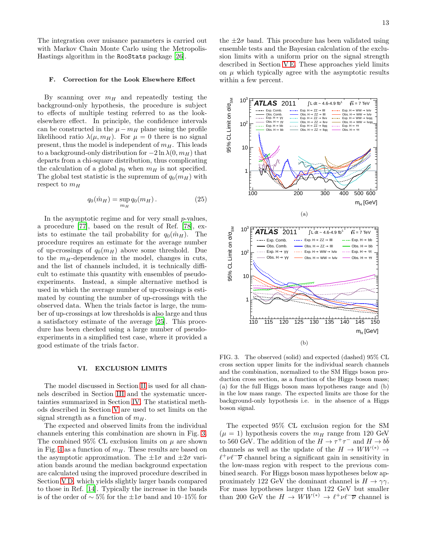The integration over nuisance parameters is carried out with Markov Chain Monte Carlo using the Metropolis-Hastings algorithm in the RooStats package [\[26\]](#page-19-1).

#### F. Correction for the Look Elsewhere Effect

By scanning over  $m_H$  and repeatedly testing the background-only hypothesis, the procedure is subject to effects of multiple testing referred to as the lookelsewhere effect. In principle, the confidence intervals can be constructed in the  $\mu - m_H$  plane using the profile likelihood ratio  $\lambda(\mu, m_H)$ . For  $\mu = 0$  there is no signal present, thus the model is independent of  $m<sub>H</sub>$ . This leads to a background-only distribution for  $-2 \ln \lambda(0, m_H)$  that departs from a chi-square distribution, thus complicating the calculation of a global  $p_0$  when  $m_H$  is not specified. The global test statistic is the supremum of  $q_0(m_H)$  with respect to  $m_H$ 

$$
q_0(\hat{m}_H) = \sup_{m_H} q_0(m_H). \tag{25}
$$

In the asymptotic regime and for very small  $p$ -values, a procedure [\[77](#page-19-36)], based on the result of Ref. [\[78\]](#page-19-37), exists to estimate the tail probability for  $q_0(\hat{m}_H)$ . The procedure requires an estimate for the average number of up-crossings of  $q_0(m_H)$  above some threshold. Due to the  $m_H$ -dependence in the model, changes in cuts, and the list of channels included, it is technically difficult to estimate this quantity with ensembles of pseudoexperiments. Instead, a simple alternative method is used in which the average number of up-crossings is estimated by counting the number of up-crossings with the observed data. When the trials factor is large, the number of up-crossings at low thresholds is also large and thus a satisfactory estimate of the average [\[25\]](#page-19-0). This procedure has been checked using a large number of pseudoexperiments in a simplified test case, where it provided a good estimate of the trials factor.

#### <span id="page-13-0"></span>VI. EXCLUSION LIMITS

The model discussed in Section [II](#page-1-0) is used for all channels described in Section [III](#page-3-0) and the systematic uncertainties summarized in Section [IV.](#page-7-0) The statistical methods described in Section [V](#page-10-0) are used to set limits on the signal strength as a function of  $m<sub>H</sub>$ .

The expected and observed limits from the individual channels entering this combination are shown in Fig. [3.](#page-13-1) The combined 95% CL exclusion limits on  $\mu$  are shown in Fig. [4](#page-14-1) as a function of  $m<sub>H</sub>$ . These results are based on the asymptotic approximation. The  $\pm 1\sigma$  and  $\pm 2\sigma$  variation bands around the median background expectation are calculated using the improved procedure described in Section [V D,](#page-12-2) which yields slightly larger bands compared to those in Ref. [\[14\]](#page-18-8). Typically the increase in the bands is of the order of ∼ 5% for the ±1σ band and 10–15% for

the  $\pm 2\sigma$  band. This procedure has been validated using ensemble tests and the Bayesian calculation of the exclusion limits with a uniform prior on the signal strength described in Section [V E.](#page-12-3) These approaches yield limits on  $\mu$  which typically agree with the asymptotic results within a few percent.



<span id="page-13-1"></span>FIG. 3. The observed (solid) and expected (dashed) 95% CL cross section upper limits for the individual search channels and the combination, normalized to the SM Higgs boson production cross section, as a function of the Higgs boson mass; (a) for the full Higgs boson mass hypotheses range and (b) in the low mass range. The expected limits are those for the background-only hypothesis i.e. in the absence of a Higgs boson signal.

The expected 95% CL exclusion region for the SM  $(\mu = 1)$  hypothesis covers the  $m_H$  range from 120 GeV to 560 GeV. The addition of the  $H \to \tau^+ \tau^-$  and  $H \to b\bar{b}$ channels as well as the update of the  $H \to WW^{(*)} \to$  $\ell^+ \nu \ell^- \overline{\nu}$  channel bring a significant gain in sensitivity in the low-mass region with respect to the previous combined search. For Higgs boson mass hypotheses below approximately 122 GeV the dominant channel is  $H \to \gamma\gamma$ . For mass hypotheses larger than 122 GeV but smaller than 200 GeV the  $H \to WW^{(*)} \to \ell^+ \nu \ell^- \overline{\nu}$  channel is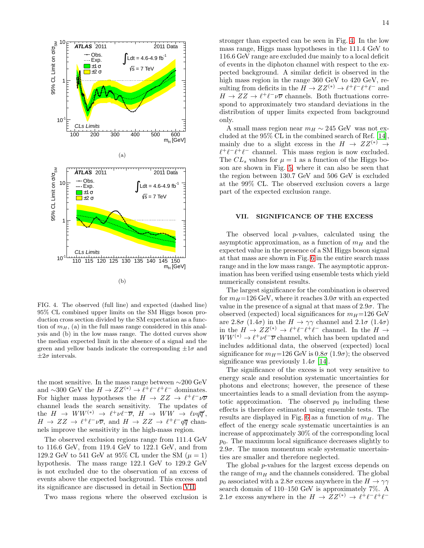

<span id="page-14-1"></span>FIG. 4. The observed (full line) and expected (dashed line) 95% CL combined upper limits on the SM Higgs boson production cross section divided by the SM expectation as a function of  $m_H$ , (a) in the full mass range considered in this analysis and (b) in the low mass range. The dotted curves show the median expected limit in the absence of a signal and the green and yellow bands indicate the corresponding  $\pm 1\sigma$  and  $\pm 2\sigma$  intervals.

the most sensitive. In the mass range between ∼200 GeV and ~300 GeV the  $H \to ZZ^{(*)} \to \ell^+ \ell^- \ell^+ \ell^-$  dominates. For higher mass hypotheses the  $H \to ZZ \to \ell^+ \ell^- \nu \overline{\nu}$ channel leads the search sensitivity. The updates of the  $H \to WW^{(*)} \to \ell^+ \nu \ell^- \overline{\nu}, H \to WW \to \ell \nu q \overline{q}',$  $H \to ZZ \to \ell^+ \ell^- \nu \overline{\nu}$ , and  $H \to ZZ \to \ell^+ \ell^- q \overline{q}$  channels improve the sensitivity in the high-mass region.

The observed exclusion regions range from 111.4 GeV to 116.6 GeV, from 119.4 GeV to 122.1 GeV, and from 129.2 GeV to 541 GeV at 95% CL under the SM  $(\mu = 1)$ hypothesis. The mass range 122.1 GeV to 129.2 GeV is not excluded due to the observation of an excess of events above the expected background. This excess and its significance are discussed in detail in Section [VII.](#page-14-0)

Two mass regions where the observed exclusion is

stronger than expected can be seen in Fig. [4.](#page-14-1) In the low mass range, Higgs mass hypotheses in the 111.4 GeV to 116.6 GeV range are excluded due mainly to a local deficit of events in the diphoton channel with respect to the expected background. A similar deficit is observed in the high mass region in the range 360 GeV to 420 GeV, resulting from deficits in the  $H \to ZZ^{(*)} \to \ell^+ \ell^- \ell^+ \ell^-$  and  $H \to ZZ \to \ell^+ \ell^- \nu \overline{\nu}$  channels. Both fluctuations correspond to approximately two standard deviations in the distribution of upper limits expected from background only.

A small mass region near  $m_H \sim 245$  GeV was not excluded at the 95% CL in the combined search of Ref. [\[14\]](#page-18-8), mainly due to a slight excess in the  $H \to ZZ^{(*)} \to$  $\ell^+ \ell^- \ell^+ \ell^-$  channel. This mass region is now excluded. The  $CL_s$  values for  $\mu = 1$  as a function of the Higgs boson are shown in Fig. [5,](#page-15-0) where it can also be seen that the region between 130.7 GeV and 506 GeV is excluded at the 99% CL. The observed exclusion covers a large part of the expected exclusion range.

## <span id="page-14-0"></span>VII. SIGNIFICANCE OF THE EXCESS

The observed local p-values, calculated using the asymptotic approximation, as a function of  $m<sub>H</sub>$  and the expected value in the presence of a SM Higgs boson signal at that mass are shown in Fig. [6](#page-15-1) in the entire search mass range and in the low mass range. The asymptotic approximation has been verified using ensemble tests which yield numerically consistent results.

The largest significance for the combination is observed for  $m_H$ =126 GeV, where it reaches 3.0 $\sigma$  with an expected value in the presence of a signal at that mass of  $2.9\sigma$ . The observed (expected) local significances for  $m_H$ =126 GeV are 2.8 $\sigma$  (1.4 $\sigma$ ) in the  $H \to \gamma\gamma$  channel and 2.1 $\sigma$  (1.4 $\sigma$ ) in the  $H \to ZZ^{(*)} \to \ell^+ \ell^- \ell^+ \ell^-$  channel. In the  $H \to$  $WW^{(*)} \rightarrow \ell^+ \nu \ell^- \overline{\nu}$  channel, which has been updated and includes additional data, the observed (expected) local significance for  $m_H$ =126 GeV is 0.8 $\sigma$  (1.9 $\sigma$ ); the observed significance was previously  $1.4\sigma$  [\[14](#page-18-8)].

The significance of the excess is not very sensitive to energy scale and resolution systematic uncertainties for photons and electrons; however, the presence of these uncertainties leads to a small deviation from the asymptotic approximation. The observed  $p_0$  including these effects is therefore estimated using ensemble tests. The results are displayed in Fig. [6](#page-15-1) as a function of  $m<sub>H</sub>$ . The effect of the energy scale systematic uncertainties is an increase of approximately 30% of the corresponding local  $p_0$ . The maximum local significance decreases slightly to  $2.9\sigma$ . The muon momentum scale systematic uncertainties are smaller and therefore neglected.

The global p-values for the largest excess depends on the range of  $m<sub>H</sub>$  and the channels considered. The global  $p_0$  associated with a 2.8 $\sigma$  excess anywhere in the  $H \to \gamma\gamma$ search domain of 110–150 GeV is approximately 7%. A 2.1 $\sigma$  excess anywhere in the  $H \to \mathbb{Z}Z^{(*)} \to \ell^+\ell^-\ell^+\ell^-$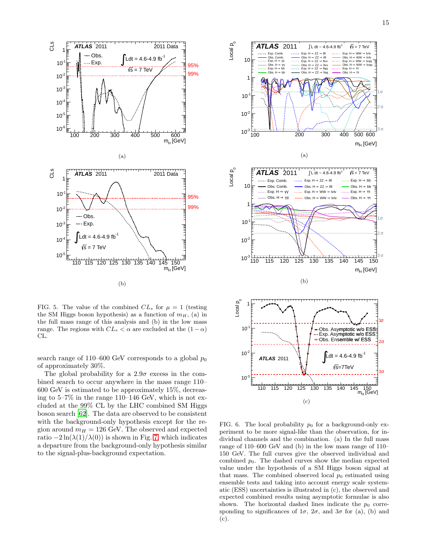

<span id="page-15-0"></span>FIG. 5. The value of the combined  $CL_s$  for  $\mu = 1$  (testing the SM Higgs boson hypothesis) as a function of  $m_H$ , (a) in the full mass range of this analysis and (b) in the low mass range. The regions with  $CL_s < \alpha$  are excluded at the  $(1 - \alpha)$ CL.

search range of 110–600 GeV corresponds to a global  $p_0$ of approximately 30%.

The global probability for a  $2.9\sigma$  excess in the combined search to occur anywhere in the mass range 110– 600 GeV is estimated to be approximately 15%, decreasing to 5–7% in the range 110–146 GeV, which is not excluded at the 99% CL by the LHC combined SM Higgs boson search [\[62](#page-19-38)]. The data are observed to be consistent with the background-only hypothesis except for the region around  $m_H = 126$  GeV. The observed and expected ratio  $-2\ln(\lambda(1)/\lambda(0))$  is shown in Fig. [7,](#page-16-0) which indicates a departure from the background-only hypothesis similar to the signal-plus-background expectation.



<span id="page-15-1"></span>FIG. 6. The local probability  $p_0$  for a background-only experiment to be more signal-like than the observation, for individual channels and the combination. (a) In the full mass range of 110–600 GeV and (b) in the low mass range of 110– 150 GeV. The full curves give the observed individual and combined  $p_0$ . The dashed curves show the median expected value under the hypothesis of a SM Higgs boson signal at that mass. The combined observed local  $p_0$  estimated using ensemble tests and taking into account energy scale systematic (ESS) uncertainties is illustrated in (c), the observed and expected combined results using asymptotic formulae is also shown. The horizontal dashed lines indicate the  $p_0$  corresponding to significances of  $1\sigma$ ,  $2\sigma$ , and  $3\sigma$  for (a), (b) and (c).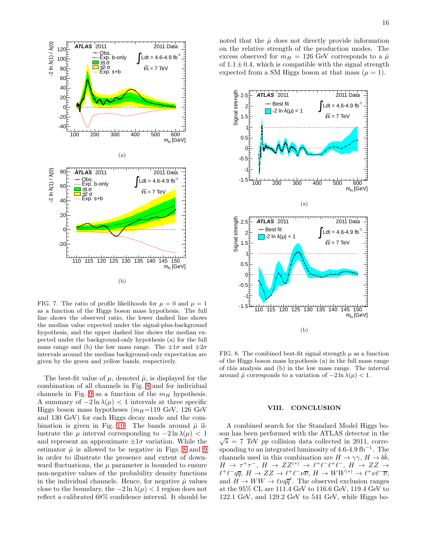

<span id="page-16-0"></span>FIG. 7. The ratio of profile likelihoods for  $\mu = 0$  and  $\mu = 1$ as a function of the Higgs boson mass hypothesis. The full line shows the observed ratio, the lower dashed line shows the median value expected under the signal-plus-background hypothesis, and the upper dashed line shows the median expected under the background-only hypothesis (a) for the full mass range and (b) the low mass range. The  $\pm 1\sigma$  and  $\pm 2\sigma$ intervals around the median background-only expectation are given by the green and yellow bands, respectively.

The best-fit value of  $\mu$ , denoted  $\hat{\mu}$ , is displayed for the combination of all channels in Fig. [8](#page-16-1) and for individual channels in Fig. [9](#page-17-0) as a function of the  $m_H$  hypothesis. A summary of  $-2 \ln \lambda(\mu) < 1$  intervals at three specific Higgs boson mass hypotheses  $(m_H=119 \text{ GeV}, 126 \text{ GeV})$ and 130 GeV) for each Higgs decay mode and the com-bination is given in Fig. [10.](#page-18-19) The bands around  $\hat{\mu}$  illustrate the  $\mu$  interval corresponding to  $-2 \ln \lambda(\mu) < 1$ and represent an approximate  $\pm 1\sigma$  variation. While the estimator  $\hat{\mu}$  is allowed to be negative in Figs. [8](#page-16-1) and [9](#page-17-0) in order to illustrate the presence and extent of downward fluctuations, the  $\mu$  parameter is bounded to ensure non-negative values of the probability density functions in the individual channels. Hence, for negative  $\hat{\mu}$  values close to the boundary, the  $-2 \ln \lambda(\mu) < 1$  region does not reflect a calibrated 68% confidence interval. It should be

noted that the  $\hat{\mu}$  does not directly provide information on the relative strength of the production modes. The excess observed for  $m_H = 126$  GeV corresponds to a  $\hat{\mu}$ of  $1.1 \pm 0.4$ , which is compatible with the signal strength expected from a SM Higgs boson at that mass  $(\mu = 1)$ .



<span id="page-16-1"></span>FIG. 8. The combined best-fit signal strength  $\mu$  as a function of the Higgs boson mass hypothesis (a) in the full mass range of this analysis and (b) in the low mass range. The interval around  $\hat{\mu}$  corresponds to a variation of  $-2 \ln \lambda(\mu) < 1$ .

# VIII. CONCLUSION

A combined search for the Standard Model Higgs boson has been performed with the ATLAS detector in the  $\sqrt{s}$  = 7 TeV *pp* collision data collected in 2011, corresponding to an integrated luminosity of  $4.6$ - $4.9 \text{ fb}^{-1}$ . The channels used in this combination are  $H \to \gamma \gamma$ ,  $H \to b\bar{b}$ ,  $H \rightarrow \tau^+\tau^-$ ,  $H \rightarrow ZZ^{(*)} \rightarrow \ell^+\ell^-\ell^+\ell^-$ ,  $H \rightarrow ZZ \rightarrow$  $\ell^+\ell^- q\overline{q}, H \to ZZ \to \ell^+\ell^-\nu\overline{\nu}, H \to WW^{(*)} \to \ell^+\nu\ell^-\overline{\nu},$ and  $H \to WW \to \ell \nu q \overline{q}'$ . The observed exclusion ranges at the 95% CL are 111.4 GeV to 116.6 GeV, 119.4 GeV to 122.1 GeV, and 129.2 GeV to 541 GeV, while Higgs bo-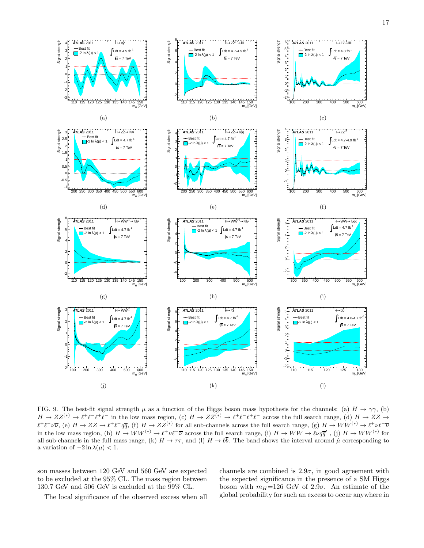

<span id="page-17-0"></span>FIG. 9. The best-fit signal strength  $\mu$  as a function of the Higgs boson mass hypothesis for the channels: (a)  $H \to \gamma \gamma$ , (b)  $H \to ZZ^{(*)} \to \ell^+ \ell^- \ell^+ \ell^-$  in the low mass region, (c)  $H \to ZZ^{(*)} \to \ell^+ \ell^- \ell^+ \ell^-$  across the full search range, (d)  $H \to ZZ \to \ell^+ \ell^- \ell^+ \ell^ \ell^+\ell^-\nu\overline{\nu}$ , (e)  $H\to ZZ\to \ell^+\ell^-q\overline{q}$ , (f)  $H\to ZZ^{(*)}$  for all sub-channels across the full search range, (g)  $H\to WW^{(*)}\to \ell^+\nu\ell^-\overline{\nu}$ in the low mass region, (h)  $H \to WW^{(*)} \to \ell^+ \nu \ell^- \overline{\nu}$  across the full search range, (i)  $H \to WW \to \ell \nu q \overline{q}'$ , (j)  $H \to WW^{(*)}$  for all sub-channels in the full mass range, (k)  $H \to \tau \tau$ , and (l)  $H \to b\bar{b}$ . The band shows the interval around  $\hat{\mu}$  corresponding to a variation of  $-2 \ln \lambda(\mu) < 1$ .

son masses between 120 GeV and 560 GeV are expected to be excluded at the 95% CL. The mass region between 130.7 GeV and 506 GeV is excluded at the 99% CL.

channels are combined is  $2.9\sigma$ , in good agreement with the expected significance in the presence of a SM Higgs boson with  $m_H$ =126 GeV of 2.9 $\sigma$ . An estimate of the global probability for such an excess to occur anywhere in

The local significance of the observed excess when all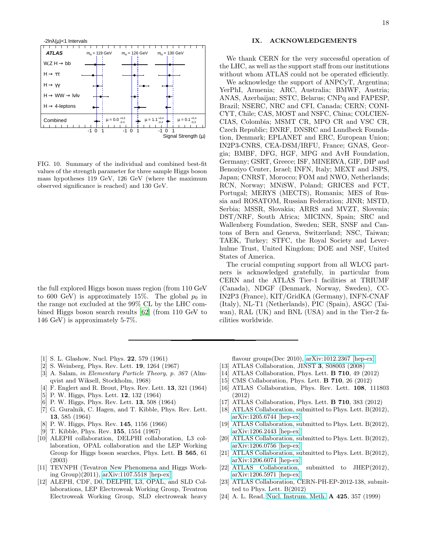

<span id="page-18-19"></span>FIG. 10. Summary of the individual and combined best-fit values of the strength parameter for three sample Higgs boson mass hypotheses 119 GeV, 126 GeV (where the maximum observed significance is reached) and 130 GeV.

the full explored Higgs boson mass region (from 110 GeV to 600 GeV) is approximately 15%. The global  $p_0$  in the range not excluded at the 99% CL by the LHC combined Higgs boson search results [\[62](#page-19-38)] (from 110 GeV to 146 GeV) is approximately 5-7%.

#### IX. ACKNOWLEDGEMENTS

We thank CERN for the very successful operation of the LHC, as well as the support staff from our institutions without whom ATLAS could not be operated efficiently.

We acknowledge the support of ANPCyT, Argentina; YerPhI, Armenia; ARC, Australia; BMWF, Austria; ANAS, Azerbaijan; SSTC, Belarus; CNPq and FAPESP, Brazil; NSERC, NRC and CFI, Canada; CERN; CONI-CYT, Chile; CAS, MOST and NSFC, China; COLCIEN-CIAS, Colombia; MSMT CR, MPO CR and VSC CR, Czech Republic; DNRF, DNSRC and Lundbeck Foundation, Denmark; EPLANET and ERC, European Union; IN2P3-CNRS, CEA-DSM/IRFU, France; GNAS, Georgia; BMBF, DFG, HGF, MPG and AvH Foundation, Germany; GSRT, Greece; ISF, MINERVA, GIF, DIP and Benoziyo Center, Israel; INFN, Italy; MEXT and JSPS, Japan; CNRST, Morocco; FOM and NWO, Netherlands; RCN, Norway; MNiSW, Poland; GRICES and FCT, Portugal; MERYS (MECTS), Romania; MES of Russia and ROSATOM, Russian Federation; JINR; MSTD, Serbia; MSSR, Slovakia; ARRS and MVZT, Slovenia; DST/NRF, South Africa; MICINN, Spain; SRC and Wallenberg Foundation, Sweden; SER, SNSF and Cantons of Bern and Geneva, Switzerland; NSC, Taiwan; TAEK, Turkey; STFC, the Royal Society and Leverhulme Trust, United Kingdom; DOE and NSF, United States of America.

The crucial computing support from all WLCG partners is acknowledged gratefully, in particular from CERN and the ATLAS Tier-1 facilities at TRIUMF (Canada), NDGF (Denmark, Norway, Sweden), CC-IN2P3 (France), KIT/GridKA (Germany), INFN-CNAF (Italy), NL-T1 (Netherlands), PIC (Spain), ASGC (Taiwan), RAL (UK) and BNL (USA) and in the Tier-2 facilities worldwide.

- <span id="page-18-0"></span>[1] S. L. Glashow, Nucl. Phys. 22, 579 (1961)
- [2] S. Weinberg, Phys. Rev. Lett. 19, 1264 (1967)
- <span id="page-18-1"></span>[3] A. Salam, in Elementary Particle Theory, p. 367 (Almqvist and Wiksell, Stockholm, 1968)
- <span id="page-18-2"></span>[4] F. Englert and R. Brout, Phys. Rev. Lett. 13, 321 (1964)
- [5] P. W. Higgs, Phys. Lett. 12, 132 (1964)
- [6] P. W. Higgs, Phys. Rev. Lett. 13, 508 (1964)
- [7] G. Guralnik, C. Hagen, and T. Kibble, Phys. Rev. Lett. 13, 585 (1964)
- [8] P. W. Higgs, Phys. Rev. 145, 1156 (1966)
- <span id="page-18-3"></span>[9] T. Kibble, Phys. Rev. 155, 1554 (1967)
- <span id="page-18-4"></span>[10] ALEPH collaboration, DELPHI collaboration, L3 collaboration, OPAL collaboration and the LEP Working Group for Higgs boson searches, Phys. Lett. B 565, 61 (2003)
- <span id="page-18-5"></span>[11] TEVNPH (Tevatron New Phenomena and Higgs Working Group)(2011), [arXiv:1107.5518 \[hep-ex\]](http://arxiv.org/abs/1107.5518)
- <span id="page-18-6"></span>[12] ALEPH, CDF, D0, DELPHI, L3, OPAL, and SLD Collaborations, LEP Electroweak Working Group, Tevatron Electroweak Working Group, SLD electroweak heavy

flavour groups(Dec 2010), [arXiv:1012.2367 \[hep-ex\]](http://arxiv.org/abs/1012.2367)

- <span id="page-18-7"></span>[13] ATLAS Collaboration, JINST 3, S08003 (2008)
- <span id="page-18-8"></span>[14] ATLAS Collaboration, Phys. Lett. B 710, 49 (2012)
- <span id="page-18-9"></span>[15] CMS Collaboration, Phys. Lett. **B 710**, 26 (2012)
- <span id="page-18-10"></span>[16] ATLAS Collaboration, Phys. Rev. Lett. 108, 111803 (2012)
- <span id="page-18-11"></span>[17] ATLAS Collaboration, Phys. Lett. B 710, 383 (2012)
- <span id="page-18-12"></span>[18] ATLAS Collaboration, submitted to Phys. Lett. B(2012), [arXiv:1205.6744 \[hep-ex\]](http://arxiv.org/abs/1205.6744)
- <span id="page-18-13"></span>[19] ATLAS Collaboration, submitted to Phys. Lett. B(2012), [arXiv:1206.2443 \[hep-ex\]](http://arxiv.org/abs/1206.2443)
- <span id="page-18-14"></span>[20] ATLAS Collaboration, submitted to Phys. Lett. B(2012), [arXiv:1206.0756 \[hep-ex\]](http://arxiv.org/abs/1206.0756)
- <span id="page-18-15"></span>[21] ATLAS Collaboration, submitted to Phys. Lett. B(2012), [arXiv:1206.6074 \[hep-ex\]](http://arxiv.org/abs/1206.6074)
- <span id="page-18-16"></span>[22] ATLAS Collaboration, submitted to JHEP(2012), [arXiv:1206.5971 \[hep-ex\]](http://arxiv.org/abs/1206.5971)
- <span id="page-18-17"></span>[23] ATLAS Collaboration, CERN-PH-EP-2012-138, submitted to Phys. Lett. B(2012)
- <span id="page-18-18"></span>[24] A. L. Read, [Nucl. Instrum. Meth.](http://dx.doi.org/10.1016/S0168-9002(98)01347-3) A 425, 357 (1999)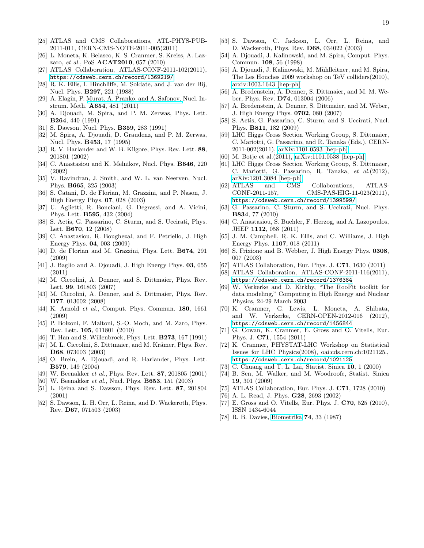- <span id="page-19-0"></span>[25] ATLAS and CMS Collaborations, ATL-PHYS-PUB-2011-011, CERN-CMS-NOTE-2011-005(2011)
- <span id="page-19-1"></span>[26] L. Moneta, K. Belasco, K. S. Cranmer, S. Kreiss, A. Lazzaro, et al., PoS ACAT2010, 057 (2010)
- <span id="page-19-2"></span>[27] ATLAS Collaboration, ATLAS-CONF-2011-102(2011), <https://cdsweb.cern.ch/record/1369219/>
- <span id="page-19-3"></span>[28] R. K. Ellis, I. Hinchliffe, M. Soldate, and J. van der Bij, Nucl. Phys. B297, 221 (1988)
- <span id="page-19-4"></span>[29] A. Elagin, P. [Murat, A. Pranko, and A. Safonov,](http://dx.doi.org/10.1016/j.nima.2011.07.009) Nucl. Instrum. Meth. A654, 481 (2011)
- <span id="page-19-5"></span>[30] A. Djouadi, M. Spira, and P. M. Zerwas, Phys. Lett. B264, 440 (1991)
- [31] S. Dawson, Nucl. Phys. **B359**, 283 (1991)
- [32] M. Spira, A. Djouadi, D. Graudenz, and P. M. Zerwas, Nucl. Phys. B453, 17 (1995)
- [33] R. V. Harlander and W. B. Kilgore, Phys. Rev. Lett. 88, 201801 (2002)
- [34] C. Anastasiou and K. Melnikov, Nucl. Phys. B646, 220 (2002)
- <span id="page-19-6"></span>[35] V. Ravindran, J. Smith, and W. L. van Neerven, Nucl. Phys. B665, 325 (2003)
- <span id="page-19-7"></span>[36] S. Catani, D. de Florian, M. Grazzini, and P. Nason, J. High Energy Phys. 07, 028 (2003)
- <span id="page-19-8"></span>[37] U. Aglietti, R. Bonciani, G. Degrassi, and A. Vicini, Phys. Lett. B595, 432 (2004)
- <span id="page-19-9"></span>[38] S. Actis, G. Passarino, C. Sturm, and S. Uccirati, Phys. Lett. B670, 12 (2008)
- <span id="page-19-10"></span>[39] C. Anastasiou, R. Boughezal, and F. Petriello, J. High Energy Phys. 04, 003 (2009)
- [40] D. de Florian and M. Grazzini, Phys. Lett. B674, 291 (2009)
- <span id="page-19-11"></span>[41] J. Baglio and A. Djouadi, J. High Energy Phys. 03, 055 (2011)
- <span id="page-19-12"></span>[42] M. Ciccolini, A. Denner, and S. Dittmaier, Phys. Rev. Lett. 99, 161803 (2007)
- [43] M. Ciccolini, A. Denner, and S. Dittmaier, Phys. Rev. D77, 013002 (2008)
- <span id="page-19-13"></span>[44] K. Arnold et al., Comput. Phys. Commun. 180, 1661 (2009)
- <span id="page-19-14"></span>[45] P. Bolzoni, F. Maltoni, S.-O. Moch, and M. Zaro, Phys. Rev. Lett. 105, 011801 (2010)
- <span id="page-19-15"></span>[46] T. Han and S. Willenbrock, Phys. Lett. **B273**, 167 (1991)
- <span id="page-19-16"></span>[47] M. L. Ciccolini, S. Dittmaier, and M. Krämer, Phys. Rev. D68, 073003 (2003)
- <span id="page-19-17"></span>[48] O. Brein, A. Djouadi, and R. Harlander, Phys. Lett. B579, 149 (2004)
- <span id="page-19-18"></span>[49] W. Beenakker et al., Phys. Rev. Lett. 87, 201805 (2001)
- [50] W. Beenakker et al., Nucl. Phys. **B653**, 151 (2003)
- [51] L. Reina and S. Dawson, Phys. Rev. Lett. 87, 201804 (2001)
- [52] S. Dawson, L. H. Orr, L. Reina, and D. Wackeroth, Phys. Rev. D67, 071503 (2003)
- <span id="page-19-19"></span>[53] S. Dawson, C. Jackson, L. Orr, L. Reina, and D. Wackeroth, Phys. Rev. D68, 034022 (2003)
- <span id="page-19-20"></span>[54] A. Djouadi, J. Kalinowski, and M. Spira, Comput. Phys. Commun. 108, 56 (1998)
- [55] A. Djouadi, J. Kalinowski, M. Mühlleitner, and M. Spira, The Les Houches 2009 workshop on TeV colliders(2010), [arxiv:1003.1643 \[hep-ph\]](http://arxiv.org/abs/1003.1643)
- [56] A. Bredenstein, A. Denner, S. Dittmaier, and M. M. Weber, Phys. Rev. D74, 013004 (2006)
- [57] A. Bredenstein, A. Denner, S. Dittmaier, and M. Weber, J. High Energy Phys. 0702, 080 (2007)
- <span id="page-19-21"></span>[58] S. Actis, G. Passarino, C. Sturm, and S. Uccirati, Nucl. Phys. B811, 182 (2009)
- <span id="page-19-22"></span>[59] LHC Higgs Cross Section Working Group, S. Dittmaier, C. Mariotti, G. Passarino, and R. Tanaka (Eds.), CERN-2011-002(2011), [arXiv:1101.0593 \[hep-ph\]](http://arxiv.org/abs/1101.0593)
- <span id="page-19-23"></span>[60] M. Botje et al.(2011), [arXiv:1101.0538 \[hep-ph\]](http://arxiv.org/abs/1101.0538)
- <span id="page-19-24"></span>[61] LHC Higgs Cross Section Working Group, S. Dittmaier, C. Mariotti, G. Passarino, R. Tanaka, et al.(2012), [arXiv:1201.3084 \[hep-ph\]](http://arxiv.org/abs/1201.3084)
- <span id="page-19-38"></span>[62] ATLAS and CMS Collaborations, ATLAS-CONF-2011-157, CMS-PAS-HIG-11-023(2011), <https://cdsweb.cern.ch/record/1399599/>
- [63] G. Passarino, C. Sturm, and S. Uccirati, Nucl. Phys. B834, 77 (2010)
- <span id="page-19-25"></span>[64] C. Anastasiou, S. Buehler, F. Herzog, and A. Lazopoulos, JHEP 1112, 058 (2011)
- <span id="page-19-26"></span>[65] J. M. Campbell, R. K. Ellis, and C. Williams, J. High Energy Phys. 1107, 018 (2011)
- <span id="page-19-27"></span>[66] S. Frixione and B. Webber, J. High Energy Phys. 0308, 007 (2003)
- <span id="page-19-28"></span>[67] ATLAS Collaboration, Eur. Phys. J. **C71**, 1630 (2011)
- <span id="page-19-29"></span>[68] ATLAS Collaboration, ATLAS-CONF-2011-116(2011), <https://cdsweb.cern.ch/record/1376384>
- <span id="page-19-30"></span>[69] W. Verkerke and D. Kirkby, "The RooFit toolkit for data modeling," Computing in High Energy and Nuclear Physics, 24-29 March 2003
- <span id="page-19-31"></span>[70] K. Cranmer, G. Lewis, L. Moneta, A. Shibata, and W. Verkerke, CERN-OPEN-2012-016 (2012), <https://cdsweb.cern.ch/record/1456844>
- <span id="page-19-32"></span>[71] G. Cowan, K. Cranmer, E. Gross and O. Vitells, Eur. Phys. J. C71, 1554 (2011)
- <span id="page-19-33"></span>[72] K. Cranmer, PHYSTAT-LHC Workshop on Statistical Issues for LHC Physics(2008), oai:cds.cern.ch:1021125., <https://cdsweb.cern.ch/record/1021125>
- [73] C. Chuang and T. L. Lai, Statist. Sinica 10, 1 (2000)
- [74] B. Sen, M. Walker, and M. Woodroofe, Statist. Sinica 19, 301 (2009)
- <span id="page-19-34"></span>[75] ATLAS Collaboration, Eur. Phys. J. C71, 1728 (2010)
- <span id="page-19-35"></span>[76] A. L. Read, J. Phys. G28, 2693 (2002)
- <span id="page-19-36"></span>[77] E. Gross and O. Vitells, Eur. Phys. J. **C70**, 525 (2010), ISSN 1434-6044
- <span id="page-19-37"></span>[78] R. B. Davies, [Biometrika](http://dx.doi.org/10.1093/biomet/74.1.33) 74, 33 (1987)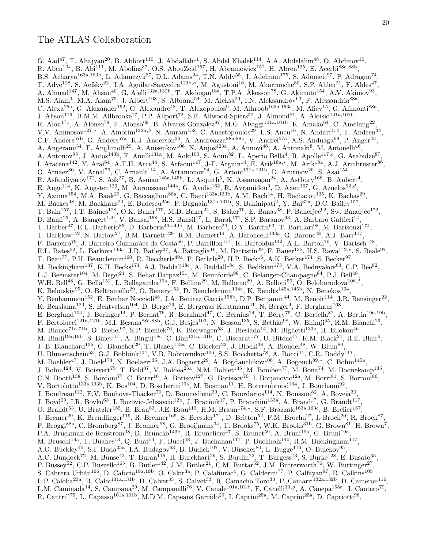G. Aad<sup>47</sup>, T. Abajyan<sup>20</sup>, B. Abbott<sup>110</sup>, J. Abdallah<sup>11</sup>, S. Abdel Khalek<sup>114</sup>, A.A. Abdelalim<sup>48</sup>, O. Abdinov<sup>10</sup>, R. Aben<sup>104</sup>, B. Abi<sup>111</sup>, M. Abolins<sup>87</sup>, O.S. AbouZeid<sup>157</sup>, H. Abramowicz<sup>152</sup>, H. Abreu<sup>135</sup>, E. Acerbi<sup>88a,88b</sup>, B.S. Acharya<sup>163a,163b</sup>, L. Adamczyk<sup>37</sup>, D.L. Adams<sup>24</sup>, T.N. Addy<sup>55</sup>, J. Adelman<sup>175</sup>, S. Adomeit<sup>97</sup>, P. Adragna<sup>74</sup>, T. Adye<sup>128</sup>, S. Aefsky<sup>22</sup>, J.A. Aguilar-Saavedra<sup>123b,a</sup>, M. Agustoni<sup>16</sup>, M. Aharrouche<sup>80</sup>, S.P. Ahlen<sup>21</sup>, F. Ahles<sup>47</sup>, A. Ahmad<sup>147</sup>, M. Ahsan<sup>40</sup>, G. Aielli<sup>132a,132b</sup>, T. Akdogan<sup>18a</sup>, T.P.A. Åkesson<sup>78</sup>, G. Akimoto<sup>154</sup>, A.V. Akimov<sup>93</sup>, M.S. Alam<sup>1</sup>, M.A. Alam<sup>75</sup>, J. Albert<sup>168</sup>, S. Albrand<sup>54</sup>, M. Aleksa<sup>29</sup>, I.N. Aleksandrov<sup>63</sup>, F. Alessandria<sup>88a</sup>, C. Alexa<sup>25a</sup>, G. Alexander<sup>152</sup>, G. Alexandre<sup>48</sup>, T. Alexopoulos<sup>9</sup>, M. Alhroob<sup>163a,163c</sup>, M. Aliev<sup>15</sup>, G. Alimonti<sup>88a</sup>, J. Alison<sup>119</sup>, B.M.M. Allbrooke<sup>17</sup>, P.P. Allport<sup>72</sup>, S.E. Allwood-Spiers<sup>52</sup>, J. Almond<sup>81</sup>, A. Aloisio<sup>101a,101b</sup>, R. Alon<sup>171</sup>, A. Alonso<sup>78</sup>, F. Alonso<sup>69</sup>, B. Alvarez Gonzalez<sup>87</sup>, M.G. Alviggi<sup>101a,101b</sup>, K. Amako<sup>64</sup>, C. Amelung<sup>22</sup>, V.V. Ammosov<sup>127,\*</sup>, A. Amorim<sup>123a,b</sup>, N. Amram<sup>152</sup>, C. Anastopoulos<sup>29</sup>, L.S. Ancu<sup>16</sup>, N. Andari<sup>114</sup>, T. Andeen<sup>34</sup>, C.F. Anders<sup>57b</sup>, G. Anders<sup>57a</sup>, K.J. Anderson<sup>30</sup>, A. Andreazza<sup>88a,88b</sup>, V. Andrei<sup>57a</sup>, X.S. Anduaga<sup>69</sup>, P. Anger<sup>43</sup>, A. Angerami<sup>34</sup>, F. Anghinolfi<sup>29</sup>, A. Anisenkov<sup>106</sup>, N. Anjos<sup>123a</sup>, A. Annovi<sup>46</sup>, A. Antonaki<sup>8</sup>, M. Antonelli<sup>46</sup>, A. Antonov<sup>95</sup>, J. Antos<sup>143b</sup>, F. Anulli<sup>131a</sup>, M. Aoki<sup>100</sup>, S. Aoun<sup>82</sup>, L. Aperio Bella<sup>4</sup>, R. Apolle<sup>117,c</sup>, G. Arabidze<sup>87</sup>, I. Aracena<sup>142</sup>, Y. Arai<sup>64</sup>, A.T.H. Arce<sup>44</sup>, S. Arfaoui<sup>147</sup>, J-F. Arguin<sup>14</sup>, E. Arik<sup>18a,\*</sup>, M. Arik<sup>18a</sup>, A.J. Armbruster<sup>86</sup>, O. Arnaez<sup>80</sup>, V. Arnal<sup>79</sup>, C. Arnault<sup>114</sup>, A. Artamonov<sup>94</sup>, G. Artoni<sup>131a,131b</sup>, D. Arutinov<sup>20</sup>, S. Asai<sup>154</sup>, R. Asfandiyarov<sup>172</sup>, S. Ask<sup>27</sup>, B. Åsman<sup>145a,145b</sup>, L. Asquith<sup>5</sup>, K. Assamagan<sup>24</sup>, A. Astbury<sup>168</sup>, B. Aubert<sup>4</sup>, E. Auge<sup>114</sup>, K. Augsten<sup>126</sup>, M. Aurousseau<sup>144a</sup>, G. Avolio<sup>162</sup>, R. Avramidou<sup>9</sup>, D. Axen<sup>167</sup>, G. Azuelos<sup>92,d</sup>, Y. Azuma<sup>154</sup>, M.A. Baak<sup>29</sup>, G. Baccaglioni<sup>88a</sup>, C. Bacci<sup>133a,133b</sup>, A.M. Bach<sup>14</sup>, H. Bachacou<sup>135</sup>, K. Bachas<sup>29</sup>, M. Backes<sup>48</sup>, M. Backhaus<sup>20</sup>, E. Badescu<sup>25a</sup>, P. Bagnaia<sup>131a,131b</sup>, S. Bahinipati<sup>2</sup>, Y. Bai<sup>32a</sup>, D.C. Bailey<sup>157</sup>, T. Bain<sup>157</sup>, J.T. Baines<sup>128</sup>, O.K. Baker<sup>175</sup>, M.D. Baker<sup>24</sup>, S. Baker<sup>76</sup>, E. Banas<sup>38</sup>, P. Banerjee<sup>92</sup>, Sw. Banerjee<sup>172</sup>, D. Banfi<sup>29</sup>, A. Bangert<sup>149</sup>, V. Bansal<sup>168</sup>, H.S. Bansil<sup>17</sup>, L. Barak<sup>171</sup>, S.P. Baranov<sup>93</sup>, A. Barbaro Galtieri<sup>14</sup>, T. Barber<sup>47</sup>, E.L. Barberio<sup>85</sup>, D. Barberis<sup>49a,49b</sup>, M. Barbero<sup>20</sup>, D.Y. Bardin<sup>63</sup>, T. Barillari<sup>98</sup>, M. Barisonzi<sup>174</sup>, T. Barklow<sup>142</sup>, N. Barlow<sup>27</sup>, B.M. Barnett<sup>128</sup>, R.M. Barnett<sup>14</sup>, A. Baroncelli<sup>133a</sup>, G. Barone<sup>48</sup>, A.J. Barr<sup>117</sup>, F. Barreiro<sup>79</sup>, J. Barreiro Guimarães da Costa<sup>56</sup>, P. Barrillon<sup>114</sup>, R. Bartoldus<sup>142</sup>, A.E. Barton<sup>70</sup>, V. Bartsch<sup>148</sup>, R.L. Bates<sup>52</sup>, L. Batkova<sup>143a</sup>, J.R. Batley<sup>27</sup>, A. Battaglia<sup>16</sup>, M. Battistin<sup>29</sup>, F. Bauer<sup>135</sup>, H.S. Bawa<sup>142,e</sup>, S. Beale<sup>97</sup>, T. Beau<sup>77</sup>, P.H. Beauchemin<sup>160</sup>, R. Beccherle<sup>49a</sup>, P. Bechtle<sup>20</sup>, H.P. Beck<sup>16</sup>, A.K. Becker<sup>174</sup>, S. Becker<sup>97</sup>, M. Beckingham<sup>137</sup>, K.H. Becks<sup>174</sup>, A.J. Beddall<sup>18c</sup>, A. Beddall<sup>18c</sup>, S. Bedikian<sup>175</sup>, V.A. Bednyakov<sup>63</sup>, C.P. Bee<sup>82</sup>, L.J. Beemster<sup>104</sup>, M. Begel<sup>24</sup>, S. Behar Harpaz<sup>151</sup>, M. Beimforde<sup>98</sup>, C. Belanger-Champagne<sup>84</sup>, P.J. Bell<sup>48</sup>, W.H. Bell<sup>48</sup>, G. Bella<sup>152</sup>, L. Bellagamba<sup>19a</sup>, F. Bellina<sup>29</sup>, M. Bellomo<sup>29</sup>, A. Belloni<sup>56</sup>, O. Beloborodova<sup>106,f</sup>, K. Belotskiy<sup>95</sup>, O. Beltramello<sup>29</sup>, O. Benary<sup>152</sup>, D. Benchekroun<sup>134a</sup>, K. Bendtz<sup>145a,145b</sup>, N. Benekos<sup>164</sup>, Y. Benhammou<sup>152</sup>, E. Benhar Noccioli<sup>48</sup>, J.A. Benitez Garcia<sup>158b</sup>, D.P. Benjamin<sup>44</sup>, M. Benoit<sup>114</sup>, J.R. Bensinger<sup>22</sup>, K. Benslama<sup>129</sup>, S. Bentvelsen<sup>104</sup>, D. Berge<sup>29</sup>, E. Bergeaas Kuutmann<sup>41</sup>, N. Berger<sup>4</sup>, F. Berghaus<sup>168</sup>, E. Berglund<sup>104</sup>, J. Beringer<sup>14</sup>, P. Bernat<sup>76</sup>, R. Bernhard<sup>47</sup>, C. Bernius<sup>24</sup>, T. Berry<sup>75</sup>, C. Bertella<sup>82</sup>, A. Bertin<sup>19a,19b</sup>, F. Bertolucci<sup>121a,121b</sup>, M.I. Besana<sup>88a,88b</sup>, G.J. Besjes<sup>103</sup>, N. Besson<sup>135</sup>, S. Bethke<sup>98</sup>, W. Bhimji<sup>45</sup>, R.M. Bianchi<sup>29</sup>, M. Bianco<sup>71a,71b</sup>, O. Biebel<sup>97</sup>, S.P. Bieniek<sup>76</sup>, K. Bierwagen<sup>53</sup>, J. Biesiada<sup>14</sup>, M. Biglietti<sup>133a</sup>, H. Bilokon<sup>46</sup>, M. Bindi<sup>19a,19b</sup>, S. Binet<sup>114</sup>, A. Bingul<sup>18c</sup>, C. Bini<sup>131a,131b</sup>, C. Biscarat<sup>177</sup>, U. Bitenc<sup>47</sup>, K.M. Black<sup>21</sup>, R.E. Blair<sup>5</sup>, J.-B. Blanchard<sup>135</sup>, G. Blanchot<sup>29</sup>, T. Blazek<sup>143a</sup>, C. Blocker<sup>22</sup>, J. Blocki<sup>38</sup>, A. Blondel<sup>48</sup>, W. Blum<sup>80</sup>, U. Blumenschein<sup>53</sup>, G.J. Bobbink<sup>104</sup>, V.B. Bobrovnikov<sup>106</sup>, S.S. Bocchetta<sup>78</sup>, A. Bocci<sup>44</sup>, C.R. Boddy<sup>117</sup>, M. Boehler<sup>47</sup>, J. Boek<sup>174</sup>, N. Boelaert<sup>35</sup>, J.A. Bogaerts<sup>29</sup>, A. Bogdanchikov<sup>106</sup>, A. Bogouch<sup>89,\*</sup>, C. Bohm<sup>145a</sup>, J. Bohm<sup>124</sup>, V. Boisvert<sup>75</sup>, T. Bold<sup>37</sup>, V. Boldea<sup>25a</sup>, N.M. Bolnet<sup>135</sup>, M. Bomben<sup>77</sup>, M. Bona<sup>74</sup>, M. Boonekamp<sup>135</sup>, C.N. Booth<sup>138</sup>, S. Bordoni<sup>77</sup>, C. Borer<sup>16</sup>, A. Borisov<sup>127</sup>, G. Borissov<sup>70</sup>, I. Borjanovic<sup>12a</sup>, M. Borri<sup>81</sup>, S. Borroni<sup>86</sup>, V. Bortolotto<sup>133a,133b</sup>, K. Bos<sup>104</sup>, D. Boscherini<sup>19a</sup>, M. Bosman<sup>11</sup>, H. Boterenbrood<sup>104</sup>, J. Bouchami<sup>92</sup>, J. Boudreau<sup>122</sup>, E.V. Bouhova-Thacker<sup>70</sup>, D. Boumediene<sup>33</sup>, C. Bourdarios<sup>114</sup>, N. Bousson<sup>82</sup>, A. Boveia<sup>30</sup>, J. Boyd<sup>29</sup>, I.R. Boyko<sup>63</sup>, I. Bozovic-Jelisavcic<sup>12b</sup>, J. Bracinik<sup>17</sup>, P. Branchini<sup>133a</sup>, A. Brandt<sup>7</sup>, G. Brandt<sup>117</sup>, O. Brandt<sup>53</sup>, U. Bratzler<sup>155</sup>, B. Brau<sup>83</sup>, J.E. Brau<sup>113</sup>, H.M. Braun<sup>174,\*</sup>, S.F. Brazzale<sup>163a,163c</sup>, B. Brelier<sup>157</sup>, J. Bremer<sup>29</sup>, K. Brendlinger<sup>119</sup>, R. Brenner<sup>165</sup>, S. Bressler<sup>171</sup>, D. Britton<sup>52</sup>, F.M. Brochu<sup>27</sup>, I. Brock<sup>20</sup>, R. Brock<sup>87</sup>, F. Broggi<sup>88a</sup>, C. Bromberg<sup>87</sup>, J. Bronner<sup>98</sup>, G. Brooijmans<sup>34</sup>, T. Brooks<sup>75</sup>, W.K. Brooks<sup>31b</sup>, G. Brown<sup>81</sup>, H. Brown<sup>7</sup>, P.A. Bruckman de Renstrom<sup>38</sup>, D. Bruncko<sup>143b</sup>, R. Bruneliere<sup>47</sup>, S. Brunet<sup>59</sup>, A. Bruni<sup>19a</sup>, G. Bruni<sup>19a</sup>, M. Bruschi<sup>19a</sup>, T. Buanes<sup>13</sup>, Q. Buat<sup>54</sup>, F. Bucci<sup>48</sup>, J. Buchanan<sup>117</sup>, P. Buchholz<sup>140</sup>, R.M. Buckingham<sup>117</sup>, A.G. Buckley<sup>45</sup>, S.I. Buda<sup>25a</sup>, I.A. Budagov<sup>63</sup>, B. Budick<sup>107</sup>, V. Büscher<sup>80</sup>, L. Bugge<sup>116</sup>, O. Bulekov<sup>95</sup>, A.C. Bundock<sup>72</sup>, M. Bunse<sup>42</sup>, T. Buran<sup>116</sup>, H. Burckhart<sup>29</sup>, S. Burdin<sup>72</sup>, T. Burgess<sup>13</sup>, S. Burke<sup>128</sup>, E. Busato<sup>33</sup>, P. Bussey<sup>52</sup>, C.P. Buszello<sup>165</sup>, B. Butler<sup>142</sup>, J.M. Butler<sup>21</sup>, C.M. Buttar<sup>52</sup>, J.M. Butterworth<sup>76</sup>, W. Buttinger<sup>27</sup>, S. Cabrera Urbán<sup>166</sup>, D. Caforio<sup>19a,19b</sup>, O. Cakir<sup>3a</sup>, P. Calafiura<sup>14</sup>, G. Calderini<sup>77</sup>, P. Calfayan<sup>97</sup>, R. Calkins<sup>105</sup>, L.P. Caloba<sup>23a</sup>, R. Caloi<sup>131a,131b</sup>, D. Calvet<sup>33</sup>, S. Calvet<sup>33</sup>, R. Camacho Toro<sup>33</sup>, P. Camarri<sup>132a,132b</sup>, D. Cameron<sup>116</sup>, L.M. Caminada<sup>14</sup>, S. Campana<sup>29</sup>, M. Campanelli<sup>76</sup>, V. Canale<sup>101a,101b</sup>, F. Canelli<sup>30,9</sup>, A. Canepa<sup>158a</sup>, J. Cantero<sup>79</sup>, R. Cantrill<sup>75</sup>, L. Capasso<sup>101a,101b</sup>, M.D.M. Capeans Garrido<sup>29</sup>, I. Caprini<sup>25a</sup>, M. Caprini<sup>25a</sup>, D. Capriotti<sup>98</sup>,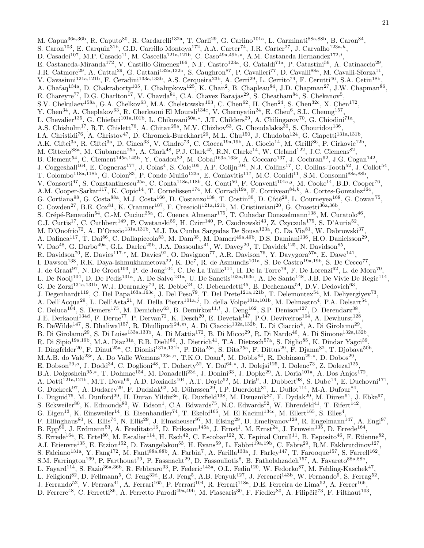M. Capua<sup>36a,36b</sup>, R. Caputo<sup>80</sup>, R. Cardarelli<sup>132a</sup>, T. Carli<sup>29</sup>, G. Carlino<sup>101a</sup>, L. Carminati<sup>88a,88b</sup>, B. Caron<sup>84</sup>, S. Caron<sup>103</sup>, E. Carquin<sup>31b</sup>, G.D. Carrillo Montoya<sup>172</sup>, A.A. Carter<sup>74</sup>, J.R. Carter<sup>27</sup>, J. Carvalho<sup>123a,h</sup>, D. Casadei<sup>107</sup>, M.P. Casado<sup>11</sup>, M. Cascella<sup>121a,121b</sup>, C. Caso<sup>49a,49b,\*</sup>, A.M. Castaneda Hernandez<sup>172,*i*</sup>, E. Castaneda-Miranda<sup>172</sup>, V. Castillo Gimenez<sup>166</sup>, N.F. Castro<sup>123a</sup>, G. Cataldi<sup>71a</sup>, P. Catastini<sup>56</sup>, A. Catinaccio<sup>29</sup>, J.R. Catmore<sup>29</sup>, A. Cattai<sup>29</sup>, G. Cattani<sup>132a,132b</sup>, S. Caughron<sup>87</sup>, P. Cavalleri<sup>77</sup>, D. Cavalli<sup>88a</sup>, M. Cavalli-Sforza<sup>11</sup>, V. Cavasinni<sup>121a,121b</sup>, F. Ceradini<sup>133a,133b</sup>, A.S. Cerqueira<sup>23b</sup>, A. Cerri<sup>29</sup>, L. Cerrito<sup>74</sup>, F. Cerutti<sup>46</sup>, S.A. Cetin<sup>18b</sup>, A. Chafaq<sup>134a</sup>, D. Chakraborty<sup>105</sup>, I. Chalupkova<sup>125</sup>, K. Chan<sup>2</sup>, B. Chapleau<sup>84</sup>, J.D. Chapman<sup>27</sup>, J.W. Chapman<sup>86</sup>, E. Chareyre<sup>77</sup>, D.G. Charlton<sup>17</sup>, V. Chavda<sup>81</sup>, C.A. Chavez Barajas<sup>29</sup>, S. Cheatham<sup>84</sup>, S. Chekanov<sup>5</sup>, S.V. Chekulaev<sup>158a</sup>, G.A. Chelkov<sup>63</sup>, M.A. Chelstowska<sup>103</sup>, C. Chen<sup>62</sup>, H. Chen<sup>24</sup>, S. Chen<sup>32c</sup>, X. Chen<sup>172</sup>, Y. Chen<sup>34</sup>, A. Cheplakov<sup>63</sup>, R. Cherkaoui El Moursli<sup>134e</sup>, V. Chernyatin<sup>24</sup>, E. Cheu<sup>6</sup>, S.L. Cheung<sup>157</sup>, L. Chevalier<sup>135</sup>, G. Chiefari<sup>101a,101b</sup>, L. Chikovani<sup>50a,\*</sup>, J.T. Childers<sup>29</sup>, A. Chilingarov<sup>70</sup>, G. Chiodini<sup>71a</sup>, A.S. Chisholm<sup>17</sup>, R.T. Chislett<sup>76</sup>, A. Chitan<sup>25a</sup>, M.V. Chizhov<sup>63</sup>, G. Choudalakis<sup>30</sup>, S. Chouridou<sup>136</sup>, I.A. Christidi<sup>76</sup>, A. Christov<sup>47</sup>, D. Chromek-Burckhart<sup>29</sup>, M.L. Chu<sup>150</sup>, J. Chudoba<sup>124</sup>, G. Ciapetti<sup>131a,131b</sup>, A.K. Ciftci<sup>3a</sup>, R. Ciftci<sup>3a</sup>, D. Cinca<sup>33</sup>, V. Cindro<sup>73</sup>, C. Ciocca<sup>19a,19b</sup>, A. Ciocio<sup>14</sup>, M. Cirilli<sup>86</sup>, P. Cirkovic<sup>12b</sup>, M. Citterio<sup>88a</sup>, M. Ciubancan<sup>25a</sup>, A. Clark<sup>48</sup>, P.J. Clark<sup>45</sup>, R.N. Clarke<sup>14</sup>, W. Cleland<sup>122</sup>, J.C. Clemens<sup>82</sup>, B. Clement<sup>54</sup>, C. Clement<sup>145a,145b</sup>, Y. Coadou<sup>82</sup>, M. Cobal<sup>163a,163c</sup>, A. Coccaro<sup>137</sup>, J. Cochran<sup>62</sup>, J.G. Cogan<sup>142</sup>, J. Coggeshall<sup>164</sup>, E. Cogneras<sup>177</sup>, J. Colas<sup>4</sup>, S. Cole<sup>105</sup>, A.P. Colijn<sup>104</sup>, N.J. Collins<sup>17</sup>, C. Collins-Tooth<sup>52</sup>, J. Collot<sup>54</sup>, T. Colombo<sup>118a,118b</sup>, G. Colon<sup>83</sup>, P. Conde Muiño<sup>123a</sup>, E. Coniavitis<sup>117</sup>, M.C. Conidi<sup>11</sup>, S.M. Consonni<sup>88a,88b</sup>, V. Consorti<sup>47</sup>, S. Constantinescu<sup>25a</sup>, C. Conta<sup>118a,118b</sup>, G. Conti<sup>56</sup>, F. Conventi<sup>101a,j</sup>, M. Cooke<sup>14</sup>, B.D. Cooper<sup>76</sup>, A.M. Cooper-Sarkar<sup>117</sup>, K. Copic<sup>14</sup>, T. Cornelissen<sup>174</sup>, M. Corradi<sup>19a</sup>, F. Corriveau<sup>84,k</sup>, A. Cortes-Gonzalez<sup>164</sup>, G. Cortiana<sup>98</sup>, G. Costa<sup>88a</sup>, M.J. Costa<sup>166</sup>, D. Costanzo<sup>138</sup>, T. Costin<sup>30</sup>, D. Côté<sup>29</sup>, L. Courneyea<sup>168</sup>, G. Cowan<sup>75</sup>, C. Cowden<sup>27</sup>, B.E. Cox<sup>81</sup>, K. Cranmer<sup>107</sup>, F. Crescioli<sup>121a,121b</sup>, M. Cristinziani<sup>20</sup>, G. Crosetti<sup>36a,36b</sup>, S. Crépé-Renaudin<sup>54</sup>, C.-M. Cuciuc<sup>25a</sup>, C. Cuenca Almenar<sup>175</sup>, T. Cuhadar Donszelmann<sup>138</sup>, M. Curatolo<sup>46</sup>, C.J. Curtis<sup>17</sup>, C. Cuthbert<sup>149</sup>, P. Cwetanski<sup>59</sup>, H. Czirr<sup>140</sup>, P. Czodrowski<sup>43</sup>, Z. Czyczula<sup>175</sup>, S. D'Auria<sup>52</sup>, M. D'Onofrio<sup>72</sup>, A. D'Orazio<sup>131a,131b</sup>, M.J. Da Cunha Sargedas De Sousa<sup>123a</sup>, C. Da Via<sup>81</sup>, W. Dabrowski<sup>37</sup>, A. Dafinca<sup>117</sup>, T. Dai<sup>86</sup>, C. Dallapiccola<sup>83</sup>, M. Dam<sup>35</sup>, M. Dameri<sup>49a,49b</sup>, D.S. Damiani<sup>136</sup>, H.O. Danielsson<sup>29</sup>, V. Dao<sup>48</sup>, G. Darbo<sup>49a</sup>, G.L. Darlea<sup>25b</sup>, J.A. Dassoulas<sup>41</sup>, W. Davey<sup>20</sup>, T. Davidek<sup>125</sup>, N. Davidson<sup>85</sup>, R. Davidson<sup>70</sup>, E. Davies<sup>117,c</sup>, M. Davies<sup>92</sup>, O. Davignon<sup>77</sup>, A.R. Davison<sup>76</sup>, Y. Davygora<sup>57a</sup>, E. Dawe<sup>141</sup>, I. Dawson<sup>138</sup>, R.K. Daya-Ishmukhametova<sup>22</sup>, K. De<sup>7</sup>, R. de Asmundis<sup>101a</sup>, S. De Castro<sup>19a,19b</sup>, S. De Cecco<sup>77</sup>, J. de Graat<sup>97</sup>, N. De Groot<sup>103</sup>, P. de Jong<sup>104</sup>, C. De La Taille<sup>114</sup>, H. De la Torre<sup>79</sup>, F. De Lorenzi<sup>62</sup>, L. de Mora<sup>70</sup>, L. De Nooij<sup>104</sup>, D. De Pedis<sup>131a</sup>, A. De Salvo<sup>131a</sup>, U. De Sanctis<sup>163a,163c</sup>, A. De Santo<sup>148</sup>, J.B. De Vivie De Regie<sup>114</sup>, G. De Zorzi<sup>131a,131b</sup>, W.J. Dearnaley<sup>70</sup>, R. Debbe<sup>24</sup>, C. Debenedetti<sup>45</sup>, B. Dechenaux<sup>54</sup>, D.V. Dedovich<sup>63</sup>, J. Degenhardt<sup>119</sup>, C. Del Papa<sup>163a,163c</sup>, J. Del Peso<sup>79</sup>, T. Del Prete<sup>121a,121b</sup>, T. Delemontex<sup>54</sup>, M. Deliyergiyev<sup>73</sup>, A. Dell'Acqua<sup>29</sup>, L. Dell'Asta<sup>21</sup>, M. Della Pietra<sup>101a,j</sup>, D. della Volpe<sup>101a,101b</sup>, M. Delmastro<sup>4</sup>, P.A. Delsart<sup>54</sup>, C. Deluca<sup>104</sup>, S. Demers<sup>175</sup>, M. Demichev<sup>63</sup>, B. Demirkoz<sup>11,*l*</sup>, J. Deng<sup>162</sup>, S.P. Denisov<sup>127</sup>, D. Derendarz<sup>38</sup>, J.E. Derkaoui<sup>134d</sup>, F. Derue<sup>77</sup>, P. Dervan<sup>72</sup>, K. Desch<sup>20</sup>, E. Devetak<sup>147</sup>, P.O. Deviveiros<sup>104</sup>, A. Dewhurst<sup>128</sup>, B. DeWilde<sup>147</sup>, S. Dhaliwal<sup>157</sup>, R. Dhullipudi<sup>24,*m*</sup>, A. Di Ciaccio<sup>132a,132b</sup>, L. Di Ciaccio<sup>4</sup>, A. Di Girolamo<sup>29</sup>, B. Di Girolamo<sup>29</sup>, S. Di Luise<sup>133a,133b</sup>, A. Di Mattia<sup>172</sup>, B. Di Micco<sup>29</sup>, R. Di Nardo<sup>46</sup>, A. Di Simone<sup>132a,132b</sup>, R. Di Sipio<sup>19a,19b</sup>, M.A. Diaz<sup>31a</sup>, E.B. Diehl<sup>86</sup>, J. Dietrich<sup>41</sup>, T.A. Dietzsch<sup>57a</sup>, S. Diglio<sup>85</sup>, K. Dindar Yagci<sup>39</sup>, J. Dingfelder<sup>20</sup>, F. Dinut<sup>25a</sup>, C. Dionisi<sup>131a,131b</sup>, P. Dita<sup>25a</sup>, S. Dita<sup>25a</sup>, F. Dittus<sup>29</sup>, F. Djama<sup>82</sup>, T. Djobava<sup>50b</sup>, M.A.B. do Vale<sup>23c</sup>, A. Do Valle Wemans<sup>123a,n</sup>, T.K.O. Doan<sup>4</sup>, M. Dobbs<sup>84</sup>, R. Dobinson<sup>29,\*</sup>, D. Dobos<sup>29</sup>, E. Dobson<sup>29,o</sup>, J. Dodd<sup>34</sup>, C. Doglioni<sup>48</sup>, T. Doherty<sup>52</sup>, Y. Doi<sup>64,\*</sup>, J. Dolejsi<sup>125</sup>, I. Dolenc<sup>73</sup>, Z. Dolezal<sup>125</sup>, B.A. Dolgoshein<sup>95,\*</sup>, T. Dohmae<sup>154</sup>, M. Donadelli<sup>23d</sup>, J. Donini<sup>33</sup>, J. Dopke<sup>29</sup>, A. Doria<sup>101a</sup>, A. Dos Anjos<sup>172</sup>, A. Dotti<sup>121a,121b</sup>, M.T. Dova<sup>69</sup>, A.D. Doxiadis<sup>104</sup>, A.T. Doyle<sup>52</sup>, M. Dris<sup>9</sup>, J. Dubbert<sup>98</sup>, S. Dube<sup>14</sup>, E. Duchovni<sup>171</sup>, G. Duckeck<sup>97</sup>, A. Dudarev<sup>29</sup>, F. Dudziak<sup>62</sup>, M. Dührssen<sup>29</sup>, I.P. Duerdoth<sup>81</sup>, L. Duflot<sup>114</sup>, M-A. Dufour<sup>84</sup>, L. Duguid<sup>75</sup>, M. Dunford<sup>29</sup>, H. Duran Yildiz<sup>3a</sup>, R. Duxfield<sup>138</sup>, M. Dwuznik<sup>37</sup>, F. Dydak<sup>29</sup>, M. Düren<sup>51</sup>, J. Ebke<sup>97</sup>, , S. Eckweiler<sup>80</sup>, K. Edmonds<sup>80</sup>, W. Edson<sup>1</sup>, C.A. Edwards<sup>75</sup>, N.C. Edwards<sup>52</sup>, W. Ehrenfeld<sup>41</sup>, T. Eifert<sup>142</sup>, G. Eigen<sup>13</sup>, K. Einsweiler<sup>14</sup>, E. Eisenhandler<sup>74</sup>, T. Ekelof<sup>165</sup>, M. El Kacimi<sup>134c</sup>, M. Ellert<sup>165</sup>, S. Elles<sup>4</sup>, F. Ellinghaus<sup>80</sup>, K. Ellis<sup>74</sup>, N. Ellis<sup>29</sup>, J. Elmsheuser<sup>97</sup>, M. Elsing<sup>29</sup>, D. Emeliyanov<sup>128</sup>, R. Engelmann<sup>147</sup>, A. Engl<sup>97</sup>, B. Epp<sup>60</sup>, J. Erdmann<sup>53</sup>, A. Ereditato<sup>16</sup>, D. Eriksson<sup>145a</sup>, J. Ernst<sup>1</sup>, M. Ernst<sup>24</sup>, J. Ernwein<sup>135</sup>, D. Errede<sup>164</sup>, S. Errede<sup>164</sup>, E. Ertel<sup>80</sup>, M. Escalier<sup>114</sup>, H. Esch<sup>42</sup>, C. Escobar<sup>122</sup>, X. Espinal Curull<sup>11</sup>, B. Esposito<sup>46</sup>, F. Etienne<sup>82</sup>, A.I. Etienvre<sup>135</sup>, E. Etzion<sup>152</sup>, D. Evangelakou<sup>53</sup>, H. Evans<sup>59</sup>, L. Fabbri<sup>19a,19b</sup>, C. Fabre<sup>29</sup>, R.M. Fakhrutdinov<sup>127</sup>, S. Falciano<sup>131a</sup>, Y. Fang<sup>172</sup>, M. Fanti<sup>88a,88b</sup>, A. Farbin<sup>7</sup>, A. Farilla<sup>133a</sup>, J. Farley<sup>147</sup>, T. Farooque<sup>157</sup>, S. Farrell<sup>162</sup>, S.M. Farrington<sup>169</sup>, P. Farthouat<sup>29</sup>, P. Fassnacht<sup>29</sup>, D. Fassouliotis<sup>8</sup>, B. Fatholahzadeh<sup>157</sup>, A. Favareto<sup>88a,88b</sup>, L. Fayard<sup>114</sup>, S. Fazio<sup>36a,36b</sup>, R. Febbraro<sup>33</sup>, P. Federic<sup>143a</sup>, O.L. Fedin<sup>120</sup>, W. Fedorko<sup>87</sup>, M. Fehling-Kaschek<sup>47</sup> , L. Feligioni<sup>82</sup>, D. Fellmann<sup>5</sup>, C. Feng<sup>32d</sup>, E.J. Feng<sup>5</sup>, A.B. Fenyuk<sup>127</sup>, J. Ferencei<sup>143b</sup>, W. Fernando<sup>5</sup>, S. Ferrag<sup>52</sup>, J. Ferrando<sup>52</sup>, V. Ferrara<sup>41</sup>, A. Ferrari<sup>165</sup>, P. Ferrari<sup>104</sup>, R. Ferrari<sup>118a</sup>, D.E. Ferreira de Lima<sup>52</sup>, A. Ferrer<sup>166</sup>, D. Ferrere<sup>48</sup>, C. Ferretti<sup>86</sup>, A. Ferretto Parodi<sup>49a,49b</sup>, M. Fiascaris<sup>30</sup>, F. Fiedler<sup>80</sup>, A. Filipčič<sup>73</sup>, F. Filthaut<sup>103</sup>,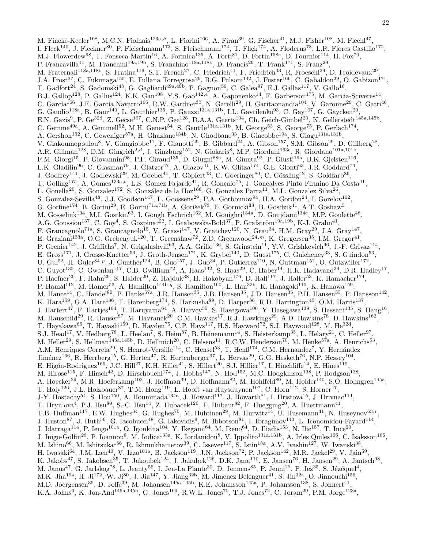M. Fincke-Keeler<sup>168</sup>, M.C.N. Fiolhais<sup>123a,h</sup>, L. Fiorini<sup>166</sup>, A. Firan<sup>39</sup>, G. Fischer<sup>41</sup>, M.J. Fisher<sup>108</sup>, M. Flechl<sup>47</sup>, I. Fleck<sup>140</sup>, J. Fleckner<sup>80</sup>, P. Fleischmann<sup>173</sup>, S. Fleischmann<sup>174</sup>, T. Flick<sup>174</sup>, A. Floderus<sup>78</sup>, L.R. Flores Castillo<sup>172</sup>, M.J. Flowerdew<sup>98</sup>, T. Fonseca Martin<sup>16</sup>, A. Formica<sup>135</sup>, A. Forti<sup>81</sup>, D. Fortin<sup>158a</sup>, D. Fournier<sup>114</sup>, H. Fox<sup>70</sup>, P. Francavilla<sup>11</sup>, M. Franchini<sup>19a,19b</sup>, S. Franchino<sup>118a,118b</sup>, D. Francis<sup>29</sup>, T. Frank<sup>171</sup>, S. Franz<sup>29</sup>, M. Fraternali<sup>118a,118b</sup>, S. Fratina<sup>119</sup>, S.T. French<sup>27</sup>, C. Friedrich<sup>41</sup>, F. Friedrich<sup>43</sup>, R. Froeschl<sup>29</sup>, D. Froidevaux<sup>29</sup>, J.A. Frost<sup>27</sup>, C. Fukunaga<sup>155</sup>, E. Fullana Torregrosa<sup>29</sup>, B.G. Fulsom<sup>142</sup>, J. Fuster<sup>166</sup>, C. Gabaldon<sup>29</sup>, O. Gabizon<sup>171</sup>, T. Gadfort<sup>24</sup>, S. Gadomski<sup>48</sup>, G. Gagliardi<sup>49a,49b</sup>, P. Gagnon<sup>59</sup>, C. Galea<sup>97</sup>, E.J. Gallas<sup>117</sup>, V. Gallo<sup>16</sup>, B.J. Gallop<sup>128</sup>, P. Gallus<sup>124</sup>, K.K. Gan<sup>108</sup>, Y.S. Gao<sup>142,e</sup>, A. Gaponenko<sup>14</sup>, F. Garberson<sup>175</sup>, M. Garcia-Sciveres<sup>14</sup>, C. García<sup>166</sup>, J.E. García Navarro<sup>166</sup>, R.W. Gardner<sup>30</sup>, N. Garelli<sup>29</sup>, H. Garitaonandia<sup>104</sup>, V. Garonne<sup>29</sup>, C. Gatti<sup>46</sup>, G. Gaudio<sup>118a</sup>, B. Gaur<sup>140</sup>, L. Gauthier<sup>135</sup>, P. Gauzzi<sup>131a,131b</sup>, I.L. Gavrilenko<sup>93</sup>, C. Gay<sup>167</sup>, G. Gaycken<sup>20</sup>, E.N. Gazis<sup>9</sup>, P. Ge<sup>32d</sup>, Z. Gecse<sup>167</sup>, C.N.P. Gee<sup>128</sup>, D.A.A. Geerts<sup>104</sup>, Ch. Geich-Gimbel<sup>20</sup>, K. Gellerstedt<sup>145a,145b</sup>, C. Gemme<sup>49a</sup>, A. Gemmell<sup>52</sup>, M.H. Genest<sup>54</sup>, S. Gentile<sup>131a,131b</sup>, M. George<sup>53</sup>, S. George<sup>75</sup>, P. Gerlach<sup>174</sup>, A. Gershon<sup>152</sup>, C. Geweniger<sup>57a</sup>, H. Ghazlane<sup>134b</sup>, N. Ghodbane<sup>33</sup>, B. Giacobbe<sup>19a</sup>, S. Giagu<sup>131a,131b</sup>, V. Giakoumopoulou<sup>8</sup>, V. Giangiobbe<sup>11</sup>, F. Gianotti<sup>29</sup>, B. Gibbard<sup>24</sup>, A. Gibson<sup>157</sup>, S.M. Gibson<sup>29</sup>, D. Gillberg<sup>28</sup>, A.R. Gillman<sup>128</sup>, D.M. Gingrich<sup>2,d</sup>, J. Ginzburg<sup>152</sup>, N. Giokaris<sup>8</sup>, M.P. Giordani<sup>163c</sup>, R. Giordano<sup>101a,101b</sup>, F.M. Giorgi<sup>15</sup>, P. Giovannini<sup>98</sup>, P.F. Giraud<sup>135</sup>, D. Giugni<sup>88a</sup>, M. Giunta<sup>92</sup>, P. Giusti<sup>19a</sup>, B.K. Gjelsten<sup>116</sup>, L.K. Gladilin<sup>96</sup>, C. Glasman<sup>79</sup>, J. Glatzer<sup>47</sup>, A. Glazov<sup>41</sup>, K.W. Glitza<sup>174</sup>, G.L. Glonti<sup>63</sup>, J.R. Goddard<sup>74</sup>, J. Godfrey<sup>141</sup>, J. Godlewski<sup>29</sup>, M. Goebel<sup>41</sup>, T. Göpfert<sup>43</sup>, C. Goeringer<sup>80</sup>, C. Gössling<sup>42</sup>, S. Goldfarb<sup>86</sup>, T. Golling<sup>175</sup>, A. Gomes<sup>123a,b</sup>, L.S. Gomez Fajardo<sup>41</sup>, R. Gonçalo<sup>75</sup>, J. Goncalves Pinto Firmino Da Costa<sup>41</sup>, L. Gonella<sup>20</sup>, S. Gonzalez<sup>172</sup>, S. González de la Hoz<sup>166</sup>, G. Gonzalez Parra<sup>11</sup>, M.L. Gonzalez Silva<sup>26</sup>, S. Gonzalez-Sevilla<sup>48</sup>, J.J. Goodson<sup>147</sup>, L. Goossens<sup>29</sup>, P.A. Gorbounov<sup>94</sup>, H.A. Gordon<sup>24</sup>, I. Gorelov<sup>102</sup>, G. Gorfine<sup>174</sup>, B. Gorini<sup>29</sup>, E. Gorini<sup>71a,71b</sup>, A. Gorišek<sup>73</sup>, E. Gornicki<sup>38</sup>, B. Gosdzik<sup>41</sup>, A.T. Goshaw<sup>5</sup>, M. Gosselink<sup>104</sup>, M.I. Gostkin<sup>63</sup>, I. Gough Eschrich<sup>162</sup>, M. Gouighri<sup>134a</sup>, D. Goujdami<sup>134c</sup>, M.P. Goulette<sup>48</sup>, A.G. Goussiou<sup>137</sup>, C. Goy<sup>4</sup>, S. Gozpinar<sup>22</sup>, I. Grabowska-Bold<sup>37</sup>, P. Grafström<sup>19a,19b</sup>, K-J. Grahn<sup>41</sup>, F. Grancagnolo<sup>71a</sup>, S. Grancagnolo<sup>15</sup>, V. Grassi<sup>147</sup>, V. Gratchev<sup>120</sup>, N. Grau<sup>34</sup>, H.M. Gray<sup>29</sup>, J.A. Gray<sup>147</sup>, E. Graziani<sup>133a</sup>, O.G. Grebenyuk<sup>120</sup>, T. Greenshaw<sup>72</sup>, Z.D. Greenwood<sup>24,m</sup>, K. Gregersen<sup>35</sup>, I.M. Gregor<sup>41</sup>, P. Grenier<sup>142</sup>, J. Griffiths<sup>7</sup>, N. Grigalashvili<sup>63</sup>, A.A. Grillo<sup>136</sup>, S. Grinstein<sup>11</sup>, Y.V. Grishkevich<sup>96</sup>, J.-F. Grivaz<sup>114</sup>, E. Gross<sup>171</sup>, J. Grosse-Knetter<sup>53</sup>, J. Groth-Jensen<sup>171</sup>, K. Grybel<sup>140</sup>, D. Guest<sup>175</sup>, C. Guicheney<sup>33</sup>, S. Guindon<sup>53</sup>, U. Gul<sup>52</sup>, H. Guler<sup>84,p</sup>, J. Gunther<sup>124</sup>, B. Guo<sup>157</sup>, J. Guo<sup>34</sup>, P. Gutierrez<sup>110</sup>, N. Guttman<sup>152</sup>, O. Gutzwiller<sup>172</sup>, C. Guyot<sup>135</sup>, C. Gwenlan<sup>117</sup>, C.B. Gwilliam<sup>72</sup>, A. Haas<sup>142</sup>, S. Haas<sup>29</sup>, C. Haber<sup>14</sup>, H.K. Hadavand<sup>39</sup>, D.R. Hadley<sup>17</sup>, P. Haefner<sup>20</sup>, F. Hahn<sup>29</sup>, S. Haider<sup>29</sup>, Z. Hajduk<sup>38</sup>, H. Hakobyan<sup>176</sup>, D. Hall<sup>117</sup>, J. Haller<sup>53</sup>, K. Hamacher<sup>174</sup>, P. Hamal<sup>112</sup>, M. Hamer<sup>53</sup>, A. Hamilton<sup>144b,q</sup>, S. Hamilton<sup>160</sup>, L. Han<sup>32b</sup>, K. Hanagaki<sup>115</sup>, K. Hanawa<sup>159</sup>, M. Hance<sup>14</sup>, C. Handel<sup>80</sup>, P. Hanke<sup>57a</sup>, J.R. Hansen<sup>35</sup>, J.B. Hansen<sup>35</sup>, J.D. Hansen<sup>35</sup>, P.H. Hansen<sup>35</sup>, P. Hansson<sup>142</sup>, K. Hara<sup>159</sup>, G.A. Hare<sup>136</sup>, T. Harenberg<sup>174</sup>, S. Harkusha<sup>89</sup>, D. Harper<sup>86</sup>, R.D. Harrington<sup>45</sup>, O.M. Harris<sup>137</sup>, J. Hartert<sup>47</sup>, F. Hartjes<sup>104</sup>, T. Haruyama<sup>64</sup>, A. Harvey<sup>55</sup>, S. Hasegawa<sup>100</sup>, Y. Hasegawa<sup>139</sup>, S. Hassani<sup>135</sup>, S. Haug<sup>16</sup>, M. Hauschild<sup>29</sup>, R. Hauser<sup>87</sup>, M. Havranek<sup>20</sup>, C.M. Hawkes<sup>17</sup>, R.J. Hawkings<sup>29</sup>, A.D. Hawkins<sup>78</sup>, D. Hawkins<sup>162</sup>, T. Hayakawa<sup>65</sup>, T. Hayashi<sup>159</sup>, D. Hayden<sup>75</sup>, C.P. Hays<sup>117</sup>, H.S. Hayward<sup>72</sup>, S.J. Haywood<sup>128</sup>, M. He<sup>32d</sup>, S.J. Head<sup>17</sup>, V. Hedberg<sup>78</sup>, L. Heelan<sup>7</sup>, S. Heim<sup>87</sup>, B. Heinemann<sup>14</sup>, S. Heisterkamp<sup>35</sup>, L. Helary<sup>21</sup>, C. Heller<sup>97</sup>, M. Heller<sup>29</sup>, S. Hellman<sup>145a,145b</sup>, D. Hellmich<sup>20</sup>, C. Helsens<sup>11</sup>, R.C.W. Henderson<sup>70</sup>, M. Henke<sup>57a</sup>, A. Henrichs<sup>53</sup>, A.M. Henriques Correia<sup>29</sup>, S. Henrot-Versille<sup>114</sup>, C. Hensel<sup>53</sup>, T. Henß<sup>174</sup>, C.M. Hernandez<sup>7</sup>, Y. Hernández Jiménez<sup>166</sup>, R. Herrberg<sup>15</sup>, G. Herten<sup>47</sup>, R. Hertenberger<sup>97</sup>, L. Hervas<sup>29</sup>, G.G. Hesketh<sup>76</sup>, N.P. Hessey<sup>104</sup>, E. Higón-Rodriguez<sup>166</sup>, J.C. Hill<sup>27</sup>, K.H. Hiller<sup>41</sup>, S. Hillert<sup>20</sup>, S.J. Hillier<sup>17</sup>, I. Hinchliffe<sup>14</sup>, E. Hines<sup>119</sup>, M. Hirose<sup>115</sup>, F. Hirsch<sup>42</sup>, D. Hirschbuehl<sup>174</sup>, J. Hobbs<sup>147</sup>, N. Hod<sup>152</sup>, M.C. Hodgkinson<sup>138</sup>, P. Hodgson<sup>138</sup>, A. Hoecker<sup>29</sup>, M.R. Hoeferkamp<sup>102</sup>, J. Hoffman<sup>39</sup>, D. Hoffmann<sup>82</sup>, M. Hohlfeld<sup>80</sup>, M. Holder<sup>140</sup>, S.O. Holmgren<sup>145a</sup>, T. Holy<sup>126</sup>, J.L. Holzbauer<sup>87</sup>, T.M. Hong<sup>119</sup>, L. Hooft van Huysduynen<sup>107</sup>, C. Horn<sup>142</sup>, S. Horner<sup>47</sup>, J-Y. Hostachy<sup>54</sup>, S. Hou<sup>150</sup>, A. Hoummada<sup>134a</sup>, J. Howard<sup>117</sup>, J. Howarth<sup>81</sup>, I. Hristova<sup>15</sup>, J. Hrivnac<sup>114</sup>, T. Hryn'ova<sup>4</sup>, P.J. Hsu<sup>80</sup>, S.-C. Hsu<sup>14</sup>, Z. Hubacek<sup>126</sup>, F. Hubaut<sup>82</sup>, F. Huegging<sup>20</sup>, A. Huettmann<sup>41</sup>, T.B. Huffman<sup>117</sup>, E.W. Hughes<sup>34</sup>, G. Hughes<sup>70</sup>, M. Huhtinen<sup>29</sup>, M. Hurwitz<sup>14</sup>, U. Husemann<sup>41</sup>, N. Huseynov<sup>63,r</sup>, J. Huston<sup>87</sup>, J. Huth<sup>56</sup>, G. Iacobucci<sup>48</sup>, G. Iakovidis<sup>9</sup>, M. Ibbotson<sup>81</sup>, I. Ibragimov<sup>140</sup>, L. Iconomidou-Fayard<sup>114</sup>, J. Idarraga<sup>114</sup>, P. Iengo<sup>101a</sup>, O. Igonkina<sup>104</sup>, Y. Ikegami<sup>64</sup>, M. Ikeno<sup>64</sup>, D. Iliadis<sup>153</sup>, N. Ilic<sup>157</sup>, T. Ince<sup>20</sup>, J. Inigo-Golfin<sup>29</sup>, P. Ioannou<sup>8</sup>, M. Iodice<sup>133a</sup>, K. Iordanidou<sup>8</sup>, V. Ippolito<sup>131a,131b</sup>, A. Irles Quiles<sup>166</sup>, C. Isaksson<sup>165</sup>, M. Ishino<sup>66</sup>, M. Ishitsuka<sup>156</sup>, R. Ishmukhametov<sup>39</sup>, C. Issever<sup>117</sup>, S. Istin<sup>18a</sup>, A.V. Ivashin<sup>127</sup>, W. Iwanski<sup>38</sup>, H. Iwasaki $^{64}$ , J.M. Izen $^{40}$ , V. Izzo $^{101a}$ , B. Jackson $^{119}$ , J.N. Jackson $^{72}$ , P. Jackson $^{142}$ , M.R. Jaekel $^{29}$ , V. Jain $^{59}$ , K. Jakobs<sup>47</sup>, S. Jakobsen<sup>35</sup>, T. Jakoubek<sup>124</sup>, J. Jakubek<sup>126</sup>, D.K. Jana<sup>110</sup>, E. Jansen<sup>76</sup>, H. Jansen<sup>29</sup>, A. Jantsch<sup>98</sup>, M. Janus<sup>47</sup>, G. Jarlskog<sup>78</sup>, L. Jeanty<sup>56</sup>, I. Jen-La Plante<sup>30</sup>, D. Jennens<sup>85</sup>, P. Jenni<sup>29</sup>, P. Jež<sup>35</sup>, S. Jézéquel<sup>4</sup>, M.K. Jha<sup>19a</sup>, H. Ji<sup>172</sup>, W. Ji<sup>80</sup>, J. Jia<sup>147</sup>, Y. Jiang<sup>32b</sup>, M. Jimenez Belenguer<sup>41</sup>, S. Jin<sup>32a</sup>, O. Jinnouchi<sup>156</sup>, M.D. Joergensen<sup>35</sup>, D. Joffe<sup>39</sup>, M. Johansen<sup>145a,145b</sup>, K.E. Johansson<sup>145a</sup>, P. Johansson<sup>138</sup>, S. Johnert<sup>41</sup>, K.A. Johns<sup>6</sup>, K. Jon-And<sup>145a,145b</sup>, G. Jones<sup>169</sup>, R.W.L. Jones<sup>70</sup>, T.J. Jones<sup>72</sup>, C. Joram<sup>29</sup>, P.M. Jorge<sup>123a</sup>,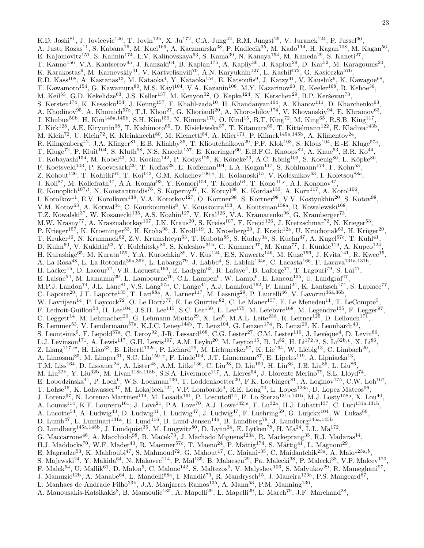K.D. Joshi<sup>81</sup>, J. Jovicevic<sup>146</sup>, T. Jovin<sup>12b</sup>, X. Ju<sup>172</sup>, C.A. Jung<sup>42</sup>, R.M. Jungst<sup>29</sup>, V. Juranek<sup>124</sup>, P. Jussel<sup>60</sup>, A. Juste Rozas<sup>11</sup>, S. Kabana<sup>16</sup>, M. Kaci<sup>166</sup>, A. Kaczmarska<sup>38</sup>, P. Kadlecik<sup>35</sup>, M. Kado<sup>114</sup>, H. Kagan<sup>108</sup>, M. Kagan<sup>56</sup>, E. Kajomovitz<sup>151</sup>, S. Kalinin<sup>174</sup>, L.V. Kalinovskaya<sup>63</sup>, S. Kama<sup>39</sup>, N. Kanaya<sup>154</sup>, M. Kaneda<sup>29</sup>, S. Kaneti<sup>27</sup>, T. Kanno<sup>156</sup>, V.A. Kantserov<sup>95</sup>, J. Kanzaki<sup>64</sup>, B. Kaplan<sup>175</sup>, A. Kapliy<sup>30</sup>, J. Kaplon<sup>29</sup>, D. Kar<sup>52</sup>, M. Karagounis<sup>20</sup>, K. Karakostas<sup>9</sup>, M. Karnevskiy<sup>41</sup>, V. Kartvelishvili<sup>70</sup>, A.N. Karyukhin<sup>127</sup>, L. Kashif<sup>172</sup>, G. Kasieczka<sup>57b</sup>, R.D. Kass<sup>108</sup>, A. Kastanas<sup>13</sup>, M. Kataoka<sup>4</sup>, Y. Kataoka<sup>154</sup>, E. Katsoufis<sup>9</sup>, J. Katzy<sup>41</sup>, V. Kaushik<sup>6</sup>, K. Kawagoe<sup>68</sup>, T. Kawamoto<sup>154</sup>, G. Kawamura<sup>80</sup>, M.S. Kayl<sup>104</sup>, V.A. Kazanin<sup>106</sup>, M.Y. Kazarinov<sup>63</sup>, R. Keeler<sup>168</sup>, R. Kehoe<sup>39</sup>, M. Keil<sup>53</sup>, G.D. Kekelidze<sup>63</sup>, J.S. Keller<sup>137</sup>, M. Kenyon<sup>52</sup>, O. Kepka<sup>124</sup>, N. Kerschen<sup>29</sup>, B.P. Kerševan<sup>73</sup>, S. Kersten<sup>174</sup>, K. Kessoku<sup>154</sup>, J. Keung<sup>157</sup>, F. Khalil-zada<sup>10</sup>, H. Khandanyan<sup>164</sup>, A. Khanov<sup>111</sup>, D. Kharchenko<sup>63</sup>, A. Khodinov<sup>95</sup>, A. Khomich<sup>57a</sup>, T.J. Khoo<sup>27</sup>, G. Khoriauli<sup>20</sup>, A. Khoroshilov<sup>174</sup>, V. Khovanskiy<sup>94</sup>, E. Khramov<sup>63</sup>, J. Khubua<sup>50b</sup>, H. Kim<sup>145a,145b</sup>, S.H. Kim<sup>159</sup>, N. Kimura<sup>170</sup>, O. Kind<sup>15</sup>, B.T. King<sup>72</sup>, M. King<sup>65</sup>, R.S.B. King<sup>117</sup>, J. Kirk<sup>128</sup>, A.E. Kiryunin<sup>98</sup>, T. Kishimoto<sup>65</sup>, D. Kisielewska<sup>37</sup>, T. Kitamura<sup>65</sup>, T. Kittelmann<sup>122</sup>, E. Kladiva<sup>143b</sup>, M. Klein<sup>72</sup>, U. Klein<sup>72</sup>, K. Kleinknecht<sup>80</sup>, M. Klemetti<sup>84</sup>, A. Klier<sup>171</sup>, P. Klimek<sup>145a,145b</sup>, A. Klimentov<sup>24</sup>, R. Klingenberg<sup>42</sup>, J.A. Klinger<sup>81</sup>, E.B. Klinkby<sup>35</sup>, T. Klioutchnikova<sup>29</sup>, P.F. Klok<sup>103</sup>, S. Klous<sup>104</sup>, E.-E. Kluge<sup>57a</sup>, T. Kluge<sup>72</sup>, P. Kluit<sup>104</sup>, S. Kluth<sup>98</sup>, N.S. Knecht<sup>157</sup>, E. Kneringer<sup>60</sup>, E.B.F.G. Knoops<sup>82</sup>, A. Knue<sup>53</sup>, B.R. Ko<sup>44</sup>, T. Kobayashi<sup>154</sup>, M. Kobel<sup>43</sup>, M. Kocian<sup>142</sup>, P. Kodys<sup>125</sup>, K. Köneke<sup>29</sup>, A.C. König<sup>103</sup>, S. Koenig<sup>80</sup>, L. Köpke<sup>80</sup>, F. Koetsveld<sup>103</sup>, P. Koevesarki<sup>20</sup>, T. Koffas<sup>28</sup>, E. Koffeman<sup>104</sup>, L.A. Kogan<sup>117</sup>, S. Kohlmann<sup>174</sup>, F. Kohn<sup>53</sup>,

Z. Kohout<sup>126</sup>, T. Kohriki<sup>64</sup>, T. Koi<sup>142</sup>, G.M. Kolachev<sup>106,\*</sup>, H. Kolanoski<sup>15</sup>, V. Kolesnikov<sup>63</sup>, I. Koletsou<sup>88a</sup>, J. Koll<sup>87</sup>, M. Kollefrath<sup>47</sup>, A.A. Komar<sup>93</sup>, Y. Komori<sup>154</sup>, T. Kondo<sup>64</sup>, T. Kono<sup>41,s</sup>, A.I. Kononov<sup>47</sup>, R. Konoplich<sup>107,t</sup>, N. Konstantinidis<sup>76</sup>, S. Koperny<sup>37</sup>, K. Korcyl<sup>38</sup>, K. Kordas<sup>153</sup>, A. Korn<sup>117</sup>, A. Korol<sup>106</sup>, I. Korolkov<sup>11</sup>, E.V. Korolkova<sup>138</sup>, V.A. Korotkov<sup>127</sup>, O. Kortner<sup>98</sup>, S. Kortner<sup>98</sup>, V.V. Kostyukhin<sup>20</sup>, S. Kotov<sup>98</sup>, V.M. Kotov<sup>63</sup>, A. Kotwal<sup>44</sup>, C. Kourkoumelis<sup>8</sup>, V. Kouskoura<sup>153</sup>, A. Koutsman<sup>158a</sup>, R. Kowalewski<sup>168</sup>, T.Z. Kowalski<sup>37</sup>, W. Kozanecki<sup>135</sup>, A.S. Kozhin<sup>127</sup>, V. Kral<sup>126</sup>, V.A. Kramarenko<sup>96</sup>, G. Kramberger<sup>73</sup>, M.W. Krasny<sup>77</sup>, A. Krasznahorkay<sup>107</sup>, J.K. Kraus<sup>20</sup>, S. Kreiss<sup>107</sup>, F. Krejci<sup>126</sup>, J. Kretzschmar<sup>72</sup>, N. Krieger<sup>53</sup>, P. Krieger<sup>157</sup>, K. Kroeninger<sup>53</sup>, H. Kroha<sup>98</sup>, J. Kroll<sup>119</sup>, J. Kroseberg<sup>20</sup>, J. Krstic<sup>12a</sup>, U. Kruchonak<sup>63</sup>, H. Krüger<sup>20</sup>, T. Kruker<sup>16</sup>, N. Krumnack<sup>62</sup>, Z.V. Krumshteyn<sup>63</sup>, T. Kubota<sup>85</sup>, S. Kuday<sup>3a</sup>, S. Kuehn<sup>47</sup>, A. Kugel<sup>57c</sup>, T. Kuhl<sup>41</sup>, D. Kuhn<sup>60</sup>, V. Kukhtin<sup>63</sup>, Y. Kulchitsky<sup>89</sup>, S. Kuleshov<sup>31b</sup>, C. Kummer<sup>97</sup>, M. Kuna<sup>77</sup>, J. Kunkle<sup>119</sup>, A. Kupco<sup>124</sup>, H. Kurashige<sup>65</sup>, M. Kurata<sup>159</sup>, Y.A. Kurochkin<sup>89</sup>, V. Kus<sup>124</sup>, E.S. Kuwertz<sup>146</sup>, M. Kuze<sup>156</sup>, J. Kvita<sup>141</sup>, R. Kwee<sup>15</sup>, A. La Rosa<sup>48</sup>, L. La Rotonda<sup>36a,36b</sup>, L. Labarga<sup>79</sup>, J. Labbe<sup>4</sup>, S. Lablak<sup>134a</sup>, C. Lacasta<sup>166</sup>, F. Lacava<sup>131a,131b</sup>, H. Lacker<sup>15</sup>, D. Lacour<sup>77</sup>, V.R. Lacuesta<sup>166</sup>, E. Ladygin<sup>63</sup>, R. Lafaye<sup>4</sup>, B. Laforge<sup>77</sup>, T. Lagouri<sup>79</sup>, S. Lai<sup>47</sup>, E. Laisne<sup>54</sup>, M. Lamanna<sup>29</sup>, L. Lambourne<sup>76</sup>, C.L. Lampen<sup>6</sup>, W. Lampl<sup>6</sup>, E. Lancon<sup>135</sup>, U. Landgraf<sup>47</sup>, M.P.J. Landon<sup>74</sup>, J.L. Lane<sup>81</sup>, V.S. Lang<sup>57a</sup>, C. Lange<sup>41</sup>, A.J. Lankford<sup>162</sup>, F. Lanni<sup>24</sup>, K. Lantzsch<sup>174</sup>, S. Laplace<sup>77</sup>, C. Lapoire<sup>20</sup>, J.F. Laporte<sup>135</sup>, T. Lari<sup>88a</sup>, A. Larner<sup>117</sup>, M. Lassnig<sup>29</sup>, P. Laurelli<sup>46</sup>, V. Lavorini<sup>36a,36b</sup>, W. Lavrijsen<sup>14</sup>, P. Laycock<sup>72</sup>, O. Le Dortz<sup>77</sup>, E. Le Guirriec<sup>82</sup>, C. Le Maner<sup>157</sup>, E. Le Menedeu<sup>11</sup>, T. LeCompte<sup>5</sup>, F. Ledroit-Guillon<sup>54</sup>, H. Lee<sup>104</sup>, J.S.H. Lee<sup>115</sup>, S.C. Lee<sup>150</sup>, L. Lee<sup>175</sup>, M. Lefebvre<sup>168</sup>, M. Legendre<sup>135</sup>, F. Legger<sup>97</sup>, C. Leggett<sup>14</sup>, M. Lehmacher<sup>20</sup>, G. Lehmann Miotto<sup>29</sup>, X. Lei<sup>6</sup>, M.A.L. Leite<sup>23d</sup>, R. Leitner<sup>125</sup>, D. Lellouch<sup>171</sup>, B. Lemmer<sup>53</sup>, V. Lendermann<sup>57a</sup>, K.J.C. Leney<sup>144b</sup>, T. Lenz<sup>104</sup>, G. Lenzen<sup>174</sup>, B. Lenzi<sup>29</sup>, K. Leonhardt<sup>43</sup>, S. Leontsinis<sup>9</sup>, F. Lepold<sup>57a</sup>, C. Leroy<sup>92</sup>, J-R. Lessard<sup>168</sup>, C.G. Lester<sup>27</sup>, C.M. Lester<sup>119</sup>, J. Levêque<sup>4</sup>, D. Levin<sup>86</sup>, L.J. Levinson<sup>171</sup>, A. Lewis<sup>117</sup>, G.H. Lewis<sup>107</sup>, A.M. Leyko<sup>20</sup>, M. Leyton<sup>15</sup>, B. Li<sup>82</sup>, H. Li<sup>172,*u*</sup>, S. Li<sup>32b,*v*</sup>, X. Li<sup>86</sup>, Z. Liang<sup>117,w</sup>, H. Liao<sup>33</sup>, B. Liberti<sup>132a</sup>, P. Lichard<sup>29</sup>, M. Lichtnecker<sup>97</sup>, K. Lie<sup>164</sup>, W. Liebig<sup>13</sup>, C. Limbach<sup>20</sup>, A. Limosani<sup>85</sup>, M. Limper<sup>61</sup>, S.C. Lin<sup>150,x</sup>, F. Linde<sup>104</sup>, J.T. Linnemann<sup>87</sup>, E. Lipeles<sup>119</sup>, A. Lipniacka<sup>13</sup>, T.M. Liss<sup>164</sup>, D. Lissauer<sup>24</sup>, A. Lister<sup>48</sup>, A.M. Litke<sup>136</sup>, C. Liu<sup>28</sup>, D. Liu<sup>150</sup>, H. Liu<sup>86</sup>, J.B. Liu<sup>86</sup>, L. Liu<sup>86</sup>, M. Liu<sup>32b</sup>, Y. Liu<sup>32b</sup>, M. Livan<sup>118a,118b</sup>, S.S.A. Livermore<sup>117</sup>, A. Lleres<sup>54</sup>, J. Llorente Merino<sup>79</sup>, S.L. Lloyd<sup>74</sup>, E. Lobodzinska<sup>41</sup>, P. Loch<sup>6</sup>, W.S. Lockman<sup>136</sup>, T. Loddenkoetter<sup>20</sup>, F.K. Loebinger<sup>81</sup>, A. Loginov<sup>175</sup>, C.W. Loh<sup>167</sup>, T. Lohse<sup>15</sup>, K. Lohwasser<sup>47</sup>, M. Lokajicek<sup>124</sup>, V.P. Lombardo<sup>4</sup>, R.E. Long<sup>70</sup>, L. Lopes<sup>123a</sup>, D. Lopez Mateos<sup>56</sup>, J. Lorenz<sup>97</sup>, N. Lorenzo Martinez<sup>114</sup>, M. Losada<sup>161</sup>, P. Loscutoff<sup>14</sup>, F. Lo Sterzo<sup>131a,131b</sup>, M.J. Losty<sup>158a</sup>, X. Lou<sup>40</sup>, A. Lounis<sup>114</sup>, K.F. Loureiro<sup>161</sup>, J. Love<sup>21</sup>, P.A. Love<sup>70</sup>, A.J. Lowe<sup>142,e</sup>, F. Lu<sup>32a</sup>, H.J. Lubatti<sup>137</sup>, C. Luci<sup>131a,131b</sup>, A. Lucotte<sup>54</sup>, A. Ludwig<sup>43</sup>, D. Ludwig<sup>41</sup>, I. Ludwig<sup>47</sup>, J. Ludwig<sup>47</sup>, F. Luehring<sup>59</sup>, G. Luijckx<sup>104</sup>, W. Lukas<sup>60</sup>, D. Lumb<sup>47</sup>, L. Luminari<sup>131a</sup>, E. Lund<sup>116</sup>, B. Lund-Jensen<sup>146</sup>, B. Lundberg<sup>78</sup>, J. Lundberg<sup>145a,145b</sup>, O. Lundberg<sup>145a,145b</sup>, J. Lundquist<sup>35</sup>, M. Lungwitz<sup>80</sup>, D. Lynn<sup>24</sup>, E. Lytken<sup>78</sup>, H. Ma<sup>24</sup>, L.L. Ma<sup>172</sup>, G. Maccarrone<sup>46</sup>, A. Macchiolo<sup>98</sup>, B. Maček<sup>73</sup>, J. Machado Miguens<sup>123a</sup>, R. Mackeprang<sup>35</sup>, R.J. Madaras<sup>14</sup>, H.J. Maddocks<sup>70</sup>, W.F. Mader<sup>43</sup>, R. Maenner<sup>57c</sup>, T. Maeno<sup>24</sup>, P. Mättig<sup>174</sup>, S. Mättig<sup>41</sup>, L. Magnoni<sup>29</sup>, E. Magradze<sup>53</sup>, K. Mahboubi<sup>47</sup>, S. Mahmoud<sup>72</sup>, G. Mahout<sup>17</sup>, C. Maiani<sup>135</sup>, C. Maidantchik<sup>23a</sup>, A. Maio<sup>123a,b</sup>, S. Majewski $^{24}$ , Y. Makida $^{64}$ , N. Makovec $^{114}$ , P. Mal $^{135}$ , B. Malaescu $^{29}$ , Pa. Malecki $^{38}$ , P. Malecki $^{38}$ , V.P. Maleev $^{120}$ , F. Malek<sup>54</sup>, U. Mallik<sup>61</sup>, D. Malon<sup>5</sup>, C. Malone<sup>142</sup>, S. Maltezos<sup>9</sup>, V. Malyshev<sup>106</sup>, S. Malyukov<sup>29</sup>, R. Mameghani<sup>97</sup>,

- J. Mamuzic<sup>12b</sup>, A. Manabe<sup>64</sup>, L. Mandelli<sup>88a</sup>, I. Mandić<sup>73</sup>, R. Mandrysch<sup>15</sup>, J. Maneira<sup>123a</sup>, P.S. Mangeard<sup>87</sup>,
- L. Manhaes de Andrade Filho<sup>23b</sup>, J.A. Manjarres Ramos<sup>135</sup>, A. Mann<sup>53</sup>, P.M. Manning<sup>136</sup>,
- A. Manousakis-Katsikakis<sup>8</sup>, B. Mansoulie<sup>135</sup>, A. Mapelli<sup>29</sup>, L. Mapelli<sup>29</sup>, L. March<sup>79</sup>, J.F. Marchand<sup>28</sup>,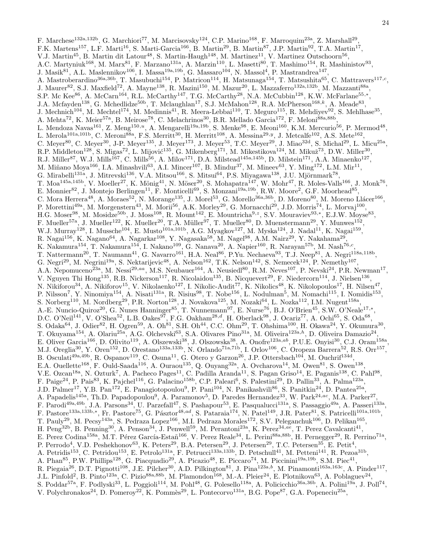F. Marchese<sup>132a,132b</sup>, G. Marchiori<sup>77</sup>, M. Marcisovsky<sup>124</sup>, C.P. Marino<sup>168</sup>, F. Marroquim<sup>23a</sup>, Z. Marshall<sup>29</sup>, F.K. Martens<sup>157</sup>, L.F. Marti<sup>16</sup>, S. Marti-Garcia<sup>166</sup>, B. Martin<sup>29</sup>, B. Martin<sup>87</sup>, J.P. Martin<sup>92</sup>, T.A. Martin<sup>17</sup>, V.J. Martin<sup>45</sup>, B. Martin dit Latour<sup>48</sup>, S. Martin-Haugh<sup>148</sup>, M. Martinez<sup>11</sup>, V. Martinez Outschoorn<sup>56</sup>, A.C. Martyniuk<sup>168</sup>, M. Marx<sup>81</sup>, F. Marzano<sup>131a</sup>, A. Marzin<sup>110</sup>, L. Masetti<sup>80</sup>, T. Mashimo<sup>154</sup>, R. Mashinistov<sup>93</sup>, J. Masik<sup>81</sup>, A.L. Maslennikov<sup>106</sup>, I. Massa<sup>19a,19b</sup>, G. Massaro<sup>104</sup>, N. Massol<sup>4</sup>, P. Mastrandrea<sup>147</sup>, A. Mastroberardino<sup>36a,36b</sup>, T. Masubuchi<sup>154</sup>, P. Matricon<sup>114</sup>, H. Matsunaga<sup>154</sup>, T. Matsushita<sup>65</sup>, C. Mattravers<sup>117,c</sup>, J. Maurer<sup>82</sup>, S.J. Maxfield<sup>72</sup>, A. Mayne<sup>138</sup>, R. Mazini<sup>150</sup>, M. Mazur<sup>20</sup>, L. Mazzaferro<sup>132a,132b</sup>, M. Mazzanti<sup>88a</sup>, S.P. Mc Kee<sup>86</sup>, A. McCarn<sup>164</sup>, R.L. McCarthy<sup>147</sup>, T.G. McCarthy<sup>28</sup>, N.A. McCubbin<sup>128</sup>, K.W. McFarlane<sup>55,\*</sup>, J.A. Mcfayden<sup>138</sup>, G. Mchedlidze<sup>50b</sup>, T. Mclaughlan<sup>17</sup>, S.J. McMahon<sup>128</sup>, R.A. McPherson<sup>168,k</sup>, A. Meade<sup>83</sup>, J. Mechnich<sup>104</sup>, M. Mechtel<sup>174</sup>, M. Medinnis<sup>41</sup>, R. Meera-Lebbai<sup>110</sup>, T. Meguro<sup>115</sup>, R. Mehdiyev<sup>92</sup>, S. Mehlhase<sup>35</sup>, A. Mehta<sup>72</sup>, K. Meier<sup>57a</sup>, B. Meirose<sup>78</sup>, C. Melachrinos<sup>30</sup>, B.R. Mellado Garcia<sup>172</sup>, F. Meloni<sup>88a,88b</sup>, L. Mendoza Navas<sup>161</sup>, Z. Meng<sup>150,*u*</sup>, A. Mengarelli<sup>19a,19b</sup>, S. Menke<sup>98</sup>, E. Meoni<sup>160</sup>, K.M. Mercurio<sup>56</sup>, P. Mermod<sup>48</sup>, L. Merola<sup>101a,101b</sup>, C. Meroni<sup>88a</sup>, F.S. Merritt<sup>30</sup>, H. Merritt<sup>108</sup>, A. Messina<sup>29,y</sup>, J. Metcalfe<sup>102</sup>, A.S. Mete<sup>162</sup>, C. Meyer<sup>80</sup>, C. Meyer<sup>30</sup>, J-P. Meyer<sup>135</sup>, J. Meyer<sup>173</sup>, J. Meyer<sup>53</sup>, T.C. Meyer<sup>29</sup>, J. Miao<sup>32d</sup>, S. Michal<sup>29</sup>, L. Micu<sup>25a</sup>, R.P. Middleton<sup>128</sup>, S. Migas<sup>72</sup>, L. Mijović<sup>135</sup>, G. Mikenberg<sup>171</sup>, M. Mikestikova<sup>124</sup>, M. Mikuž<sup>73</sup>, D.W. Miller<sup>30</sup>, R.J. Miller<sup>87</sup>, W.J. Mills<sup>167</sup>, C. Mills<sup>56</sup>, A. Milov<sup>171</sup>, D.A. Milstead<sup>145a,145b</sup>, D. Milstein<sup>171</sup>, A.A. Minaenko<sup>127</sup>, M. Miñano Moya<sup>166</sup>, I.A. Minashvili<sup>63</sup>, A.I. Mincer<sup>107</sup>, B. Mindur<sup>37</sup>, M. Mineev<sup>63</sup>, Y. Ming<sup>172</sup>, L.M. Mir<sup>11</sup>, G. Mirabelli<sup>131a</sup>, J. Mitrevski<sup>136</sup>, V.A. Mitsou<sup>166</sup>, S. Mitsui<sup>64</sup>, P.S. Miyagawa<sup>138</sup>, J.U. Mjörnmark<sup>78</sup>, T. Moa<sup>145a,145b</sup>, V. Moeller<sup>27</sup>, K. Mönig<sup>41</sup>, N. Möser<sup>20</sup>, S. Mohapatra<sup>147</sup>, W. Mohr<sup>47</sup>, R. Moles-Valls<sup>166</sup>, J. Monk<sup>76</sup>, E. Monnier<sup>82</sup>, J. Montejo Berlingen<sup>11</sup>, F. Monticelli<sup>69</sup>, S. Monzani<sup>19a,19b</sup>, R.W. Moore<sup>2</sup>, G.F. Moorhead<sup>85</sup>, C. Mora Herrera<sup>48</sup>, A. Moraes<sup>52</sup>, N. Morange<sup>135</sup>, J. Morel<sup>53</sup>, G. Morello<sup>36a,36b</sup>, D. Moreno<sup>80</sup>, M. Moreno Llácer<sup>166</sup>, P. Morettini<sup>49a</sup>, M. Morgenstern<sup>43</sup>, M. Morii<sup>56</sup>, A.K. Morley<sup>29</sup>, G. Mornacchi<sup>29</sup>, J.D. Morris<sup>74</sup>, L. Morvaj<sup>100</sup>, H.G. Moser<sup>98</sup>, M. Mosidze<sup>50b</sup>, J. Moss<sup>108</sup>, R. Mount<sup>142</sup>, E. Mountricha<sup>9, z</sup>, S.V. Mouraviev<sup>93,\*</sup>, E.J.W. Moyse<sup>83</sup>, F. Mueller<sup>57a</sup>, J. Mueller<sup>122</sup>, K. Mueller<sup>20</sup>, T.A. Müller<sup>97</sup>, T. Mueller<sup>80</sup>, D. Muenstermann<sup>29</sup>, Y. Munwes<sup>152</sup>, W.J. Murray<sup>128</sup>, I. Mussche<sup>104</sup>, E. Musto<sup>101a,101b</sup>, A.G. Myagkov<sup>127</sup>, M. Myska<sup>124</sup>, J. Nadal<sup>11</sup>, K. Nagai<sup>159</sup>, R. Nagai<sup>156</sup>, K. Nagano<sup>64</sup>, A. Nagarkar<sup>108</sup>, Y. Nagasaka<sup>58</sup>, M. Nagel<sup>98</sup>, A.M. Nairz<sup>29</sup>, Y. Nakahama<sup>29</sup>, K. Nakamura<sup>154</sup>, T. Nakamura<sup>154</sup>, I. Nakano<sup>109</sup>, G. Nanava<sup>20</sup>, A. Napier<sup>160</sup>, R. Narayan<sup>57b</sup>, M. Nash<sup>76,c</sup>, T. Nattermann<sup>20</sup>, T. Naumann<sup>41</sup>, G. Navarro<sup>161</sup>, H.A. Neal<sup>86</sup>, P.Yu. Nechaeva<sup>93</sup>, T.J. Neep<sup>81</sup>, A. Negri<sup>118a,118b</sup>, G. Negri<sup>29</sup>, M. Negrini<sup>19a</sup>, S. Nektarijevic<sup>48</sup>, A. Nelson<sup>162</sup>, T.K. Nelson<sup>142</sup>, S. Nemecek<sup>124</sup>, P. Nemethy<sup>107</sup>, A.A. Nepomuceno<sup>23a</sup>, M. Nessi<sup>29,aa</sup>, M.S. Neubauer<sup>164</sup>, A. Neusiedl<sup>80</sup>, R.M. Neves<sup>107</sup>, P. Nevski<sup>24</sup>, P.R. Newman<sup>17</sup>, V. Nguyen Thi Hong<sup>135</sup>, R.B. Nickerson<sup>117</sup>, R. Nicolaidou<sup>135</sup>, B. Nicquevert<sup>29</sup>, F. Niedercorn<sup>114</sup>, J. Nielsen<sup>136</sup>, N. Nikiforou<sup>34</sup>, A. Nikiforov<sup>15</sup>, V. Nikolaenko<sup>127</sup>, I. Nikolic-Audit<sup>77</sup>, K. Nikolics<sup>48</sup>, K. Nikolopoulos<sup>17</sup>, H. Nilsen<sup>47</sup>, P. Nilsson<sup>7</sup>, Y. Ninomiya<sup>154</sup>, A. Nisati<sup>131a</sup>, R. Nisius<sup>98</sup>, T. Nobe<sup>156</sup>, L. Nodulman<sup>5</sup>, M. Nomachi<sup>115</sup>, I. Nomidis<sup>153</sup>, S. Norberg<sup>110</sup>, M. Nordberg<sup>29</sup>, P.R. Norton<sup>128</sup>, J. Novakova<sup>125</sup>, M. Nozaki<sup>64</sup>, L. Nozka<sup>112</sup>, I.M. Nugent<sup>158a</sup>, A.-E. Nuncio-Quiroz<sup>20</sup>, G. Nunes Hanninger<sup>85</sup>, T. Nunnemann<sup>97</sup>, E. Nurse<sup>76</sup>, B.J. O'Brien<sup>45</sup>, S.W. O'Neale<sup>17,\*</sup>, D.C. O'Neil<sup>141</sup>, V. O'Shea<sup>52</sup>, L.B. Oakes<sup>97</sup>, F.G. Oakham<sup>28,d</sup>, H. Oberlack<sup>98</sup>, J. Ocariz<sup>77</sup>, A. Ochi<sup>65</sup>, S. Oda<sup>68</sup>, S. Odaka<sup>64</sup>, J. Odier<sup>82</sup>, H. Ogren<sup>59</sup>, A. Oh<sup>81</sup>, S.H. Oh<sup>44</sup>, C.C. Ohm<sup>29</sup>, T. Ohshima<sup>100</sup>, H. Okawa<sup>24</sup>, Y. Okumura<sup>30</sup>, T. Okuyama<sup>154</sup>, A. Olariu<sup>25a</sup>, A.G. Olchevski<sup>63</sup>, S.A. Olivares Pino<sup>31a</sup>, M. Oliveira<sup>123a,h</sup>, D. Oliveira Damazio<sup>24</sup>, E. Oliver Garcia<sup>166</sup>, D. Olivito<sup>119</sup>, A. Olszewski<sup>38</sup>, J. Olszowska<sup>38</sup>, A. Onofre<sup>123a,ab</sup>, P.U.E. Onyisi<sup>30</sup>, C.J. Oram<sup>158a</sup>, M.J. Oreglia<sup>30</sup>, Y. Oren<sup>152</sup>, D. Orestano<sup>133a,133b</sup>, N. Orlando<sup>71a,71b</sup>, I. Orlov<sup>106</sup>, C. Oropeza Barrera<sup>52</sup>, R.S. Orr<sup>157</sup>, B. Osculati<sup>49a,49b</sup>, R. Ospanov<sup>119</sup>, C. Osuna<sup>11</sup>, G. Otero y Garzon<sup>26</sup>, J.P. Ottersbach<sup>104</sup>, M. Ouchrif<sup>134d</sup>, E.A. Ouellette<sup>168</sup>, F. Ould-Saada<sup>116</sup>, A. Ouraou<sup>135</sup>, Q. Ouyang<sup>32a</sup>, A. Ovcharova<sup>14</sup>, M. Owen<sup>81</sup>, S. Owen<sup>138</sup>, V.E. Ozcan<sup>18a</sup>, N. Ozturk<sup>7</sup>, A. Pacheco Pages<sup>11</sup>, C. Padilla Aranda<sup>11</sup>, S. Pagan Griso<sup>14</sup>, E. Paganis<sup>138</sup>, C. Pahl<sup>98</sup>, F. Paige<sup>24</sup>, P. Pais<sup>83</sup>, K. Pajchel<sup>116</sup>, G. Palacino<sup>158b</sup>, C.P. Paleari<sup>6</sup>, S. Palestini<sup>29</sup>, D. Pallin<sup>33</sup>, A. Palma<sup>123a</sup>, J.D. Palmer<sup>17</sup>, Y.B. Pan<sup>172</sup>, E. Panagiotopoulou<sup>9</sup>, P. Pani<sup>104</sup>, N. Panikashvili<sup>86</sup>, S. Panitkin<sup>24</sup>, D. Pantea<sup>25a</sup>, A. Papadelis<sup>145a</sup>, Th.D. Papadopoulou<sup>9</sup>, A. Paramonov<sup>5</sup>, D. Paredes Hernandez<sup>33</sup>, W. Park<sup>24,ac</sup>, M.A. Parker<sup>27</sup> , F. Parodi<sup>49a,49b</sup>, J.A. Parsons<sup>34</sup>, U. Parzefall<sup>47</sup>, S. Pashapour<sup>53</sup>, E. Pasqualucci<sup>131a</sup>, S. Passaggio<sup>49a</sup>, A. Passeri<sup>133a</sup>, F. Pastore<sup>133a,133b,∗</sup>, Fr. Pastore<sup>75</sup>, G. Pásztor<sup>48,ad</sup>, S. Pataraia<sup>174</sup>, N. Patel<sup>149</sup>, J.R. Pater<sup>81</sup>, S. Patricelli<sup>101a,101b</sup>, T. Pauly<sup>29</sup>, M. Pecsy<sup>143a</sup>, S. Pedraza Lopez<sup>166</sup>, M.I. Pedraza Morales<sup>172</sup>, S.V. Peleganchuk<sup>106</sup>, D. Pelikan<sup>165</sup>, H. Peng<sup>32b</sup>, B. Penning<sup>30</sup>, A. Penson<sup>34</sup>, J. Penwell<sup>59</sup>, M. Perantoni<sup>23a</sup>, K. Perez<sup>34,ae</sup>, T. Perez Cavalcanti<sup>41</sup>, E. Perez Codina<sup>158a</sup>, M.T. Pérez García-Estañ<sup>166</sup>, V. Perez Reale<sup>34</sup>, L. Perini<sup>88a,88b</sup>, H. Pernegger<sup>29</sup>, R. Perrino<sup>71a</sup>, P. Perrodo<sup>4</sup>, V.D. Peshekhonov<sup>63</sup>, K. Peters<sup>29</sup>, B.A. Petersen<sup>29</sup>, J. Petersen<sup>29</sup>, T.C. Petersen<sup>35</sup>, E. Petit<sup>4</sup>, A. Petridis<sup>153</sup>, C. Petridou<sup>153</sup>, E. Petrolo<sup>131a</sup>, F. Petrucci<sup>133a,133b</sup>, D. Petschull<sup>41</sup>, M. Petteni<sup>141</sup>, R. Pezoa<sup>31b</sup>, A. Phan<sup>85</sup>, P.W. Phillips<sup>128</sup>, G. Piacquadio<sup>29</sup>, A. Picazio<sup>48</sup>, E. Piccaro<sup>74</sup>, M. Piccinini<sup>19a,19b</sup>, S.M. Piec<sup>41</sup>, R. Piegaia<sup>26</sup>, D.T. Pignotti<sup>108</sup>, J.E. Pilcher<sup>30</sup>, A.D. Pilkington<sup>81</sup>, J. Pina<sup>123a,b</sup>, M. Pinamonti<sup>163a,163c</sup>, A. Pinder<sup>117</sup>, J.L. Pinfold<sup>2</sup>, B. Pinto<sup>123a</sup>, C. Pizio<sup>88a,88b</sup>, M. Plamondon<sup>168</sup>, M.-A. Pleier<sup>24</sup>, E. Plotnikova<sup>63</sup>, A. Poblaguev<sup>24</sup>, S. Poddar<sup>57a</sup>, F. Podlyski<sup>33</sup>, L. Poggioli<sup>114</sup>, M. Pohl<sup>48</sup>, G. Polesello<sup>118a</sup>, A. Policicchio<sup>36a,36b</sup>, A. Polini<sup>19a</sup>, J. Poll<sup>74</sup>, V. Polychronakos<sup>24</sup>, D. Pomeroy<sup>22</sup>, K. Pommès<sup>29</sup>, L. Pontecorvo<sup>131a</sup>, B.G. Pope<sup>87</sup>, G.A. Popeneciu<sup>25a</sup>,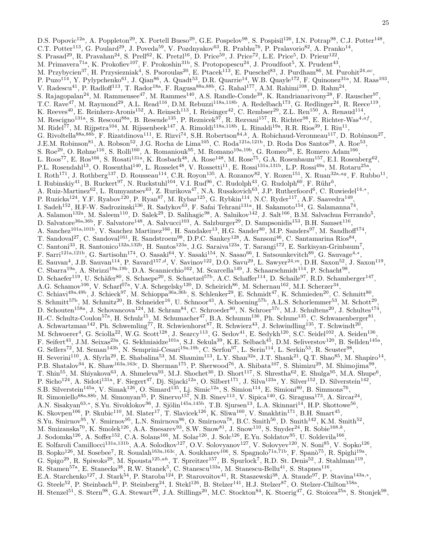D.S. Popovic<sup>12a</sup>, A. Poppleton<sup>29</sup>, X. Portell Bueso<sup>29</sup>, G.E. Pospelov<sup>98</sup>, S. Pospisil<sup>126</sup>, I.N. Potrap<sup>98</sup>, C.J. Potter<sup>148</sup>, C.T. Potter<sup>113</sup>, G. Poulard<sup>29</sup>, J. Poveda<sup>59</sup>, V. Pozdnyakov<sup>63</sup>, R. Prabhu<sup>76</sup>, P. Pralavorio<sup>82</sup>, A. Pranko<sup>14</sup>, S. Prasad<sup>29</sup>, R. Pravahan<sup>24</sup>, S. Prell<sup>62</sup>, K. Pretzl<sup>16</sup>, D. Price<sup>59</sup>, J. Price<sup>72</sup>, L.E. Price<sup>5</sup>, D. Prieur<sup>122</sup>, M. Primavera<sup>71a</sup>, K. Prokofiev<sup>107</sup>, F. Prokoshin<sup>31b</sup>, S. Protopopescu<sup>24</sup>, J. Proudfoot<sup>5</sup>, X. Prudent<sup>43</sup>, M. Przybycien<sup>37</sup>, H. Przysiezniak<sup>4</sup>, S. Psoroulas<sup>20</sup>, E. Ptacek<sup>113</sup>, E. Pueschel<sup>83</sup>, J. Purdham<sup>86</sup>, M. Purohit<sup>24,ac</sup>, P. Puzo<sup>114</sup>, Y. Pylypchenko<sup>61</sup>, J. Qian<sup>86</sup>, A. Quadt<sup>53</sup>, D.R. Quarrie<sup>14</sup>, W.B. Quayle<sup>172</sup>, F. Quinonez<sup>31a</sup>, M. Raas<sup>103</sup>, V. Radescu<sup>41</sup>, P. Radloff<sup>113</sup>, T. Rador<sup>18a</sup>, F. Ragusa<sup>88a,88b</sup>, G. Rahal<sup>177</sup>, A.M. Rahimi<sup>108</sup>, D. Rahm<sup>24</sup>, S. Rajagopalan<sup>24</sup>, M. Rammensee<sup>47</sup>, M. Rammes<sup>140</sup>, A.S. Randle-Conde<sup>39</sup>, K. Randrianarivony<sup>28</sup>, F. Rauscher<sup>97</sup>, T.C. Rave<sup>47</sup>, M. Raymond<sup>29</sup>, A.L. Read<sup>116</sup>, D.M. Rebuzzi<sup>118a,118b</sup>, A. Redelbach<sup>173</sup>, G. Redlinger<sup>24</sup>, R. Reece<sup>119</sup>, K. Reeves<sup>40</sup>, E. Reinherz-Aronis<sup>152</sup>, A. Reinsch<sup>113</sup>, I. Reisinger<sup>42</sup>, C. Rembser<sup>29</sup>, Z.L. Ren<sup>150</sup>, A. Renaud<sup>114</sup>, M. Rescigno<sup>131a</sup>, S. Resconi<sup>88a</sup>, B. Resende<sup>135</sup>, P. Reznicek<sup>97</sup>, R. Rezvani<sup>157</sup>, R. Richter<sup>98</sup>, E. Richter-Was<sup>4,af</sup>, M. Ridel<sup>77</sup>, M. Rijpstra<sup>104</sup>, M. Rijssenbeek<sup>147</sup>, A. Rimoldi<sup>118a,118b</sup>, L. Rinaldi<sup>19a</sup>, R.R. Rios<sup>39</sup>, I. Riu<sup>11</sup>, G. Rivoltella<sup>88a,88b</sup>, F. Rizatdinova<sup>111</sup>, E. Rizvi<sup>74</sup>, S.H. Robertson<sup>84,k</sup>, A. Robichaud-Veronneau<sup>117</sup>, D. Robinson<sup>27</sup>, J.E.M. Robinson<sup>81</sup>, A. Robson<sup>52</sup>, J.G. Rocha de Lima<sup>105</sup>, C. Roda<sup>121a,121b</sup>, D. Roda Dos Santos<sup>29</sup>, A. Roe<sup>53</sup>, S. Roe<sup>29</sup>, O. Røhne<sup>116</sup>, S. Rolli<sup>160</sup>, A. Romaniouk<sup>95</sup>, M. Romano<sup>19a,19b</sup>, G. Romeo<sup>26</sup>, E. Romero Adam<sup>166</sup>, L. Roos<sup>77</sup>, E. Ros<sup>166</sup>, S. Rosati<sup>131a</sup>, K. Rosbach<sup>48</sup>, A. Rose<sup>148</sup>, M. Rose<sup>75</sup>, G.A. Rosenbaum<sup>157</sup>, E.I. Rosenberg<sup>62</sup>, P.L. Rosendahl<sup>13</sup>, O. Rosenthal<sup>140</sup>, L. Rosselet<sup>48</sup>, V. Rossetti<sup>11</sup>, E. Rossi<sup>131a,131b</sup>, L.P. Rossi<sup>49a</sup>, M. Rotaru<sup>25a</sup>, I. Roth<sup>171</sup>, J. Rothberg<sup>137</sup>, D. Rousseau<sup>114</sup>, C.R. Royon<sup>135</sup>, A. Rozanov<sup>82</sup>, Y. Rozen<sup>151</sup>, X. Ruan<sup>32a,ag</sup>, F. Rubbo<sup>11</sup>, I. Rubinskiy<sup>41</sup>, B. Ruckert<sup>97</sup>, N. Ruckstuhl<sup>104</sup>, V.I. Rud<sup>96</sup>, C. Rudolph<sup>43</sup>, G. Rudolph<sup>60</sup>, F. Rühr<sup>6</sup>, A. Ruiz-Martinez<sup>62</sup>, L. Rumyantsev<sup>63</sup>, Z. Rurikova<sup>47</sup>, N.A. Rusakovich<sup>63</sup>, J.P. Rutherfoord<sup>6</sup>, C. Ruwiedel<sup>14,\*</sup>, P. Ruzicka<sup>124</sup>, Y.F. Ryabov<sup>120</sup>, P. Ryan<sup>87</sup>, M. Rybar<sup>125</sup>, G. Rybkin<sup>114</sup>, N.C. Ryder<sup>117</sup>, A.F. Saavedra<sup>149</sup>, I. Sadeh<sup>152</sup>, H.F-W. Sadrozinski<sup>136</sup>, R. Sadykov<sup>63</sup>, F. Safai Tehrani<sup>131a</sup>, H. Sakamoto<sup>154</sup>, G. Salamanna<sup>74</sup>, A. Salamon<sup>132a</sup>, M. Saleem<sup>110</sup>, D. Salek<sup>29</sup>, D. Salihagic<sup>98</sup>, A. Salnikov<sup>142</sup>, J. Salt<sup>166</sup>, B.M. Salvachua Ferrando<sup>5</sup>, D. Salvatore<sup>36a,36b</sup>, F. Salvatore<sup>148</sup>, A. Salvucci<sup>103</sup>, A. Salzburger<sup>29</sup>, D. Sampsonidis<sup>153</sup>, B.H. Samset<sup>116</sup>, A. Sanchez<sup>101a,101b</sup>, V. Sanchez Martinez<sup>166</sup>, H. Sandaker<sup>13</sup>, H.G. Sander<sup>80</sup>, M.P. Sanders<sup>97</sup>, M. Sandhoff<sup>174</sup>, T. Sandoval<sup>27</sup>, C. Sandoval<sup>161</sup>, R. Sandstroem<sup>98</sup>, D.P.C. Sankey<sup>128</sup>, A. Sansoni<sup>46</sup>, C. Santamarina Rios<sup>84</sup>, C. Santoni<sup>33</sup>, R. Santonico<sup>132a,132b</sup>, H. Santos<sup>123a</sup>, J.G. Saraiva<sup>123a</sup>, T. Sarangi<sup>172</sup>, E. Sarkisyan-Grinbaum<sup>7</sup>, F. Sarri<sup>121a,121b</sup>, G. Sartisohn<sup>174</sup>, O. Sasaki<sup>64</sup>, Y. Sasaki<sup>154</sup>, N. Sasao<sup>66</sup>, I. Satsounkevitch<sup>89</sup>, G. Sauvage<sup>4,∗</sup>, E. Sauvan<sup>4</sup>, J.B. Sauvan<sup>114</sup>, P. Savard<sup>157,d</sup>, V. Savinov<sup>122</sup>, D.O. Savu<sup>29</sup>, L. Sawyer<sup>24,m</sup>, D.H. Saxon<sup>52</sup>, J. Saxon<sup>119</sup>, C. Sbarra<sup>19a</sup>, A. Sbrizzi<sup>19a,19b</sup>, D.A. Scannicchio<sup>162</sup>, M. Scarcella<sup>149</sup>, J. Schaarschmidt<sup>114</sup>, P. Schacht<sup>98</sup>, D. Schaefer<sup>119</sup>, U. Schäfer<sup>80</sup>, S. Schaepe<sup>20</sup>, S. Schaetzel<sup>57b</sup>, A.C. Schaffer<sup>114</sup>, D. Schaile<sup>97</sup>, R.D. Schamberger<sup>147</sup>, A.G. Schamov<sup>106</sup>, V. Scharf<sup>57a</sup>, V.A. Schegelsky<sup>120</sup>, D. Scheirich<sup>86</sup>, M. Schernau<sup>162</sup>, M.I. Scherzer<sup>34</sup>, C. Schiavi<sup>49a,49b</sup>, J. Schieck<sup>97</sup>, M. Schioppa<sup>36a,36b</sup>, S. Schlenker<sup>29</sup>, E. Schmidt<sup>47</sup>, K. Schmieden<sup>20</sup>, C. Schmitt<sup>80</sup>, S. Schmitt<sup>57b</sup>, M. Schmitz<sup>20</sup>, B. Schneider<sup>16</sup>, U. Schnoor<sup>43</sup>, A. Schoening<sup>57b</sup>, A.L.S. Schorlemmer<sup>53</sup>, M. Schott<sup>29</sup>, D. Schouten<sup>158a</sup>, J. Schovancova<sup>124</sup>, M. Schram<sup>84</sup>, C. Schroeder<sup>80</sup>, N. Schroer<sup>57c</sup>, M.J. Schultens<sup>20</sup>, J. Schultes<sup>174</sup>, H.-C. Schultz-Coulon<sup>57a</sup>, H. Schulz<sup>15</sup>, M. Schumacher<sup>47</sup>, B.A. Schumm<sup>136</sup>, Ph. Schune<sup>135</sup>, C. Schwanenberger<sup>81</sup>, A. Schwartzman<sup>142</sup>, Ph. Schwemling<sup>77</sup>, R. Schwienhorst<sup>87</sup>, R. Schwierz<sup>43</sup>, J. Schwindling<sup>135</sup>, T. Schwindt<sup>20</sup>, M. Schwoerer<sup>4</sup>, G. Sciolla<sup>22</sup>, W.G. Scott<sup>128</sup>, J. Searcy<sup>113</sup>, G. Sedov<sup>41</sup>, E. Sedykh<sup>120</sup>, S.C. Seidel<sup>102</sup>, A. Seiden<sup>136</sup>, F. Seifert<sup>43</sup>, J.M. Seixas<sup>23a</sup>, G. Sekhniaidze<sup>101a</sup>, S.J. Sekula<sup>39</sup>, K.E. Selbach<sup>45</sup>, D.M. Seliverstov<sup>120</sup>, B. Sellden<sup>145a</sup>, G. Sellers<sup>72</sup>, M. Seman<sup>143b</sup>, N. Semprini-Cesari<sup>19a,19b</sup>, C. Serfon<sup>97</sup>, L. Serin<sup>114</sup>, L. Serkin<sup>53</sup>, R. Seuster<sup>98</sup>, H. Severini<sup>110</sup>, A. Sfyrla<sup>29</sup>, E. Shabalina<sup>53</sup>, M. Shamim<sup>113</sup>, L.Y. Shan<sup>32a</sup>, J.T. Shank<sup>21</sup>, Q.T. Shao<sup>85</sup>, M. Shapiro<sup>14</sup>, P.B. Shatalov<sup>94</sup>, K. Shaw<sup>163a,163c</sup>, D. Sherman<sup>175</sup>, P. Sherwood<sup>76</sup>, A. Shibata<sup>107</sup>, S. Shimizu<sup>29</sup>, M. Shimojima<sup>99</sup>, T. Shin<sup>55</sup>, M. Shiyakova<sup>63</sup>, A. Shmeleva<sup>93</sup>, M.J. Shochet<sup>30</sup>, D. Short<sup>117</sup>, S. Shrestha<sup>62</sup>, E. Shulga<sup>95</sup>, M.A. Shupe<sup>6</sup>, P. Sicho<sup>124</sup>, A. Sidoti<sup>131a</sup>, F. Siegert<sup>47</sup>, Dj. Sijacki<sup>12a</sup>, O. Silbert<sup>171</sup>, J. Silva<sup>123a</sup>, Y. Silver<sup>152</sup>, D. Silverstein<sup>142</sup>, S.B. Silverstein<sup>145a</sup>, V. Simak<sup>126</sup>, O. Simard<sup>135</sup>, Lj. Simic<sup>12a</sup>, S. Simion<sup>114</sup>, E. Simioni<sup>80</sup>, B. Simmons<sup>76</sup>, R. Simoniello<sup>88a,88b</sup>, M. Simonyan<sup>35</sup>, P. Sinervo<sup>157</sup>, N.B. Sinev<sup>113</sup>, V. Sipica<sup>140</sup>, G. Siragusa<sup>173</sup>, A. Sircar<sup>24</sup>, A.N. Sisakyan<sup>63,∗</sup>, S.Yu. Sivoklokov<sup>96</sup>, J. Sjölin<sup>145a,145b</sup>, T.B. Sjursen<sup>13</sup>, L.A. Skinnari<sup>14</sup>, H.P. Skottowe<sup>56</sup>, K. Skovpen<sup>106</sup>, P. Skubic<sup>110</sup>, M. Slater<sup>17</sup>, T. Slavicek<sup>126</sup>, K. Sliwa<sup>160</sup>, V. Smakhtin<sup>171</sup>, B.H. Smart<sup>45</sup>, S.Yu. Smirnov<sup>95</sup>, Y. Smirnov<sup>95</sup>, L.N. Smirnova<sup>96</sup>, O. Smirnova<sup>78</sup>, B.C. Smith<sup>56</sup>, D. Smith<sup>142</sup>, K.M. Smith<sup>52</sup>, M. Smizanska<sup>70</sup>, K. Smolek<sup>126</sup>, A.A. Snesarev<sup>93</sup>, S.W. Snow<sup>81</sup>, J. Snow<sup>110</sup>, S. Snyder<sup>24</sup>, R. Sobie<sup>168,k</sup>, J. Sodomka<sup>126</sup>, A. Soffer<sup>152</sup>, C.A. Solans<sup>166</sup>, M. Solar<sup>126</sup>, J. Solc<sup>126</sup>, E.Yu. Soldatov<sup>95</sup>, U. Soldevila<sup>166</sup>, E. Solfaroli Camillocci<sup>131a,131b</sup>, A.A. Solodkov<sup>127</sup>, O.V. Solovyanov<sup>127</sup>, V. Solovyev<sup>120</sup>, N. Soni<sup>85</sup>, V. Sopko<sup>126</sup>, B. Sopko<sup>126</sup>, M. Sosebee<sup>7</sup>, R. Soualah<sup>163a,163c</sup>, A. Soukharev<sup>106</sup>, S. Spagnolo<sup>71a,71b</sup>, F. Spanò<sup>75</sup>, R. Spighi<sup>19a</sup>, G. Spigo<sup>29</sup>, R. Spiwoks<sup>29</sup>, M. Spousta<sup>125,ah</sup>, T. Spreitzer<sup>157</sup>, B. Spurlock<sup>7</sup>, R.D. St. Denis<sup>52</sup>, J. Stahlman<sup>119</sup>, R. Stamen<sup>57a</sup>, E. Stanecka<sup>38</sup>, R.W. Stanek<sup>5</sup>, C. Stanescu<sup>133a</sup>, M. Stanescu-Bellu<sup>41</sup>, S. Stapnes<sup>116</sup>, E.A. Starchenko<sup>127</sup>, J. Stark<sup>54</sup>, P. Staroba<sup>124</sup>, P. Starovoitov<sup>41</sup>, R. Staszewski<sup>38</sup>, A. Staude<sup>97</sup>, P. Stavina<sup>143a,\*</sup>, G. Steele<sup>52</sup>, P. Steinbach<sup>43</sup>, P. Steinberg<sup>24</sup>, I. Stekl<sup>126</sup>, B. Stelzer<sup>141</sup>, H.J. Stelzer<sup>87</sup>, O. Stelzer-Chilton<sup>158a</sup>, H. Stenzel<sup>51</sup>, S. Stern<sup>98</sup>, G.A. Stewart<sup>29</sup>, J.A. Stillings<sup>20</sup>, M.C. Stockton<sup>84</sup>, K. Stoerig<sup>47</sup>, G. Stoicea<sup>25a</sup>, S. Stonjek<sup>98</sup>,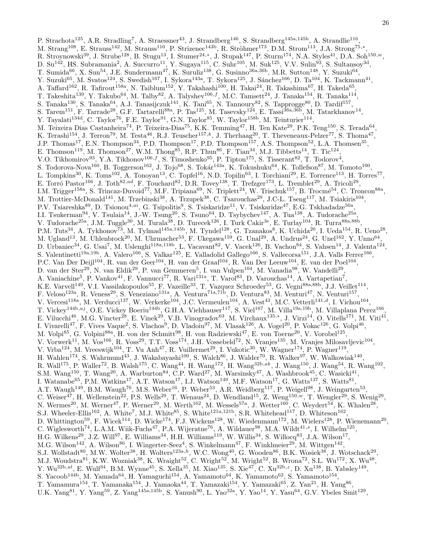P. Strachota<sup>125</sup>, A.R. Stradling<sup>7</sup>, A. Straessner<sup>43</sup>, J. Strandberg<sup>146</sup>, S. Strandberg<sup>145a,145b</sup>, A. Strandlie<sup>116</sup>, M. Strang<sup>108</sup>, E. Strauss<sup>142</sup>, M. Strauss<sup>110</sup>, P. Strizenec<sup>143b</sup>, R. Ströhmer<sup>173</sup>, D.M. Strom<sup>113</sup>, J.A. Strong<sup>75,\*</sup>, R. Stroynowski<sup>39</sup>, J. Strube<sup>128</sup>, B. Stugu<sup>13</sup>, I. Stumer<sup>24,\*</sup>, J. Stupak<sup>147</sup>, P. Sturm<sup>174</sup>, N.A. Styles<sup>41</sup>, D.A. Soh<sup>150,*w*</sup>, D. Su<sup>142</sup>, HS. Subramania<sup>2</sup>, A. Succurro<sup>11</sup>, Y. Sugaya<sup>115</sup>, C. Suhr<sup>105</sup>, M. Suk<sup>125</sup>, V.V. Sulin<sup>93</sup>, S. Sultansoy<sup>3d</sup>, T. Sumida<sup>66</sup>, X. Sun<sup>54</sup>, J.E. Sundermann<sup>47</sup>, K. Suruliz<sup>138</sup>, G. Susinno<sup>36a,36b</sup>, M.R. Sutton<sup>148</sup>, Y. Suzuki<sup>64</sup>, Y. Suzuki<sup>65</sup>, M. Svatos<sup>124</sup>, S. Swedish<sup>167</sup>, I. Sykora<sup>143a</sup>, T. Sykora<sup>125</sup>, J. Sánchez<sup>166</sup>, D. Ta<sup>104</sup>, K. Tackmann<sup>41</sup>, A. Taffard<sup>162</sup>, R. Tafirout<sup>158a</sup>, N. Taiblum<sup>152</sup>, Y. Takahashi<sup>100</sup>, H. Takai<sup>24</sup>, R. Takashima<sup>67</sup>, H. Takeda<sup>65</sup>, T. Takeshita<sup>139</sup>, Y. Takubo<sup>64</sup>, M. Talby<sup>82</sup>, A. Talyshev<sup>106,f</sup>, M.C. Tamsett<sup>24</sup>, J. Tanaka<sup>154</sup>, R. Tanaka<sup>114</sup>, S. Tanaka<sup>130</sup>, S. Tanaka<sup>64</sup>, A.J. Tanasijczuk<sup>141</sup>, K. Tani<sup>65</sup>, N. Tannoury<sup>82</sup>, S. Tapprogge<sup>80</sup>, D. Tardif<sup>157</sup>, S. Tarem<sup>151</sup>, F. Tarrade<sup>28</sup>, G.F. Tartarelli<sup>88a</sup>, P. Tas<sup>125</sup>, M. Tasevsky<sup>124</sup>, E. Tassi<sup>36a,36b</sup>, M. Tatarkhanov<sup>14</sup>, Y. Tayalati<sup>134d</sup>, C. Taylor<sup>76</sup>, F.E. Taylor<sup>91</sup>, G.N. Taylor<sup>85</sup>, W. Taylor<sup>158b</sup>, M. Teinturier<sup>114</sup>, M. Teixeira Dias Castanheira<sup>74</sup>, P. Teixeira-Dias<sup>75</sup>, K.K. Temming<sup>47</sup>, H. Ten Kate<sup>29</sup>, P.K. Teng<sup>150</sup>, S. Terada<sup>64</sup>, K. Terashi<sup>154</sup>, J. Terron<sup>79</sup>, M. Testa<sup>46</sup>, R.J. Teuscher<sup>157,k</sup>, J. Therhaag<sup>20</sup>, T. Theveneaux-Pelzer<sup>77</sup>, S. Thoma<sup>47</sup>, J.P. Thomas<sup>17</sup>, E.N. Thompson<sup>34</sup>, P.D. Thompson<sup>17</sup>, P.D. Thompson<sup>157</sup>, A.S. Thompson<sup>52</sup>, L.A. Thomsen<sup>35</sup>, E. Thomson<sup>119</sup>, M. Thomson<sup>27</sup>, W.M. Thong<sup>85</sup>, R.P. Thun<sup>86</sup>, F. Tian<sup>34</sup>, M.J. Tibbetts<sup>14</sup>, T. Tic<sup>124</sup>, V.O. Tikhomirov<sup>93</sup>, Y.A. Tikhonov<sup>106,f</sup>, S. Timoshenko<sup>95</sup>, P. Tipton<sup>175</sup>, S. Tisserant<sup>82</sup>, T. Todorov<sup>4</sup>, S. Todorova-Nova<sup>160</sup>, B. Toggerson<sup>162</sup>, J. Tojo<sup>68</sup>, S. Tokár<sup>143a</sup>, K. Tokushuku<sup>64</sup>, K. Tollefson<sup>87</sup>, M. Tomoto<sup>100</sup>, L. Tompkins<sup>30</sup>, K. Toms<sup>102</sup>, A. Tonoyan<sup>13</sup>, C. Topfel<sup>16</sup>, N.D. Topilin<sup>63</sup>, I. Torchiani<sup>29</sup>, E. Torrence<sup>113</sup>, H. Torres<sup>77</sup>, E. Torró Pastor<sup>166</sup>, J. Toth<sup>82,ad</sup>, F. Touchard<sup>82</sup>, D.R. Tovey<sup>138</sup>, T. Trefzger<sup>173</sup>, L. Tremblet<sup>29</sup>, A. Tricoli<sup>29</sup>, I.M. Trigger<sup>158a</sup>, S. Trincaz-Duvoid<sup>77</sup>, M.F. Tripiana<sup>69</sup>, N. Triplett<sup>24</sup>, W. Trischuk<sup>157</sup>, B. Trocmé<sup>54</sup>, C. Troncon<sup>88a</sup>, M. Trottier-McDonald<sup>141</sup>, M. Trzebinski<sup>38</sup>, A. Trzupek<sup>38</sup>, C. Tsarouchas<sup>29</sup>, J.C-L. Tseng<sup>117</sup>, M. Tsiakiris<sup>104</sup>, P.V. Tsiareshka<sup>89</sup>, D. Tsionou<sup>4,ai</sup>, G. Tsipolitis<sup>9</sup>, S. Tsiskaridze<sup>11</sup>, V. Tsiskaridze<sup>47</sup>, E.G. Tskhadadze<sup>50a</sup>, I.I. Tsukerman<sup>94</sup>, V. Tsulaia<sup>14</sup>, J.-W. Tsung<sup>20</sup>, S. Tsuno<sup>64</sup>, D. Tsybychev<sup>147</sup>, A. Tua<sup>138</sup>, A. Tudorache<sup>25a</sup>, V. Tudorache<sup>25a</sup>, J.M. Tuggle<sup>30</sup>, M. Turala<sup>38</sup>, D. Turecek<sup>126</sup>, I. Turk Cakir<sup>3e</sup>, E. Turlay<sup>104</sup>, R. Turra<sup>88a,88b</sup>, P.M. Tuts<sup>34</sup>, A. Tykhonov<sup>73</sup>, M. Tylmad<sup>145a,145b</sup>, M. Tyndel<sup>128</sup>, G. Tzanakos<sup>8</sup>, K. Uchida<sup>20</sup>, I. Ueda<sup>154</sup>, R. Ueno<sup>28</sup>, M. Ugland<sup>13</sup>, M. Uhlenbrock<sup>20</sup>, M. Uhrmacher<sup>53</sup>, F. Ukegawa<sup>159</sup>, G. Unal<sup>29</sup>, A. Undrus<sup>24</sup>, G. Unel<sup>162</sup>, Y. Unno<sup>64</sup>, D. Urbaniec<sup>34</sup>, G. Usai<sup>7</sup>, M. Uslenghi<sup>118a,118b</sup>, L. Vacavant<sup>82</sup>, V. Vacek<sup>126</sup>, B. Vachon<sup>84</sup>, S. Vahsen<sup>14</sup>, J. Valenta<sup>124</sup>, S. Valentinetti<sup>19a,19b</sup>, A. Valero<sup>166</sup>, S. Valkar<sup>125</sup>, E. Valladolid Gallego<sup>166</sup>, S. Vallecorsa<sup>151</sup>, J.A. Valls Ferrer<sup>166</sup>, P.C. Van Der Deijl<sup>104</sup>, R. van der Geer<sup>104</sup>, H. van der Graaf<sup>104</sup>, R. Van Der Leeuw<sup>104</sup>, E. van der Poel<sup>104</sup>, D. van der Ster<sup>29</sup>, N. van Eldik<sup>29</sup>, P. van Gemmeren<sup>5</sup>, I. van Vulpen<sup>104</sup>, M. Vanadia<sup>98</sup>, W. Vandelli<sup>29</sup>, A. Vaniachine<sup>5</sup>, P. Vankov<sup>41</sup>, F. Vannucci<sup>77</sup>, R. Vari<sup>131a</sup>, T. Varol<sup>83</sup>, D. Varouchas<sup>14</sup>, A. Vartapetian<sup>7</sup>, K.E. Varvell<sup>149</sup>, V.I. Vassilakopoulos<sup>55</sup>, F. Vazeille<sup>33</sup>, T. Vazquez Schroeder<sup>53</sup>, G. Vegni<sup>88a,88b</sup>, J.J. Veillet<sup>114</sup>, F. Veloso<sup>123a</sup>, R. Veness<sup>29</sup>, S. Veneziano<sup>131a</sup>, A. Ventura<sup>71a,71b</sup>, D. Ventura<sup>83</sup>, M. Venturi<sup>47</sup>, N. Venturi<sup>157</sup>, V. Vercesi<sup>118a</sup>, M. Verducci<sup>137</sup>, W. Verkerke<sup>104</sup>, J.C. Vermeulen<sup>104</sup>, A. Vest<sup>43</sup>, M.C. Vetterli<sup>141,d</sup>, I. Vichou<sup>164</sup>, T. Vickey<sup>144b,aj</sup>, O.E. Vickey Boeriu<sup>144b</sup>, G.H.A. Viehhauser<sup>117</sup>, S. Viel<sup>167</sup>, M. Villa<sup>19a,19b</sup>, M. Villaplana Perez<sup>166</sup>, E. Vilucchi<sup>46</sup>, M.G. Vincter<sup>28</sup>, E. Vinek<sup>29</sup>, V.B. Vinogradov<sup>63</sup>, M. Virchaux<sup>135,\*</sup>, J. Virzi<sup>14</sup>, O. Vitells<sup>171</sup>, M. Viti<sup>41</sup>, I. Vivarelli<sup>47</sup>, F. Vives Vaque<sup>2</sup>, S. Vlachos<sup>9</sup>, D. Vladoiu<sup>97</sup>, M. Vlasak<sup>126</sup>, A. Vogel<sup>20</sup>, P. Vokac<sup>126</sup>, G. Volpi<sup>46</sup>, M. Volpi<sup>85</sup>, G. Volpini<sup>88a</sup>, H. von der Schmitt<sup>98</sup>, H. von Radziewski<sup>47</sup>, E. von Toerne<sup>20</sup>, V. Vorobel<sup>125</sup>, V. Vorwerk<sup>11</sup>, M. Vos<sup>166</sup>, R. Voss<sup>29</sup>, T.T. Voss<sup>174</sup>, J.H. Vossebeld<sup>72</sup>, N. Vranjes<sup>135</sup>, M. Vranjes Milosavljevic<sup>104</sup>, V. Vrba<sup>124</sup>, M. Vreeswijk<sup>104</sup>, T. Vu Anh<sup>47</sup>, R. Vuillermet<sup>29</sup>, I. Vukotic<sup>30</sup>, W. Wagner<sup>174</sup>, P. Wagner<sup>119</sup>, H. Wahlen<sup>174</sup>, S. Wahrmund<sup>43</sup>, J. Wakabayashi<sup>100</sup>, S. Walch<sup>86</sup>, J. Walder<sup>70</sup>, R. Walker<sup>97</sup>, W. Walkowiak<sup>140</sup>, R. Wall<sup>175</sup>, P. Waller<sup>72</sup>, B. Walsh<sup>175</sup>, C. Wang<sup>44</sup>, H. Wang<sup>172</sup>, H. Wang<sup>32b,ak</sup>, J. Wang<sup>150</sup>, J. Wang<sup>54</sup>, R. Wang<sup>102</sup>, S.M. Wang<sup>150</sup>, T. Wang<sup>20</sup>, A. Warburton<sup>84</sup>, C.P. Ward<sup>27</sup>, M. Warsinsky<sup>47</sup>, A. Washbrook<sup>45</sup>, C. Wasicki<sup>41</sup>, I. Watanabe<sup>65</sup>, P.M. Watkins<sup>17</sup>, A.T. Watson<sup>17</sup>, I.J. Watson<sup>149</sup>, M.F. Watson<sup>17</sup>, G. Watts<sup>137</sup>, S. Watts<sup>81</sup>, A.T. Waugh<sup>149</sup>, B.M. Waugh<sup>76</sup>, M.S. Weber<sup>16</sup>, P. Weber<sup>53</sup>, A.R. Weidberg<sup>117</sup>, P. Weigell<sup>98</sup>, J. Weingarten<sup>53</sup>, C. Weiser<sup>47</sup>, H. Wellenstein<sup>22</sup>, P.S. Wells<sup>29</sup>, T. Wenaus<sup>24</sup>, D. Wendland<sup>15</sup>, Z. Weng<sup>150,w</sup>, T. Wengler<sup>29</sup>, S. Wenig<sup>29</sup>, N. Wermes<sup>20</sup>, M. Werner<sup>47</sup>, P. Werner<sup>29</sup>, M. Werth<sup>162</sup>, M. Wessels<sup>57a</sup>, J. Wetter<sup>160</sup>, C. Weydert<sup>54</sup>, K. Whalen<sup>28</sup>, S.J. Wheeler-Ellis<sup>162</sup>, A. White<sup>7</sup>, M.J. White<sup>85</sup>, S. White<sup>121a,121b</sup>, S.R. Whitehead<sup>117</sup>, D. Whiteson<sup>162</sup>, D. Whittington<sup>59</sup>, F. Wicek<sup>114</sup>, D. Wicke<sup>174</sup>, F.J. Wickens<sup>128</sup>, W. Wiedenmann<sup>172</sup>, M. Wielers<sup>128</sup>, P. Wienemann<sup>20</sup>, C. Wiglesworth<sup>74</sup>, L.A.M. Wiik-Fuchs<sup>47</sup>, P.A. Wijeratne<sup>76</sup>, A. Wildauer<sup>98</sup>, M.A. Wildt<sup>41,s</sup>, I. Wilhelm<sup>125</sup>, H.G. Wilkens<sup>29</sup>, J.Z. Will<sup>97</sup>, E. Williams<sup>34</sup>, H.H. Williams<sup>119</sup>, W. Willis<sup>34</sup>, S. Willocq<sup>83</sup>, J.A. Wilson<sup>17</sup>, M.G. Wilson<sup>142</sup>, A. Wilson<sup>86</sup>, I. Wingerter-Seez<sup>4</sup>, S. Winkelmann<sup>47</sup>, F. Winklmeier<sup>29</sup>, M. Wittgen<sup>142</sup>, S.J. Wollstadt $^{80}$ , M.W. Wolter<sup>38</sup>, H. Wolters<sup>123a,h</sup>, W.C. Wong<sup>40</sup>, G. Wooden<sup>86</sup>, B.K. Wosiek<sup>38</sup>, J. Wotschack<sup>29</sup>, M.J. Woudstra $^{81}$ , K.W. Wozniak $^{38}$ , K. Wraight $^{52}$ , C. Wright $^{52}$ , M. Wright $^{52}$ , B. Wrona $^{72}$ , S.L. Wu $^{172}$ , X. Wu $^{48}$ ,  $Y. Wu^{32b,al}, E. Wulf^{34}, B.M. Wynne^{45}, S. Xella^{35}, M. Xiao^{135}, S. Xie^{47}, C. Xu^{32b,z}, D. Xu^{138}, B. Yabsley^{149},$ S. Yacoob<sup>144b</sup>, M. Yamada<sup>64</sup>, H. Yamaguchi<sup>154</sup>, A. Yamamoto<sup>64</sup>, K. Yamamoto<sup>62</sup>, S. Yamamoto<sup>154</sup>, T. Yamamura<sup>154</sup>, T. Yamanaka<sup>154</sup>, J. Yamaoka<sup>44</sup>, T. Yamazaki<sup>154</sup>, Y. Yamazaki<sup>65</sup>, Z. Yan<sup>21</sup>, H. Yang<sup>86</sup>,

U.K. Yang<sup>81</sup>, Y. Yang<sup>59</sup>, Z. Yang<sup>145a,145b</sup>, S. Yanush<sup>90</sup>, L. Yao<sup>32a</sup>, Y. Yao<sup>14</sup>, Y. Yasu<sup>64</sup>, G.V. Ybeles Smit<sup>129</sup>,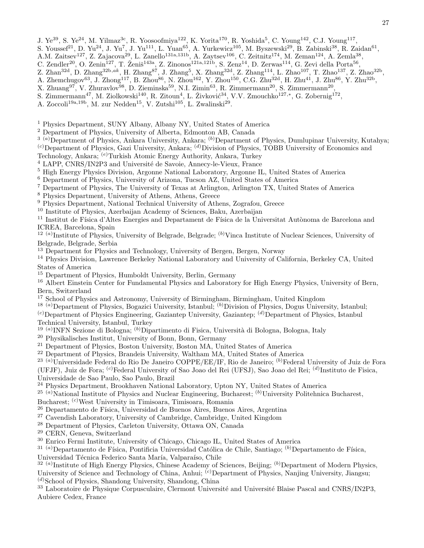- J. Ye<sup>39</sup>, S. Ye<sup>24</sup>, M. Yilmaz<sup>3c</sup>, R. Yoosoofmiya<sup>122</sup>, K. Yorita<sup>170</sup>, R. Yoshida<sup>5</sup>, C. Young<sup>142</sup>, C.J. Young<sup>117</sup>,
- S. Youssef<sup>21</sup>, D. Yu<sup>24</sup>, J. Yu<sup>7</sup>, J. Yu<sup>111</sup>, L. Yuan<sup>65</sup>, A. Yurkewicz<sup>105</sup>, M. Byszewski<sup>29</sup>, B. Zabinski<sup>38</sup>, R. Zaidan<sup>61</sup>,
- A.M. Zaitsev<sup>127</sup>, Z. Zajacova<sup>29</sup>, L. Zanello<sup>131a,131b</sup>, A. Zaytsev<sup>106</sup>, C. Zeitnitz<sup>174</sup>, M. Zeman<sup>124</sup>, A. Zemla<sup>38</sup>,
- C. Zendler<sup>20</sup>, O. Zenin<sup>127</sup>, T. Ženiš<sup>143a</sup>, Z. Zinonos<sup>121a,121b</sup>, S. Zenz<sup>14</sup>, D. Zerwas<sup>114</sup>, G. Zevi della Porta<sup>56</sup>,
- Z. Zhan<sup>32d</sup>, D. Zhang<sup>32b,ak</sup>, H. Zhang<sup>87</sup>, J. Zhang<sup>5</sup>, X. Zhang<sup>32d</sup>, Z. Zhang<sup>114</sup>, L. Zhao<sup>107</sup>, T. Zhao<sup>137</sup>, Z. Zhao<sup>32b</sup>,
- A. Zhemchugov<sup>63</sup>, J. Zhong<sup>117</sup>, B. Zhou<sup>86</sup>, N. Zhou<sup>162</sup>, Y. Zhou<sup>150</sup>, C.G. Zhu<sup>32d</sup>, H. Zhu<sup>41</sup>, J. Zhu<sup>86</sup>, Y. Zhu<sup>32b</sup>,
- X. Zhuang<sup>97</sup>, V. Zhuravlov<sup>98</sup>, D. Zieminska<sup>59</sup>, N.I. Zimin<sup>63</sup>, R. Zimmermann<sup>20</sup>, S. Zimmermann<sup>20</sup>,
- S. Zimmermann<sup>47</sup>, M. Ziolkowski<sup>140</sup>, R. Zitoun<sup>4</sup>, L. Živković<sup>34</sup>, V.V. Zmouchko<sup>127,\*</sup>, G. Zobernig<sup>172</sup>,
- A. Zoccoli<sup>19a, 19b</sup>, M. zur Nedden<sup>15</sup>, V. Zutshi<sup>105</sup>, L. Zwalinski<sup>29</sup>.

<sup>1</sup> Physics Department, SUNY Albany, Albany NY, United States of America

- <sup>2</sup> Department of Physics, University of Alberta, Edmonton AB, Canada
- $3(a)$ Department of Physics, Ankara University, Ankara;  $(b)$ Department of Physics, Dumlupinar University, Kutahya; (c)Department of Physics, Gazi University, Ankara; (d)Division of Physics, TOBB University of Economics and

Technology, Ankara; (e)Turkish Atomic Energy Authority, Ankara, Turkey

<sup>4</sup> LAPP, CNRS/IN2P3 and Université de Savoie, Annecy-le-Vieux, France

- <sup>5</sup> High Energy Physics Division, Argonne National Laboratory, Argonne IL, United States of America
- <sup>6</sup> Department of Physics, University of Arizona, Tucson AZ, United States of America
- <sup>7</sup> Department of Physics, The University of Texas at Arlington, Arlington TX, United States of America
- <sup>8</sup> Physics Department, University of Athens, Athens, Greece
- <sup>9</sup> Physics Department, National Technical University of Athens, Zografou, Greece
- <sup>10</sup> Institute of Physics, Azerbaijan Academy of Sciences, Baku, Azerbaijan
- $11$  Institut de Física d'Altes Energies and Departament de Física de la Universitat Autònoma de Barcelona and ICREA, Barcelona, Spain

 $12^{(a)}$ Institute of Physics, University of Belgrade, Belgrade;  $^{(b)}$ Vinca Institute of Nuclear Sciences, University of Belgrade, Belgrade, Serbia

- <sup>13</sup> Department for Physics and Technology, University of Bergen, Bergen, Norway
- <sup>14</sup> Physics Division, Lawrence Berkeley National Laboratory and University of California, Berkeley CA, United States of America
- <sup>15</sup> Department of Physics, Humboldt University, Berlin, Germany

<sup>16</sup> Albert Einstein Center for Fundamental Physics and Laboratory for High Energy Physics, University of Bern, Bern, Switzerland

- <sup>17</sup> School of Physics and Astronomy, University of Birmingham, Birmingham, United Kingdom
- <sup>18 (a)</sup>Department of Physics, Bogazici University, Istanbul; <sup>(b)</sup>Division of Physics, Dogus University, Istanbul;

(c)Department of Physics Engineering, Gaziantep University, Gaziantep; (d)Department of Physics, Istanbul Technical University, Istanbul, Turkey

- <sup>19 (a)</sup> INFN Sezione di Bologna; <sup>(b)</sup> Dipartimento di Fisica, Università di Bologna, Bologna, Italy
- <sup>20</sup> Physikalisches Institut, University of Bonn, Bonn, Germany
- <sup>21</sup> Department of Physics, Boston University, Boston MA, United States of America
- <sup>22</sup> Department of Physics, Brandeis University, Waltham MA, United States of America
- <sup>23 (a)</sup>Universidade Federal do Rio De Janeiro COPPE/EE/IF, Rio de Janeiro; <sup>(b)</sup>Federal University of Juiz de Fora
- (UFJF), Juiz de Fora; <sup>(c)</sup>Federal University of Sao Joao del Rei (UFSJ), Sao Joao del Rei; <sup>(d)</sup>Instituto de Fisica,

Universidade de Sao Paulo, Sao Paulo, Brazil

- <sup>24</sup> Physics Department, Brookhaven National Laboratory, Upton NY, United States of America
- <sup>25 (a)</sup>National Institute of Physics and Nuclear Engineering, Bucharest; <sup>(b)</sup>University Politehnica Bucharest, Bucharest; (c)West University in Timisoara, Timisoara, Romania
- <sup>26</sup> Departamento de Física, Universidad de Buenos Aires, Buenos Aires, Argentina
- <sup>27</sup> Cavendish Laboratory, University of Cambridge, Cambridge, United Kingdom
- <sup>28</sup> Department of Physics, Carleton University, Ottawa ON, Canada
- <sup>29</sup> CERN, Geneva, Switzerland
- <sup>30</sup> Enrico Fermi Institute, University of Chicago, Chicago IL, United States of America

 $31$ <sup>(a)</sup>Departamento de Física, Pontificia Universidad Católica de Chile, Santiago; <sup>(b)</sup>Departamento de Física, Universidad Técnica Federico Santa María, Valparaíso, Chile

 $32$  (a) Institute of High Energy Physics, Chinese Academy of Sciences, Beijing; <sup>(b)</sup>Department of Modern Physics, University of Science and Technology of China, Anhui; <sup>(c)</sup>Department of Physics, Nanjing University, Jiangsu;

 $(d)$ School of Physics, Shandong University, Shandong, China

<sup>33</sup> Laboratoire de Physique Corpusculaire, Clermont Université and Université Blaise Pascal and CNRS/IN2P3, Aubiere Cedex, France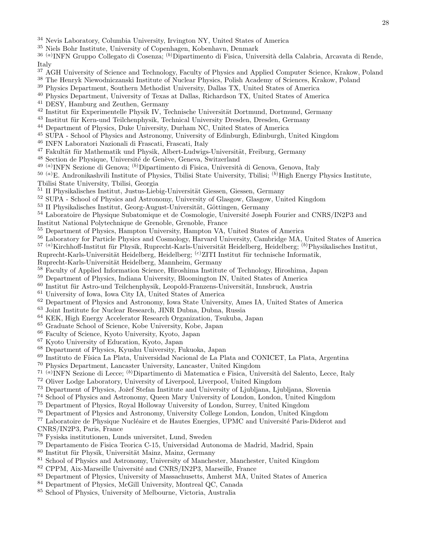- <sup>34</sup> Nevis Laboratory, Columbia University, Irvington NY, United States of America
- <sup>35</sup> Niels Bohr Institute, University of Copenhagen, Kobenhavn, Denmark
- <sup>36 (a)</sup>INFN Gruppo Collegato di Cosenza; <sup>(b)</sup>Dipartimento di Fisica, Università della Calabria, Arcavata di Rende, Italy
- <sup>37</sup> AGH University of Science and Technology, Faculty of Physics and Applied Computer Science, Krakow, Poland
- <sup>38</sup> The Henryk Niewodniczanski Institute of Nuclear Physics, Polish Academy of Sciences, Krakow, Poland
- <sup>39</sup> Physics Department, Southern Methodist University, Dallas TX, United States of America
- <sup>40</sup> Physics Department, University of Texas at Dallas, Richardson TX, United States of America
- <sup>41</sup> DESY, Hamburg and Zeuthen, Germany
- <sup>42</sup> Institut für Experimentelle Physik IV, Technische Universität Dortmund, Dortmund, Germany
- <sup>43</sup> Institut für Kern-und Teilchenphysik, Technical University Dresden, Dresden, Germany
- <sup>44</sup> Department of Physics, Duke University, Durham NC, United States of America
- <sup>45</sup> SUPA School of Physics and Astronomy, University of Edinburgh, Edinburgh, United Kingdom
- <sup>46</sup> INFN Laboratori Nazionali di Frascati, Frascati, Italy
- <sup>47</sup> Fakultät für Mathematik und Physik, Albert-Ludwigs-Universität, Freiburg, Germany
- <sup>48</sup> Section de Physique, Université de Genève, Geneva, Switzerland
- <sup>49 (a)</sup>INFN Sezione di Genova; <sup>(b)</sup>Dipartimento di Fisica, Università di Genova, Genova, Italy
- $^{50}$  (a)E. Andronikashvili Institute of Physics, Tbilisi State University, Tbilisi; (b)High Energy Physics Institute, Tbilisi State University, Tbilisi, Georgia
- 
- $51$  II Physikalisches Institut, Justus-Liebig-Universität Giessen, Giessen, Germany
- <sup>52</sup> SUPA School of Physics and Astronomy, University of Glasgow, Glasgow, United Kingdom
- $53$  II Physikalisches Institut, Georg-August-Universität, Göttingen, Germany
- <sup>54</sup> Laboratoire de Physique Subatomique et de Cosmologie, Université Joseph Fourier and CNRS/IN2P3 and Institut National Polytechnique de Grenoble, Grenoble, France
- <sup>55</sup> Department of Physics, Hampton University, Hampton VA, United States of America
- <sup>56</sup> Laboratory for Particle Physics and Cosmology, Harvard University, Cambridge MA, United States of America
- $^{57}$  (a)Kirchhoff-Institut für Physik, Ruprecht-Karls-Universität Heidelberg, Heidelberg; (b)Physikalisches Institut,
- Ruprecht-Karls-Universität Heidelberg, Heidelberg; <sup>(c)</sup>ZITI Institut für technische Informatik,
- Ruprecht-Karls-Universität Heidelberg, Mannheim, Germany
- <sup>58</sup> Faculty of Applied Information Science, Hiroshima Institute of Technology, Hiroshima, Japan
- <sup>59</sup> Department of Physics, Indiana University, Bloomington IN, United States of America
- $60$  Institut für Astro-und Teilchenphysik, Leopold-Franzens-Universität, Innsbruck, Austria
- <sup>61</sup> University of Iowa, Iowa City IA, United States of America
- <sup>62</sup> Department of Physics and Astronomy, Iowa State University, Ames IA, United States of America
- <sup>63</sup> Joint Institute for Nuclear Research, JINR Dubna, Dubna, Russia
- <sup>64</sup> KEK, High Energy Accelerator Research Organization, Tsukuba, Japan
- <sup>65</sup> Graduate School of Science, Kobe University, Kobe, Japan
- <sup>66</sup> Faculty of Science, Kyoto University, Kyoto, Japan
- <sup>67</sup> Kyoto University of Education, Kyoto, Japan
- <sup>68</sup> Department of Physics, Kyushu University, Fukuoka, Japan
- <sup>69</sup> Instituto de Física La Plata, Universidad Nacional de La Plata and CONICET, La Plata, Argentina
- <sup>70</sup> Physics Department, Lancaster University, Lancaster, United Kingdom
- <sup>71 (a)</sup>INFN Sezione di Lecce; <sup>(b)</sup>Dipartimento di Matematica e Fisica, Università del Salento, Lecce, Italy
- <sup>72</sup> Oliver Lodge Laboratory, University of Liverpool, Liverpool, United Kingdom
- <sup>73</sup> Department of Physics, Jožef Stefan Institute and University of Ljubljana, Ljubljana, Slovenia
- <sup>74</sup> School of Physics and Astronomy, Queen Mary University of London, London, United Kingdom
- <sup>75</sup> Department of Physics, Royal Holloway University of London, Surrey, United Kingdom
- <sup>76</sup> Department of Physics and Astronomy, University College London, London, United Kingdom

<sup>77</sup> Laboratoire de Physique Nucléaire et de Hautes Energies, UPMC and Université Paris-Diderot and CNRS/IN2P3, Paris, France

- <sup>78</sup> Fysiska institutionen, Lunds universitet, Lund, Sweden
- <sup>79</sup> Departamento de Fisica Teorica C-15, Universidad Autonoma de Madrid, Madrid, Spain
- 80 Institut für Physik, Universität Mainz, Mainz, Germany
- <sup>81</sup> School of Physics and Astronomy, University of Manchester, Manchester, United Kingdom
- <sup>82</sup> CPPM, Aix-Marseille Université and CNRS/IN2P3, Marseille, France
- <sup>83</sup> Department of Physics, University of Massachusetts, Amherst MA, United States of America
- <sup>84</sup> Department of Physics, McGill University, Montreal QC, Canada
- <sup>85</sup> School of Physics, University of Melbourne, Victoria, Australia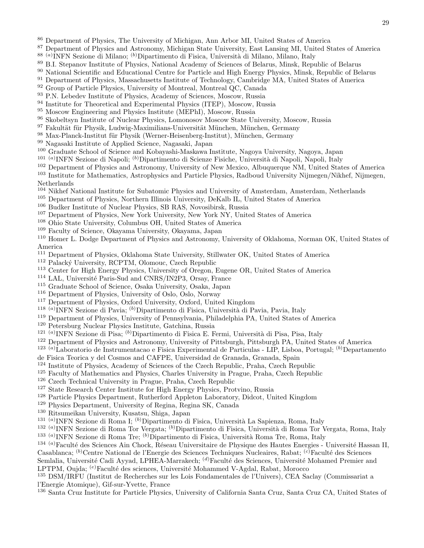- <sup>86</sup> Department of Physics, The University of Michigan, Ann Arbor MI, United States of America
- <sup>87</sup> Department of Physics and Astronomy, Michigan State University, East Lansing MI, United States of America
- <sup>88 (a)</sup>INFN Sezione di Milano; <sup>(b)</sup>Dipartimento di Fisica, Università di Milano, Milano, Italy
- <sup>89</sup> B.I. Stepanov Institute of Physics, National Academy of Sciences of Belarus, Minsk, Republic of Belarus
- <sup>90</sup> National Scientific and Educational Centre for Particle and High Energy Physics, Minsk, Republic of Belarus
- <sup>91</sup> Department of Physics, Massachusetts Institute of Technology, Cambridge MA, United States of America
- <sup>92</sup> Group of Particle Physics, University of Montreal, Montreal QC, Canada
- <sup>93</sup> P.N. Lebedev Institute of Physics, Academy of Sciences, Moscow, Russia
- <sup>94</sup> Institute for Theoretical and Experimental Physics (ITEP), Moscow, Russia
- <sup>95</sup> Moscow Engineering and Physics Institute (MEPhI), Moscow, Russia
- <sup>96</sup> Skobeltsyn Institute of Nuclear Physics, Lomonosov Moscow State University, Moscow, Russia
- 97 Fakultät für Physik, Ludwig-Maximilians-Universität München, München, Germany
- 98 Max-Planck-Institut für Physik (Werner-Heisenberg-Institut), München, Germany
- <sup>99</sup> Nagasaki Institute of Applied Science, Nagasaki, Japan
- <sup>100</sup> Graduate School of Science and Kobayashi-Maskawa Institute, Nagoya University, Nagoya, Japan
- <sup>101 (a)</sup>INFN Sezione di Napoli; <sup>(b)</sup>Dipartimento di Scienze Fisiche, Università di Napoli, Napoli, Italy
- <sup>102</sup> Department of Physics and Astronomy, University of New Mexico, Albuquerque NM, United States of America <sup>103</sup> Institute for Mathematics, Astrophysics and Particle Physics, Radboud University Nijmegen/Nikhef, Nijmegen, Netherlands
- <sup>104</sup> Nikhef National Institute for Subatomic Physics and University of Amsterdam, Amsterdam, Netherlands
- <sup>105</sup> Department of Physics, Northern Illinois University, DeKalb IL, United States of America
- <sup>106</sup> Budker Institute of Nuclear Physics, SB RAS, Novosibirsk, Russia
- <sup>107</sup> Department of Physics, New York University, New York NY, United States of America
- <sup>108</sup> Ohio State University, Columbus OH, United States of America
- <sup>109</sup> Faculty of Science, Okayama University, Okayama, Japan

<sup>110</sup> Homer L. Dodge Department of Physics and Astronomy, University of Oklahoma, Norman OK, United States of America

- <sup>111</sup> Department of Physics, Oklahoma State University, Stillwater OK, United States of America
- <sup>112</sup> Palacký University, RCPTM, Olomouc, Czech Republic
- <sup>113</sup> Center for High Energy Physics, University of Oregon, Eugene OR, United States of America
- <sup>114</sup> LAL, Université Paris-Sud and CNRS/IN2P3, Orsay, France
- <sup>115</sup> Graduate School of Science, Osaka University, Osaka, Japan
- <sup>116</sup> Department of Physics, University of Oslo, Oslo, Norway
- <sup>117</sup> Department of Physics, Oxford University, Oxford, United Kingdom
- <sup>118 (a)</sup>INFN Sezione di Pavia; <sup>(b)</sup>Dipartimento di Fisica, Università di Pavia, Pavia, Italy
- <sup>119</sup> Department of Physics, University of Pennsylvania, Philadelphia PA, United States of America
- <sup>120</sup> Petersburg Nuclear Physics Institute, Gatchina, Russia
- <sup>121 (a)</sup>INFN Sezione di Pisa; <sup>(b)</sup>Dipartimento di Fisica E. Fermi, Università di Pisa, Pisa, Italy
- <sup>122</sup> Department of Physics and Astronomy, University of Pittsburgh, Pittsburgh PA, United States of America
- <sup>123 (a)</sup>Laboratorio de Instrumentacao e Fisica Experimental de Particulas LIP, Lisboa, Portugal; <sup>(b)</sup>Departamento
- de Fisica Teorica y del Cosmos and CAFPE, Universidad de Granada, Granada, Spain
- 124 Institute of Physics, Academy of Sciences of the Czech Republic, Praha, Czech Republic
- <sup>125</sup> Faculty of Mathematics and Physics, Charles University in Prague, Praha, Czech Republic
- <sup>126</sup> Czech Technical University in Prague, Praha, Czech Republic
- <sup>127</sup> State Research Center Institute for High Energy Physics, Protvino, Russia
- <sup>128</sup> Particle Physics Department, Rutherford Appleton Laboratory, Didcot, United Kingdom
- <sup>129</sup> Physics Department, University of Regina, Regina SK, Canada
- <sup>130</sup> Ritsumeikan University, Kusatsu, Shiga, Japan
- <sup>131 (a)</sup>INFN Sezione di Roma I; <sup>(b)</sup>Dipartimento di Fisica, Università La Sapienza, Roma, Italy
- <sup>132 (a)</sup>INFN Sezione di Roma Tor Vergata; <sup>(b)</sup>Dipartimento di Fisica, Università di Roma Tor Vergata, Roma, Italy <sup>133 (a)</sup>INFN Sezione di Roma Tre; <sup>(b)</sup>Dipartimento di Fisica, Università Roma Tre, Roma, Italy
- $^{134}$  (a)Faculté des Sciences Ain Chock, Réseau Universitaire de Physique des Hautes Energies Université Hassan II, Casablanca; <sup>(b)</sup>Centre National de l'Energie des Sciences Techniques Nucleaires, Rabat; <sup>(c)</sup>Faculté des Sciences

Semlalia, Université Cadi Ayyad, LPHEA-Marrakech; <sup>(d)</sup>Faculté des Sciences, Université Mohamed Premier and LPTPM, Oujda; <sup>(e)</sup>Faculté des sciences, Université Mohammed V-Agdal, Rabat, Morocco

<sup>135</sup> DSM/IRFU (Institut de Recherches sur les Lois Fondamentales de l'Univers), CEA Saclay (Commissariat a l'Energie Atomique), Gif-sur-Yvette, France

<sup>136</sup> Santa Cruz Institute for Particle Physics, University of California Santa Cruz, Santa Cruz CA, United States of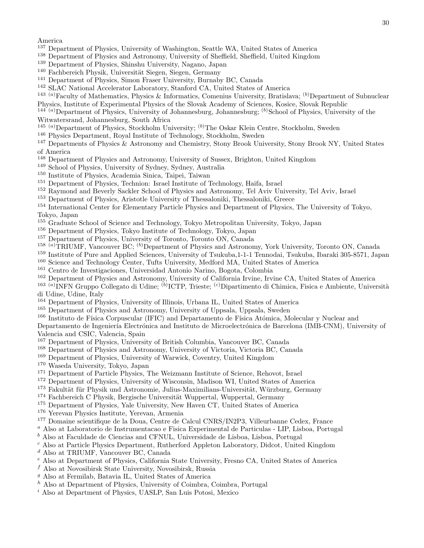America

- <sup>137</sup> Department of Physics, University of Washington, Seattle WA, United States of America
- <sup>138</sup> Department of Physics and Astronomy, University of Sheffield, Sheffield, United Kingdom
- <sup>139</sup> Department of Physics, Shinshu University, Nagano, Japan
- <sup>140</sup> Fachbereich Physik, Universität Siegen, Siegen, Germany
- <sup>141</sup> Department of Physics, Simon Fraser University, Burnaby BC, Canada
- <sup>142</sup> SLAC National Accelerator Laboratory, Stanford CA, United States of America
- <sup>143 (a)</sup>Faculty of Mathematics, Physics & Informatics, Comenius University, Bratislava; <sup>(b)</sup>Department of Subnuclear Physics, Institute of Experimental Physics of the Slovak Academy of Sciences, Kosice, Slovak Republic
- $144^{\degree}(a)$  Department of Physics, University of Johannesburg, Johannesburg;  $(b)$  School of Physics, University of the Witwatersrand, Johannesburg, South Africa
- <sup>145 (a)</sup>Department of Physics, Stockholm University; <sup>(b)</sup>The Oskar Klein Centre, Stockholm, Sweden
- <sup>146</sup> Physics Department, Royal Institute of Technology, Stockholm, Sweden

<sup>147</sup> Departments of Physics & Astronomy and Chemistry, Stony Brook University, Stony Brook NY, United States of America

- <sup>148</sup> Department of Physics and Astronomy, University of Sussex, Brighton, United Kingdom
- <sup>149</sup> School of Physics, University of Sydney, Sydney, Australia
- <sup>150</sup> Institute of Physics, Academia Sinica, Taipei, Taiwan
- <sup>151</sup> Department of Physics, Technion: Israel Institute of Technology, Haifa, Israel
- <sup>152</sup> Raymond and Beverly Sackler School of Physics and Astronomy, Tel Aviv University, Tel Aviv, Israel
- <sup>153</sup> Department of Physics, Aristotle University of Thessaloniki, Thessaloniki, Greece
- <sup>154</sup> International Center for Elementary Particle Physics and Department of Physics, The University of Tokyo, Tokyo, Japan
- <sup>155</sup> Graduate School of Science and Technology, Tokyo Metropolitan University, Tokyo, Japan
- <sup>156</sup> Department of Physics, Tokyo Institute of Technology, Tokyo, Japan
- <sup>157</sup> Department of Physics, University of Toronto, Toronto ON, Canada
- <sup>158 (a)</sup>TRIUMF, Vancouver BC; <sup>(b)</sup>Department of Physics and Astronomy, York University, Toronto ON, Canada
- <sup>159</sup> Institute of Pure and Applied Sciences, University of Tsukuba,1-1-1 Tennodai, Tsukuba, Ibaraki 305-8571, Japan
- <sup>160</sup> Science and Technology Center, Tufts University, Medford MA, United States of America
- <sup>161</sup> Centro de Investigaciones, Universidad Antonio Narino, Bogota, Colombia
- <sup>162</sup> Department of Physics and Astronomy, University of California Irvine, Irvine CA, United States of America
- <sup>163 (a)</sup>INFN Gruppo Collegato di Udine; <sup>(b)</sup>ICTP, Trieste; <sup>(c)</sup>Dipartimento di Chimica, Fisica e Ambiente, Università di Udine, Udine, Italy
- <sup>164</sup> Department of Physics, University of Illinois, Urbana IL, United States of America
- <sup>165</sup> Department of Physics and Astronomy, University of Uppsala, Uppsala, Sweden
- <sup>166</sup> Instituto de Física Corpuscular (IFIC) and Departamento de Física Atómica, Molecular y Nuclear and

Departamento de Ingeniería Electrónica and Instituto de Microelectrónica de Barcelona (IMB-CNM), University of Valencia and CSIC, Valencia, Spain

- <sup>167</sup> Department of Physics, University of British Columbia, Vancouver BC, Canada
- <sup>168</sup> Department of Physics and Astronomy, University of Victoria, Victoria BC, Canada
- <sup>169</sup> Department of Physics, University of Warwick, Coventry, United Kingdom
- <sup>170</sup> Waseda University, Tokyo, Japan
- <sup>171</sup> Department of Particle Physics, The Weizmann Institute of Science, Rehovot, Israel
- <sup>172</sup> Department of Physics, University of Wisconsin, Madison WI, United States of America
- <sup>173</sup> Fakultät für Physik und Astronomie, Julius-Maximilians-Universität, Würzburg, Germany
- $174$  Fachbereich C Physik, Bergische Universität Wuppertal, Wuppertal, Germany
- <sup>175</sup> Department of Physics, Yale University, New Haven CT, United States of America
- <sup>176</sup> Yerevan Physics Institute, Yerevan, Armenia
- <sup>177</sup> Domaine scientifique de la Doua, Centre de Calcul CNRS/IN2P3, Villeurbanne Cedex, France
- <sup>a</sup> Also at Laboratorio de Instrumentacao e Fisica Experimental de Particulas LIP, Lisboa, Portugal
- $<sup>b</sup>$  Also at Faculdade de Ciencias and CFNUL, Universidade de Lisboa, Lisboa, Portugal</sup>
- <sup>c</sup> Also at Particle Physics Department, Rutherford Appleton Laboratory, Didcot, United Kingdom
- <sup>d</sup> Also at TRIUMF, Vancouver BC, Canada
- <sup>e</sup> Also at Department of Physics, California State University, Fresno CA, United States of America
- $f$  Also at Novosibirsk State University, Novosibirsk, Russia
- <sup>g</sup> Also at Fermilab, Batavia IL, United States of America
- $h$  Also at Department of Physics, University of Coimbra, Coimbra, Portugal
- <sup>i</sup> Also at Department of Physics, UASLP, San Luis Potosi, Mexico